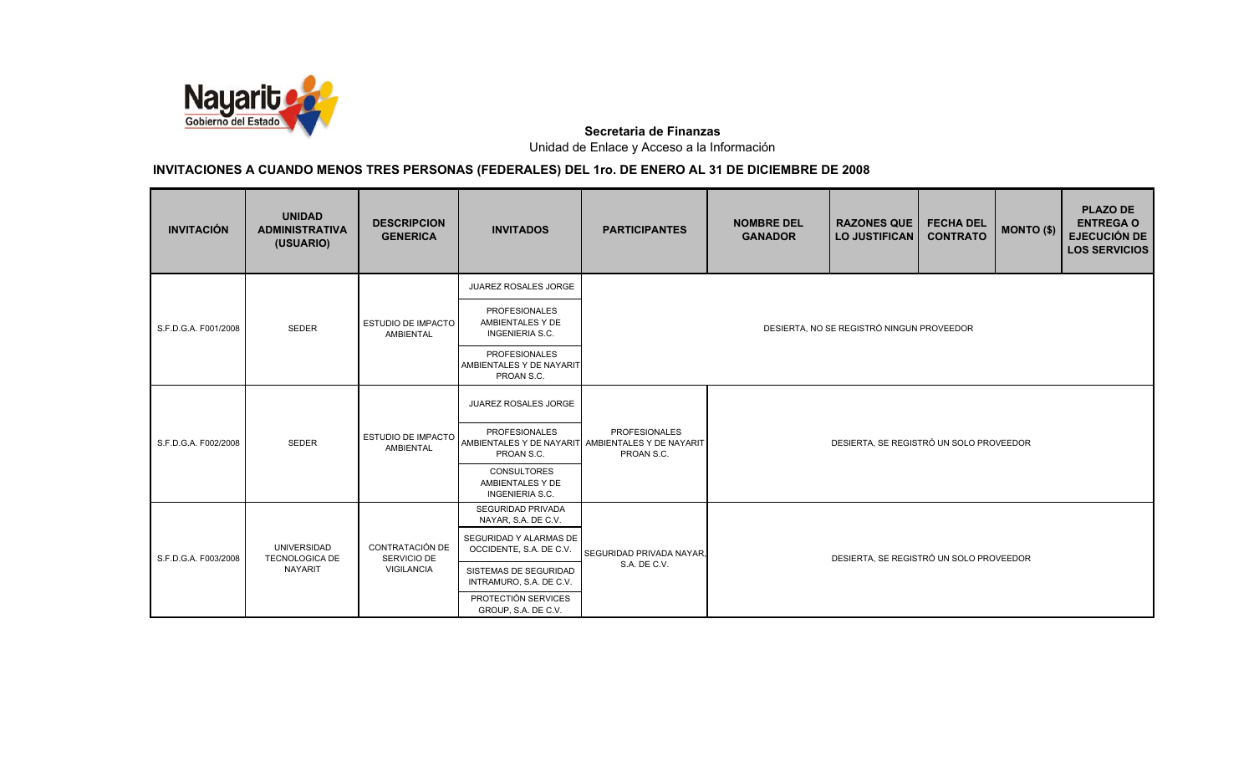

| <b>INVITACIÓN</b>    | <b>UNIDAD</b><br><b>ADMINISTRATIVA</b><br>(USUARIO) | <b>DESCRIPCION</b><br><b>GENERICA</b>         | <b>INVITADOS</b>                                                   | <b>PARTICIPANTES</b>                                                                    | <b>NOMBRE DEL</b><br><b>GANADOR</b>     | <b>RAZONES QUE</b><br><b>LO JUSTIFICAN</b> | <b>FECHA DEL</b><br><b>CONTRATO</b> | MONTO (\$) | <b>PLAZO DE</b><br><b>ENTREGA O</b><br><b>EJECUCIÓN DE</b><br><b>LOS SERVICIOS</b> |  |
|----------------------|-----------------------------------------------------|-----------------------------------------------|--------------------------------------------------------------------|-----------------------------------------------------------------------------------------|-----------------------------------------|--------------------------------------------|-------------------------------------|------------|------------------------------------------------------------------------------------|--|
|                      |                                                     |                                               | JUAREZ ROSALES JORGE                                               |                                                                                         |                                         |                                            |                                     |            |                                                                                    |  |
| S.F.D.G.A. F001/2008 | SEDER                                               | <b>ESTUDIO DE IMPACTO</b><br><b>AMBIENTAL</b> | <b>PROFESIONALES</b><br>AMBIENTALES Y DE<br><b>INGENIERIA S.C.</b> |                                                                                         |                                         | DESIERTA, NO SE REGISTRÓ NINGUN PROVEEDOR  |                                     |            |                                                                                    |  |
|                      |                                                     |                                               | <b>PROFESIONALES</b><br>AMBIENTALES Y DE NAYARIT<br>PROAN S.C.     |                                                                                         |                                         |                                            |                                     |            |                                                                                    |  |
|                      |                                                     |                                               | JUAREZ ROSALES JORGE                                               |                                                                                         |                                         |                                            |                                     |            |                                                                                    |  |
| S.F.D.G.A. F002/2008 | <b>SEDER</b>                                        | ESTUDIO DE IMPACTO<br><b>AMBIENTAL</b>        | <b>PROFESIONALES</b><br>PROAN S.C.                                 | <b>PROFESIONALES</b><br>AMBIENTALES Y DE NAYARIT AMBIENTALES Y DE NAYARIT<br>PROAN S.C. | DESIERTA, SE REGISTRÓ UN SOLO PROVEEDOR |                                            |                                     |            |                                                                                    |  |
|                      |                                                     |                                               | <b>CONSULTORES</b><br>AMBIENTALES Y DE<br><b>INGENIERIA S.C.</b>   |                                                                                         |                                         |                                            |                                     |            |                                                                                    |  |
|                      |                                                     |                                               | <b>SEGURIDAD PRIVADA</b><br>NAYAR, S.A. DE C.V.                    |                                                                                         |                                         |                                            |                                     |            |                                                                                    |  |
| S.F.D.G.A. F003/2008 | <b>UNIVERSIDAD</b><br><b>TECNOLOGICA DE</b>         | <b>CONTRATACIÓN DE</b><br>SERVICIO DE         | SEGURIDAD Y ALARMAS DE<br>OCCIDENTE, S.A. DE C.V.                  | SEGURIDAD PRIVADA NAYAR.                                                                |                                         | DESIERTA, SE REGISTRÓ UN SOLO PROVEEDOR    |                                     |            |                                                                                    |  |
|                      | <b>NAYARIT</b>                                      | VIGILANCIA                                    | SISTEMAS DE SEGURIDAD<br>INTRAMURO, S.A. DE C.V.                   | S.A. DE C.V.                                                                            |                                         |                                            |                                     |            |                                                                                    |  |
|                      |                                                     |                                               | PROTECTIÓN SERVICES<br>GROUP, S.A. DE C.V.                         |                                                                                         |                                         |                                            |                                     |            |                                                                                    |  |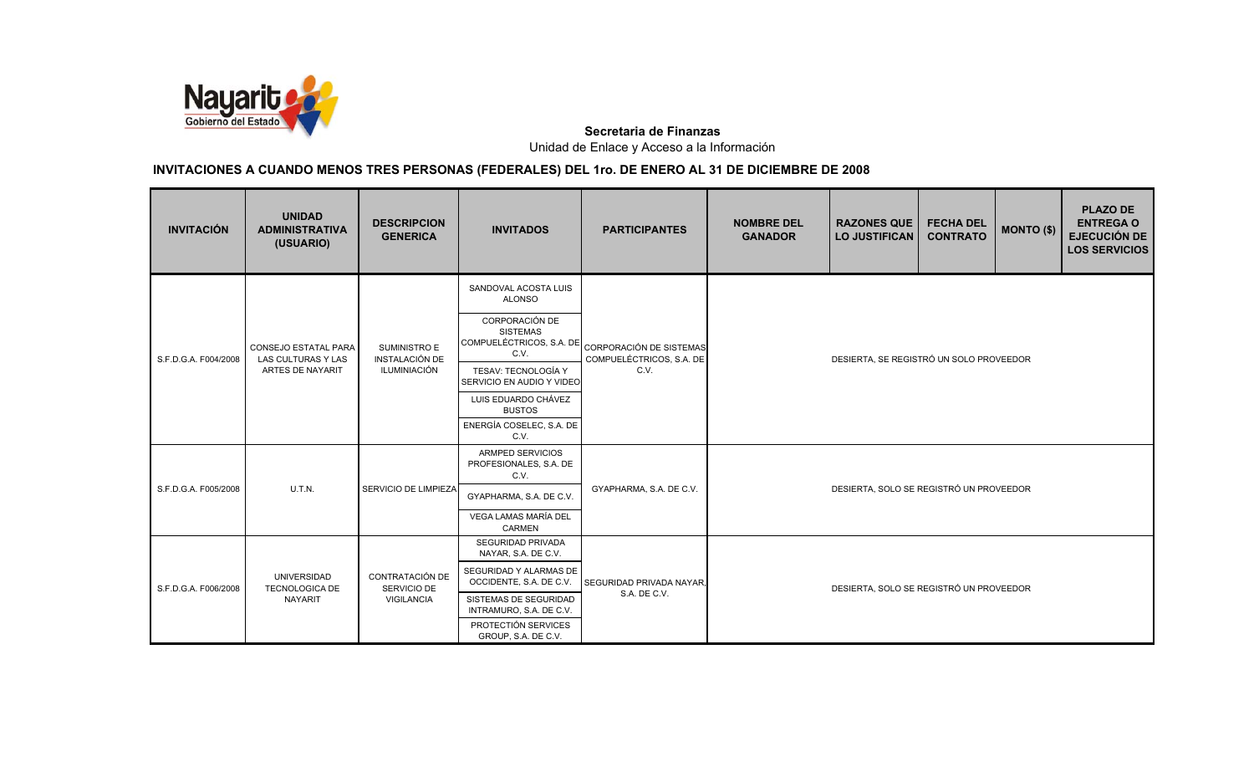

| <b>INVITACIÓN</b>    | <b>UNIDAD</b><br><b>ADMINISTRATIVA</b><br>(USUARIO) | <b>DESCRIPCION</b><br><b>GENERICA</b> | <b>INVITADOS</b>                                                                                               | <b>PARTICIPANTES</b>             | <b>NOMBRE DEL</b><br><b>GANADOR</b>     | <b>RAZONES QUE</b><br><b>LO JUSTIFICAN</b> | <b>FECHA DEL</b><br><b>CONTRATO</b> | <b>MONTO (\$)</b> | <b>PLAZO DE</b><br><b>ENTREGA O</b><br><b>EJECUCIÓN DE</b><br><b>LOS SERVICIOS</b> |  |
|----------------------|-----------------------------------------------------|---------------------------------------|----------------------------------------------------------------------------------------------------------------|----------------------------------|-----------------------------------------|--------------------------------------------|-------------------------------------|-------------------|------------------------------------------------------------------------------------|--|
|                      | <b>CONSEJO ESTATAL PARA</b>                         | SUMINISTRO E                          | SANDOVAL ACOSTA LUIS<br><b>ALONSO</b><br>CORPORACIÓN DE<br><b>SISTEMAS</b><br>COMPUELÉCTRICOS, S.A. DE<br>C.V. | <b>CORPORACIÓN DE SISTEMAS</b>   |                                         |                                            |                                     |                   |                                                                                    |  |
| S.F.D.G.A. F004/2008 | LAS CULTURAS Y LAS<br>ARTES DE NAYARIT              | <b>INSTALACIÓN DE</b><br>ILUMINIACIÓN | TESAV: TECNOLOGÍA Y<br>SERVICIO EN AUDIO Y VIDEO                                                               | COMPUELÉCTRICOS, S.A. DE<br>C.V. | DESIERTA, SE REGISTRÓ UN SOLO PROVEEDOR |                                            |                                     |                   |                                                                                    |  |
|                      |                                                     |                                       | LUIS EDUARDO CHÁVEZ<br><b>BUSTOS</b>                                                                           |                                  |                                         |                                            |                                     |                   |                                                                                    |  |
|                      |                                                     |                                       | ENERGÍA COSELEC, S.A. DE<br>C.V.                                                                               |                                  |                                         |                                            |                                     |                   |                                                                                    |  |
|                      |                                                     |                                       | ARMPED SERVICIOS<br>PROFESIONALES, S.A. DE<br>C.V.                                                             |                                  |                                         |                                            |                                     |                   |                                                                                    |  |
| S.F.D.G.A. F005/2008 | U.T.N.                                              | SERVICIO DE LIMPIEZA                  | GYAPHARMA, S.A. DE C.V.                                                                                        | GYAPHARMA, S.A. DE C.V.          |                                         | DESIERTA, SOLO SE REGISTRÓ UN PROVEEDOR    |                                     |                   |                                                                                    |  |
|                      |                                                     |                                       | VEGA LAMAS MARÍA DEL<br><b>CARMEN</b>                                                                          |                                  |                                         |                                            |                                     |                   |                                                                                    |  |
| S.F.D.G.A. F006/2008 |                                                     |                                       | <b>SEGURIDAD PRIVADA</b><br>NAYAR, S.A. DE C.V.                                                                |                                  |                                         |                                            |                                     |                   |                                                                                    |  |
|                      | UNIVERSIDAD<br><b>TECNOLOGICA DE</b>                | CONTRATACIÓN DE<br>SERVICIO DE        | SEGURIDAD Y ALARMAS DE<br>OCCIDENTE, S.A. DE C.V.                                                              | SEGURIDAD PRIVADA NAYAR,         |                                         | DESIERTA, SOLO SE REGISTRÓ UN PROVEEDOR    |                                     |                   |                                                                                    |  |
|                      | <b>NAYARIT</b>                                      | VIGILANCIA                            | SISTEMAS DE SEGURIDAD<br>INTRAMURO, S.A. DE C.V.                                                               | S.A. DE C.V.                     |                                         |                                            |                                     |                   |                                                                                    |  |
|                      |                                                     |                                       | PROTECTIÓN SERVICES<br>GROUP, S.A. DE C.V.                                                                     |                                  |                                         |                                            |                                     |                   |                                                                                    |  |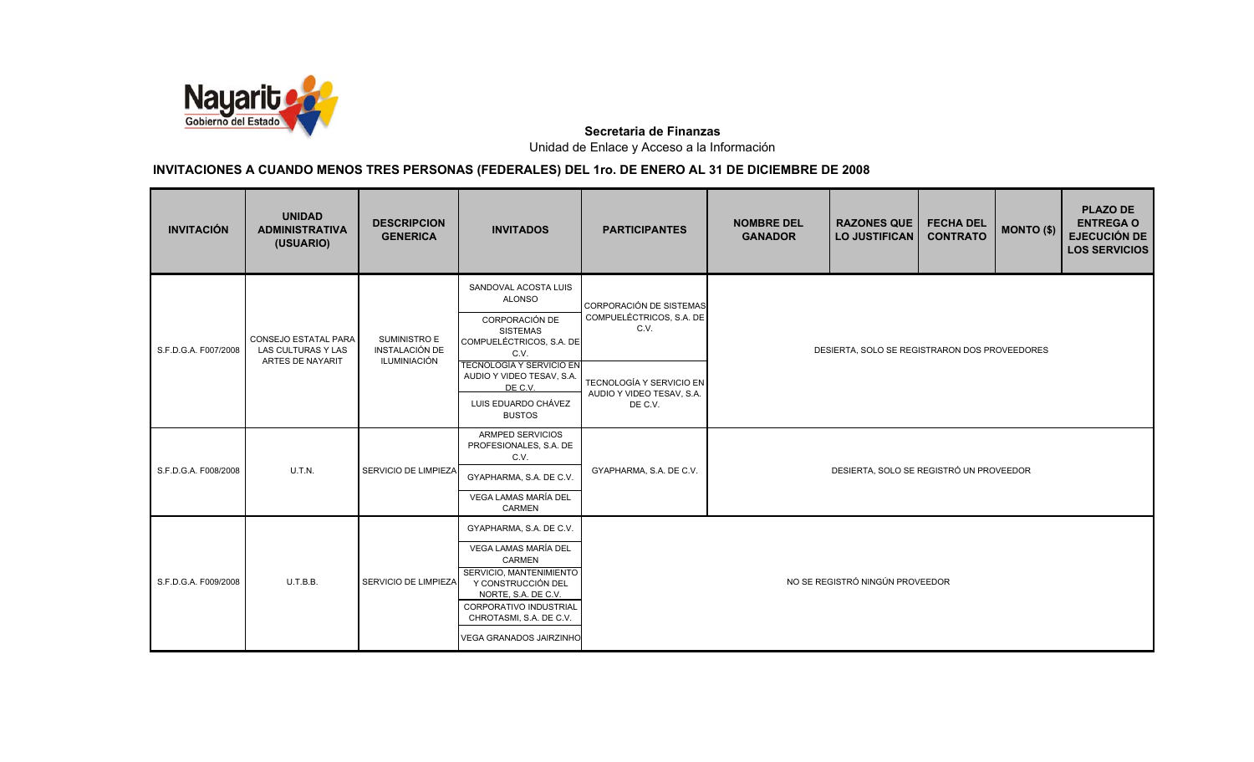

| <b>INVITACIÓN</b>    | <b>UNIDAD</b><br><b>ADMINISTRATIVA</b><br>(USUARIO)            | <b>DESCRIPCION</b><br><b>GENERICA</b>          | <b>INVITADOS</b>                                                                                                                                                                                                         | <b>PARTICIPANTES</b>                                             | <b>NOMBRE DEL</b><br><b>GANADOR</b> | <b>RAZONES QUE</b><br><b>LO JUSTIFICAN</b>    | <b>FECHA DEL</b><br><b>CONTRATO</b> | <b>MONTO (\$)</b> | <b>PLAZO DE</b><br><b>ENTREGA O</b><br><b>EJECUCIÓN DE</b><br><b>LOS SERVICIOS</b> |  |
|----------------------|----------------------------------------------------------------|------------------------------------------------|--------------------------------------------------------------------------------------------------------------------------------------------------------------------------------------------------------------------------|------------------------------------------------------------------|-------------------------------------|-----------------------------------------------|-------------------------------------|-------------------|------------------------------------------------------------------------------------|--|
| S.F.D.G.A. F007/2008 | CONSEJO ESTATAL PARA<br>LAS CULTURAS Y LAS<br>ARTES DE NAYARIT | SUMINISTRO E<br>INSTALACIÓN DE<br>ILUMINIACIÓN | SANDOVAL ACOSTA LUIS<br><b>ALONSO</b><br>CORPORACIÓN DE<br><b>SISTEMAS</b><br>COMPUELÉCTRICOS, S.A. DE<br>C.V.                                                                                                           | CORPORACIÓN DE SISTEMAS<br>COMPUELÉCTRICOS, S.A. DE<br>C.V.      |                                     | DESIERTA, SOLO SE REGISTRARON DOS PROVEEDORES |                                     |                   |                                                                                    |  |
|                      |                                                                |                                                | <b>TECNOLOGÍA Y SERVICIO EN</b><br>AUDIO Y VIDEO TESAV, S.A.<br>DE C.V.<br>LUIS EDUARDO CHÁVEZ<br><b>BUSTOS</b>                                                                                                          | TECNOLOGÍA Y SERVICIO EN<br>AUDIO Y VIDEO TESAV, S.A.<br>DE C.V. |                                     |                                               |                                     |                   |                                                                                    |  |
| S.F.D.G.A. F008/2008 | U.T.N.                                                         | SERVICIO DE LIMPIEZA                           | <b>ARMPED SERVICIOS</b><br>PROFESIONALES, S.A. DE<br>C.V.<br>GYAPHARMA, S.A. DE C.V.<br>VEGA LAMAS MARÍA DEL<br>CARMEN                                                                                                   | GYAPHARMA, S.A. DE C.V.                                          |                                     | DESIERTA, SOLO SE REGISTRÓ UN PROVEEDOR       |                                     |                   |                                                                                    |  |
| S.F.D.G.A. F009/2008 | U.T.B.B.                                                       | SERVICIO DE LIMPIEZA                           | GYAPHARMA, S.A. DE C.V.<br>VEGA LAMAS MARÍA DEL<br>CARMEN<br>SERVICIO, MANTENIMIENTO<br>Y CONSTRUCCIÓN DEL<br>NORTE, S.A. DE C.V.<br>CORPORATIVO INDUSTRIAL<br>CHROTASMI, S.A. DE C.V.<br><b>VEGA GRANADOS JAIRZINHO</b> |                                                                  |                                     | NO SE REGISTRÓ NINGÚN PROVEEDOR               |                                     |                   |                                                                                    |  |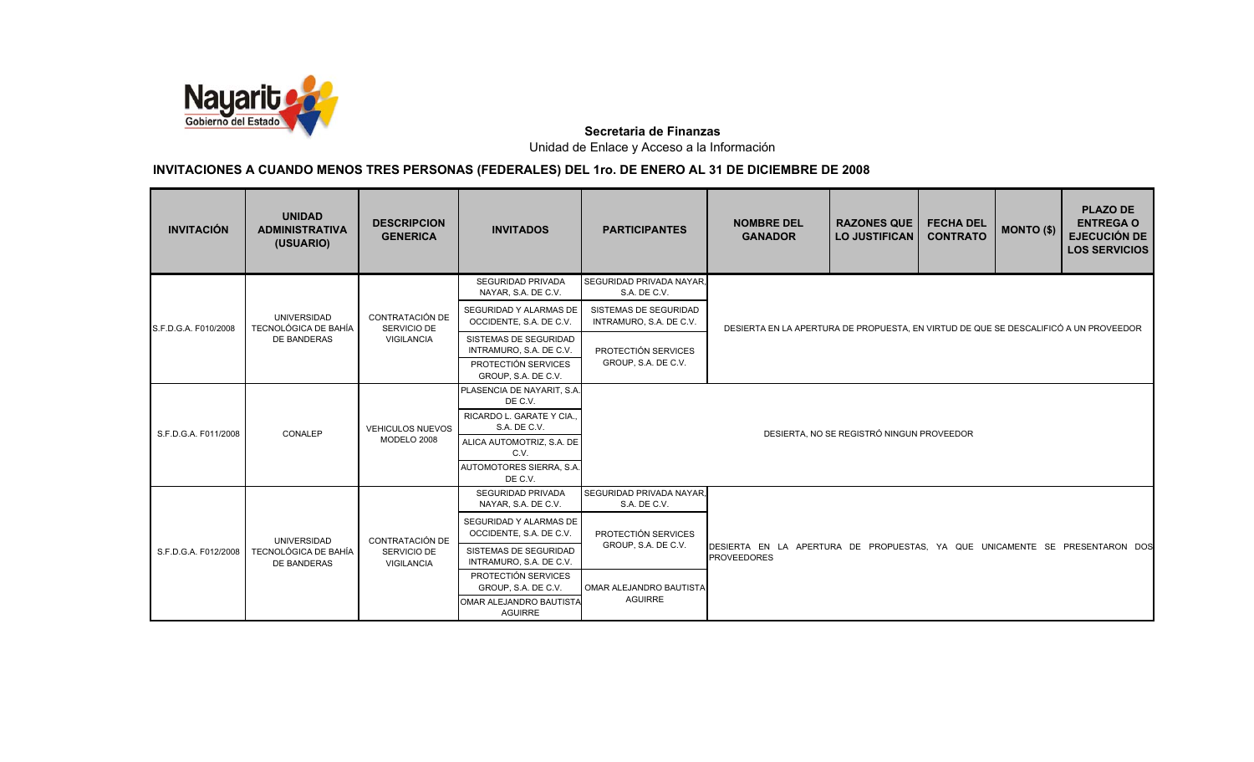

| <b>INVITACIÓN</b>    | <b>UNIDAD</b><br><b>ADMINISTRATIVA</b><br>(USUARIO) | <b>DESCRIPCION</b><br><b>GENERICA</b> | <b>INVITADOS</b>                                  | <b>PARTICIPANTES</b>                             | <b>NOMBRE DEL</b><br><b>GANADOR</b>                                                               | <b>RAZONES QUE</b><br><b>LO JUSTIFICAN</b> | <b>FECHA DEL</b><br><b>CONTRATO</b> | <b>MONTO (\$)</b> | <b>PLAZO DE</b><br><b>ENTREGA O</b><br><b>EJECUCIÓN DE</b><br><b>LOS SERVICIOS</b> |  |
|----------------------|-----------------------------------------------------|---------------------------------------|---------------------------------------------------|--------------------------------------------------|---------------------------------------------------------------------------------------------------|--------------------------------------------|-------------------------------------|-------------------|------------------------------------------------------------------------------------|--|
|                      |                                                     |                                       | <b>SEGURIDAD PRIVADA</b><br>NAYAR, S.A. DE C.V.   | SEGURIDAD PRIVADA NAYAR.<br>S.A. DE C.V.         |                                                                                                   |                                            |                                     |                   |                                                                                    |  |
| S.F.D.G.A. F010/2008 | <b>UNIVERSIDAD</b><br><b>TECNOLÓGICA DE BAHÍA</b>   | CONTRATACIÓN DE<br>SERVICIO DE        | SEGURIDAD Y ALARMAS DE<br>OCCIDENTE, S.A. DE C.V. | SISTEMAS DE SEGURIDAD<br>INTRAMURO, S.A. DE C.V. | DESIERTA EN LA APERTURA DE PROPUESTA. EN VIRTUD DE QUE SE DESCALIFICÓ A UN PROVEEDOR              |                                            |                                     |                   |                                                                                    |  |
|                      | DE BANDERAS                                         | VIGILANCIA                            | SISTEMAS DE SEGURIDAD<br>INTRAMURO, S.A. DE C.V.  | PROTECTIÓN SERVICES                              |                                                                                                   |                                            |                                     |                   |                                                                                    |  |
|                      |                                                     |                                       | PROTECTIÓN SERVICES<br>GROUP, S.A. DE C.V.        | GROUP, S.A. DE C.V.                              |                                                                                                   |                                            |                                     |                   |                                                                                    |  |
|                      |                                                     |                                       | PLASENCIA DE NAYARIT, S.A.<br>DE C.V.             |                                                  |                                                                                                   |                                            |                                     |                   |                                                                                    |  |
|                      | CONALEP                                             | <b>VEHICULOS NUEVOS</b>               | RICARDO L. GARATE Y CIA<br>S.A. DE C.V.           |                                                  |                                                                                                   |                                            |                                     |                   |                                                                                    |  |
| S.F.D.G.A. F011/2008 |                                                     | MODELO 2008                           | ALICA AUTOMOTRIZ, S.A. DE<br>C.V.                 |                                                  |                                                                                                   | DESIERTA, NO SE REGISTRÓ NINGUN PROVEEDOR  |                                     |                   |                                                                                    |  |
|                      |                                                     |                                       | AUTOMOTORES SIERRA, S.A.<br>DE C.V.               |                                                  |                                                                                                   |                                            |                                     |                   |                                                                                    |  |
|                      |                                                     |                                       | SEGURIDAD PRIVADA<br>NAYAR, S.A. DE C.V.          | SEGURIDAD PRIVADA NAYAR.<br>S.A. DE C.V.         |                                                                                                   |                                            |                                     |                   |                                                                                    |  |
|                      | <b>UNIVERSIDAD</b>                                  | CONTRATACIÓN DE                       | SEGURIDAD Y ALARMAS DE<br>OCCIDENTE, S.A. DE C.V. | PROTECTIÓN SERVICES                              |                                                                                                   |                                            |                                     |                   |                                                                                    |  |
| S.F.D.G.A. F012/2008 | TECNOLÓGICA DE BAHÍA<br><b>DE BANDERAS</b>          | SERVICIO DE<br>VIGILANCIA             | SISTEMAS DE SEGURIDAD<br>INTRAMURO, S.A. DE C.V.  | GROUP, S.A. DE C.V.                              | DESIERTA EN LA APERTURA DE PROPUESTAS, YA QUE UNICAMENTE SE PRESENTARON DOS<br><b>PROVEEDORES</b> |                                            |                                     |                   |                                                                                    |  |
|                      |                                                     |                                       | PROTECTIÓN SERVICES<br>GROUP, S.A. DE C.V.        | OMAR ALEJANDRO BAUTISTA                          |                                                                                                   |                                            |                                     |                   |                                                                                    |  |
|                      |                                                     |                                       | OMAR ALEJANDRO BAUTISTA<br><b>AGUIRRE</b>         | <b>AGUIRRE</b>                                   |                                                                                                   |                                            |                                     |                   |                                                                                    |  |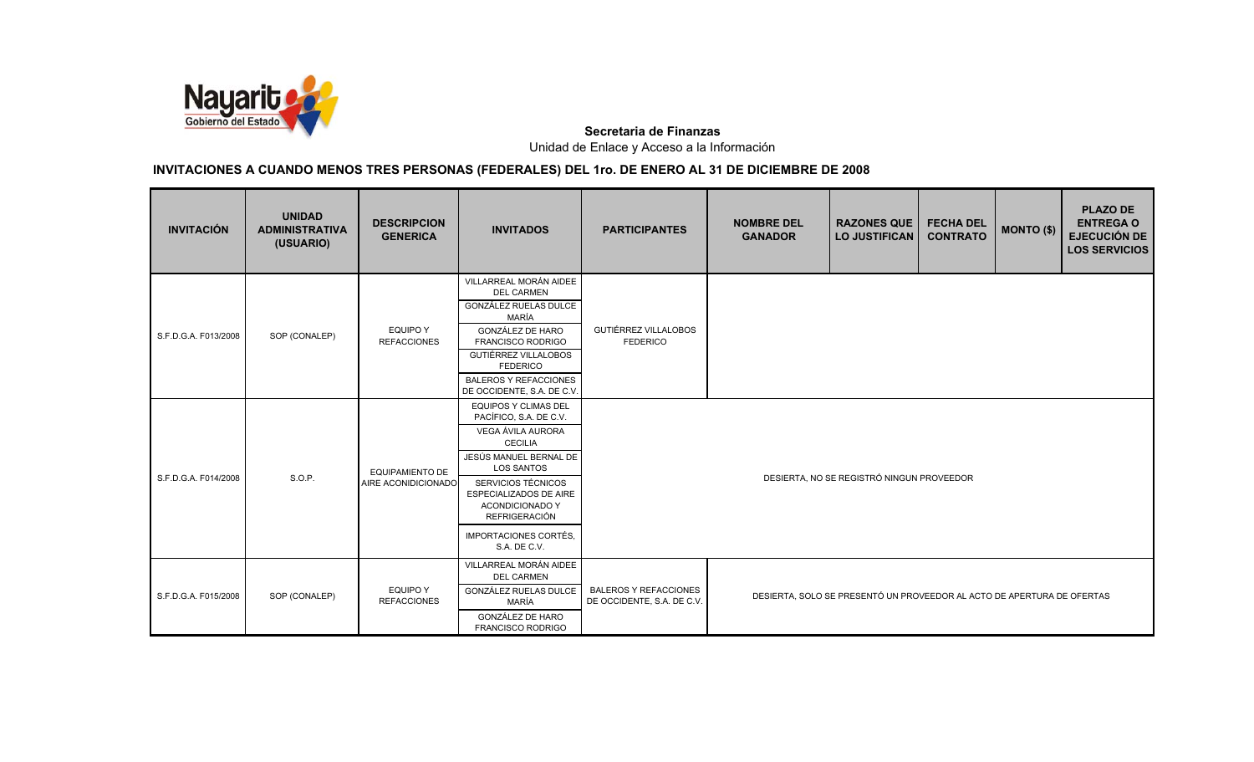

| <b>INVITACIÓN</b>    | <b>UNIDAD</b><br><b>ADMINISTRATIVA</b><br>(USUARIO) | <b>DESCRIPCION</b><br><b>GENERICA</b>         | <b>INVITADOS</b>                                                                                                                                                                                                                                                                              | <b>PARTICIPANTES</b>                                       | <b>NOMBRE DEL</b><br><b>GANADOR</b> | <b>RAZONES QUE</b><br><b>LO JUSTIFICAN</b>                             | <b>FECHA DEL</b><br><b>CONTRATO</b> | MONTO (\$) | <b>PLAZO DE</b><br><b>ENTREGA O</b><br><b>EJECUCIÓN DE</b><br><b>LOS SERVICIOS</b> |
|----------------------|-----------------------------------------------------|-----------------------------------------------|-----------------------------------------------------------------------------------------------------------------------------------------------------------------------------------------------------------------------------------------------------------------------------------------------|------------------------------------------------------------|-------------------------------------|------------------------------------------------------------------------|-------------------------------------|------------|------------------------------------------------------------------------------------|
| S.F.D.G.A. F013/2008 | SOP (CONALEP)                                       | <b>EQUIPO Y</b><br><b>REFACCIONES</b>         | VILLARREAL MORÁN AIDEE<br><b>DEL CARMEN</b><br>GONZÁLEZ RUELAS DULCE<br>MARÍA<br>GONZÁLEZ DE HARO<br>FRANCISCO RODRIGO<br>GUTIÉRREZ VILLALOBOS<br><b>FEDERICO</b><br><b>BALEROS Y REFACCIONES</b><br>DE OCCIDENTE, S.A. DE C.V.                                                               | GUTIÉRREZ VILLALOBOS<br><b>FEDERICO</b>                    |                                     |                                                                        |                                     |            |                                                                                    |
| S.F.D.G.A. F014/2008 | S.O.P.                                              | <b>EQUIPAMIENTO DE</b><br>AIRE ACONIDICIONADO | <b>EQUIPOS Y CLIMAS DEL</b><br>PACÍFICO, S.A. DE C.V.<br>VEGA ÁVILA AURORA<br><b>CECILIA</b><br>JESÚS MANUEL BERNAL DE<br><b>LOS SANTOS</b><br>SERVICIOS TÉCNICOS<br><b>ESPECIALIZADOS DE AIRE</b><br><b>ACONDICIONADO Y</b><br><b>REFRIGERACIÓN</b><br>IMPORTACIONES CORTÉS,<br>S.A. DE C.V. |                                                            |                                     | DESIERTA, NO SE REGISTRÓ NINGUN PROVEEDOR                              |                                     |            |                                                                                    |
| S.F.D.G.A. F015/2008 | SOP (CONALEP)                                       | <b>EQUIPO Y</b><br><b>REFACCIONES</b>         | VILLARREAL MORÁN AIDEE<br><b>DEL CARMEN</b><br>GONZÁLEZ RUELAS DULCE<br>MARÍA<br><b>GONZÁLEZ DE HARO</b><br><b>FRANCISCO RODRIGO</b>                                                                                                                                                          | <b>BALEROS Y REFACCIONES</b><br>DE OCCIDENTE, S.A. DE C.V. |                                     | DESIERTA, SOLO SE PRESENTÓ UN PROVEEDOR AL ACTO DE APERTURA DE OFERTAS |                                     |            |                                                                                    |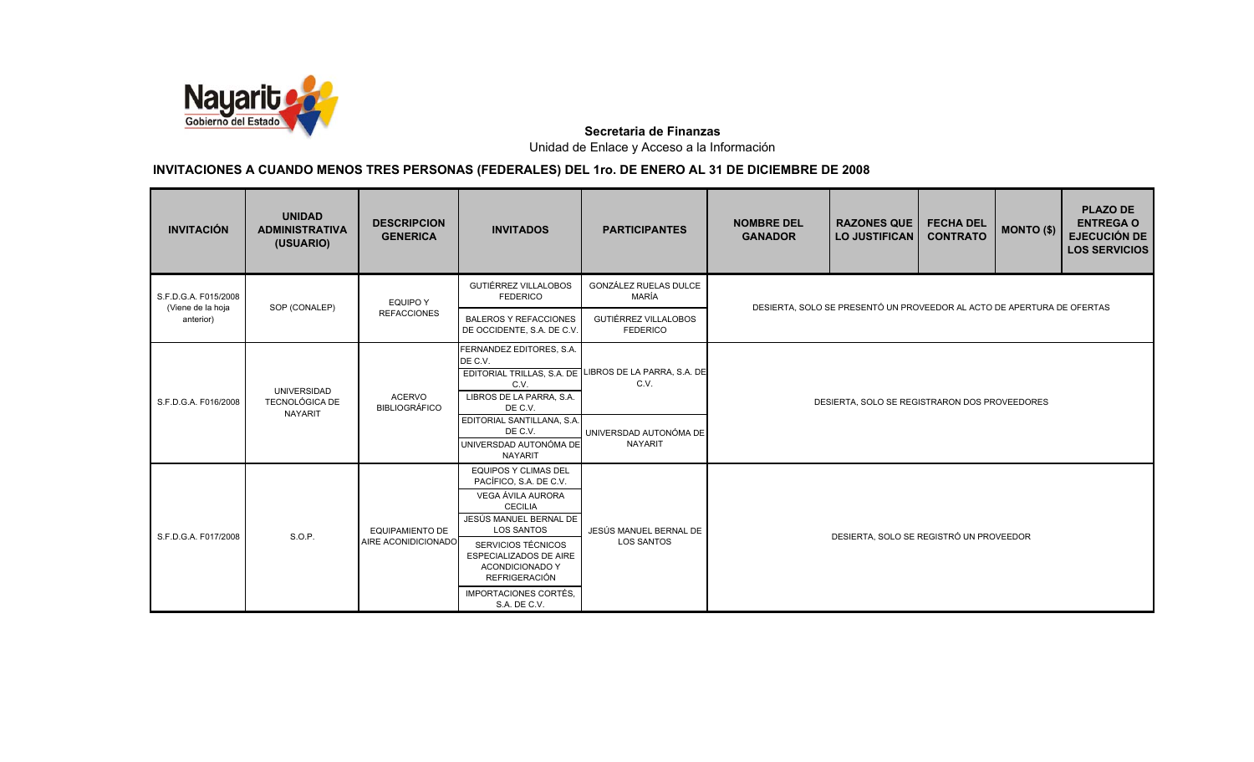

| <b>INVITACIÓN</b>                         | <b>UNIDAD</b><br><b>ADMINISTRATIVA</b><br>(USUARIO) | <b>DESCRIPCION</b><br><b>GENERICA</b>         | <b>INVITADOS</b>                                                                                                                                                                                                                                                                                  | <b>PARTICIPANTES</b>                                                     | <b>NOMBRE DEL</b><br><b>GANADOR</b>     | <b>RAZONES QUE</b><br><b>LO JUSTIFICAN</b>                             | <b>FECHA DEL</b><br><b>CONTRATO</b> | MONTO (\$) | <b>PLAZO DE</b><br><b>ENTREGA O</b><br><b>EJECUCIÓN DE</b><br><b>LOS SERVICIOS</b> |  |
|-------------------------------------------|-----------------------------------------------------|-----------------------------------------------|---------------------------------------------------------------------------------------------------------------------------------------------------------------------------------------------------------------------------------------------------------------------------------------------------|--------------------------------------------------------------------------|-----------------------------------------|------------------------------------------------------------------------|-------------------------------------|------------|------------------------------------------------------------------------------------|--|
| S.F.D.G.A. F015/2008<br>(Viene de la hoja | SOP (CONALEP)                                       | <b>EQUIPO Y</b>                               | <b>GUTIÉRREZ VILLALOBOS</b><br><b>FEDERICO</b>                                                                                                                                                                                                                                                    | GONZÁLEZ RUELAS DULCE<br>MARÍA                                           |                                         | DESIERTA, SOLO SE PRESENTÓ UN PROVEEDOR AL ACTO DE APERTURA DE OFERTAS |                                     |            |                                                                                    |  |
| anterior)                                 |                                                     | <b>REFACCIONES</b>                            | <b>BALEROS Y REFACCIONES</b><br>DE OCCIDENTE, S.A. DE C.V.                                                                                                                                                                                                                                        | GUTIÉRREZ VILLALOBOS<br><b>FEDERICO</b>                                  |                                         |                                                                        |                                     |            |                                                                                    |  |
| S.F.D.G.A. F016/2008                      | UNIVERSIDAD<br>TECNOLÓGICA DE<br><b>NAYARIT</b>     | <b>ACERVO</b><br><b>BIBLIOGRÁFICO</b>         | FERNANDEZ EDITORES, S.A.<br>DE C.V.<br>EDITORIAL TRILLAS, S.A. DE<br>C.V.<br>LIBROS DE LA PARRA, S.A.<br>DE C.V.<br>EDITORIAL SANTILLANA, S.A.<br>DE C.V.<br>UNIVERSDAD AUTONÓMA DE                                                                                                               | LIBROS DE LA PARRA, S.A. DE<br>C.V.<br>UNIVERSDAD AUTONÓMA DE<br>NAYARIT |                                         | DESIERTA, SOLO SE REGISTRARON DOS PROVEEDORES                          |                                     |            |                                                                                    |  |
| S.F.D.G.A. F017/2008                      | S.O.P.                                              | <b>EQUIPAMIENTO DE</b><br>AIRE ACONIDICIONADO | <b>NAYARIT</b><br><b>EQUIPOS Y CLIMAS DEL</b><br>PACÍFICO, S.A. DE C.V.<br>VEGA ÁVILA AURORA<br><b>CECILIA</b><br>JESÚS MANUEL BERNAL DE<br><b>LOS SANTOS</b><br>SERVICIOS TÉCNICOS<br>ESPECIALIZADOS DE AIRE<br>ACONDICIONADO Y<br><b>REFRIGERACIÓN</b><br>IMPORTACIONES CORTÉS,<br>S.A. DE C.V. | JESÚS MANUEL BERNAL DE<br><b>LOS SANTOS</b>                              | DESIERTA, SOLO SE REGISTRÓ UN PROVEEDOR |                                                                        |                                     |            |                                                                                    |  |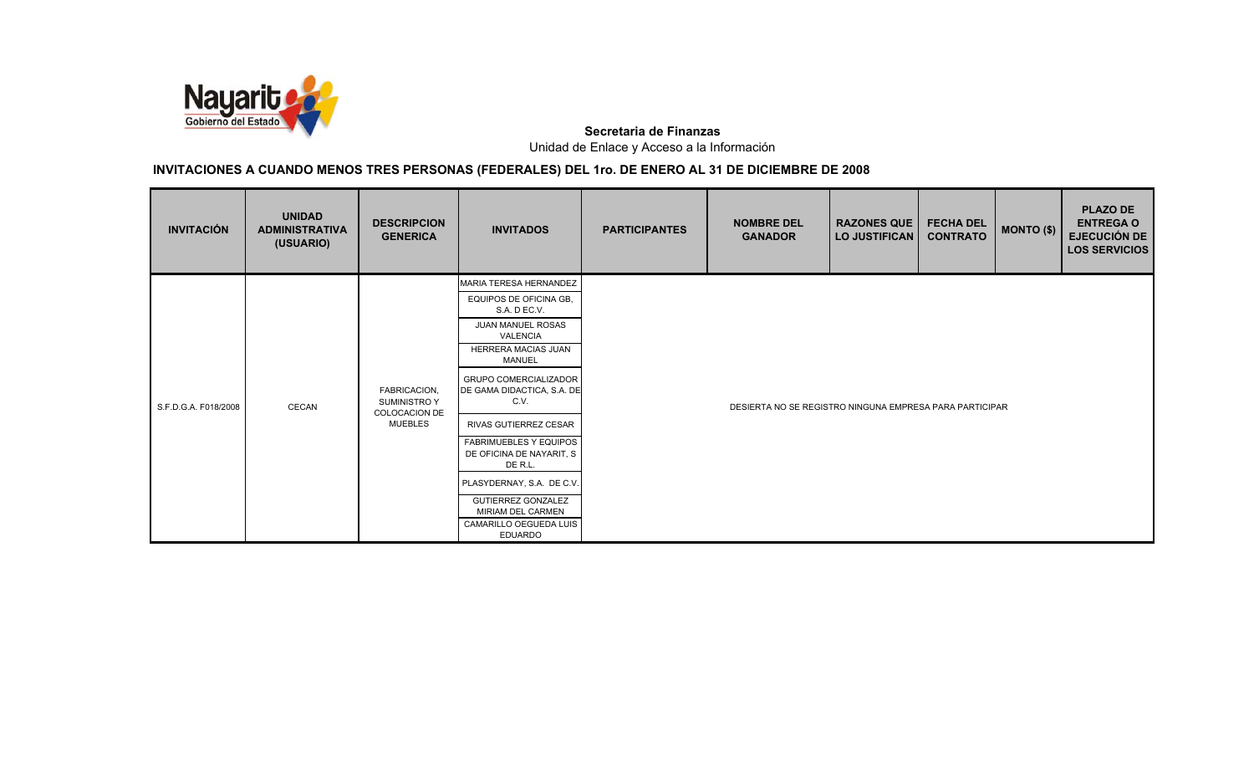

| <b>UNIDAD</b><br><b>ADMINISTRATIVA</b><br>(USUARIO) | <b>DESCRIPCION</b><br><b>GENERICA</b> | <b>INVITADOS</b>                                                         | <b>PARTICIPANTES</b> | <b>NOMBRE DEL</b><br><b>GANADOR</b> | <b>FECHA DEL</b><br><b>CONTRATO</b> |                                            | <b>PLAZO DE</b><br><b>ENTREGA O</b><br><b>EJECUCIÓN DE</b><br><b>LOS SERVICIOS</b> |
|-----------------------------------------------------|---------------------------------------|--------------------------------------------------------------------------|----------------------|-------------------------------------|-------------------------------------|--------------------------------------------|------------------------------------------------------------------------------------|
|                                                     |                                       | MARIA TERESA HERNANDEZ                                                   |                      |                                     |                                     |                                            |                                                                                    |
|                                                     |                                       | EQUIPOS DE OFICINA GB,<br>S.A. D EC.V.                                   |                      |                                     |                                     |                                            |                                                                                    |
|                                                     |                                       | JUAN MANUEL ROSAS<br>VALENCIA                                            |                      |                                     |                                     |                                            |                                                                                    |
|                                                     |                                       | HERRERA MACIAS JUAN<br><b>MANUEL</b>                                     |                      |                                     |                                     |                                            |                                                                                    |
| CECAN                                               | FABRICACION,<br><b>SUMINISTRO Y</b>   | <b>GRUPO COMERCIALIZADOR</b><br>DE GAMA DIDACTICA, S.A. DE<br>C.V.       |                      |                                     |                                     |                                            |                                                                                    |
|                                                     | <b>MUEBLES</b>                        | RIVAS GUTIERREZ CESAR                                                    |                      |                                     |                                     |                                            |                                                                                    |
|                                                     |                                       | <b>FABRIMUEBLES Y EQUIPOS</b><br>DE OFICINA DE NAYARIT, S<br>DE R.L.     |                      |                                     |                                     |                                            |                                                                                    |
|                                                     |                                       | PLASYDERNAY, S.A. DE C.V.                                                |                      |                                     |                                     |                                            |                                                                                    |
|                                                     |                                       | <b>GUTIERREZ GONZALEZ</b><br>MIRIAM DEL CARMEN<br>CAMARILLO OEGUEDA LUIS |                      |                                     |                                     |                                            |                                                                                    |
|                                                     |                                       | <b>COLOCACION DE</b>                                                     | <b>EDUARDO</b>       |                                     |                                     | <b>RAZONES QUE</b><br><b>LO JUSTIFICAN</b> | MONTO (\$)<br>DESIERTA NO SE REGISTRO NINGUNA EMPRESA PARA PARTICIPAR              |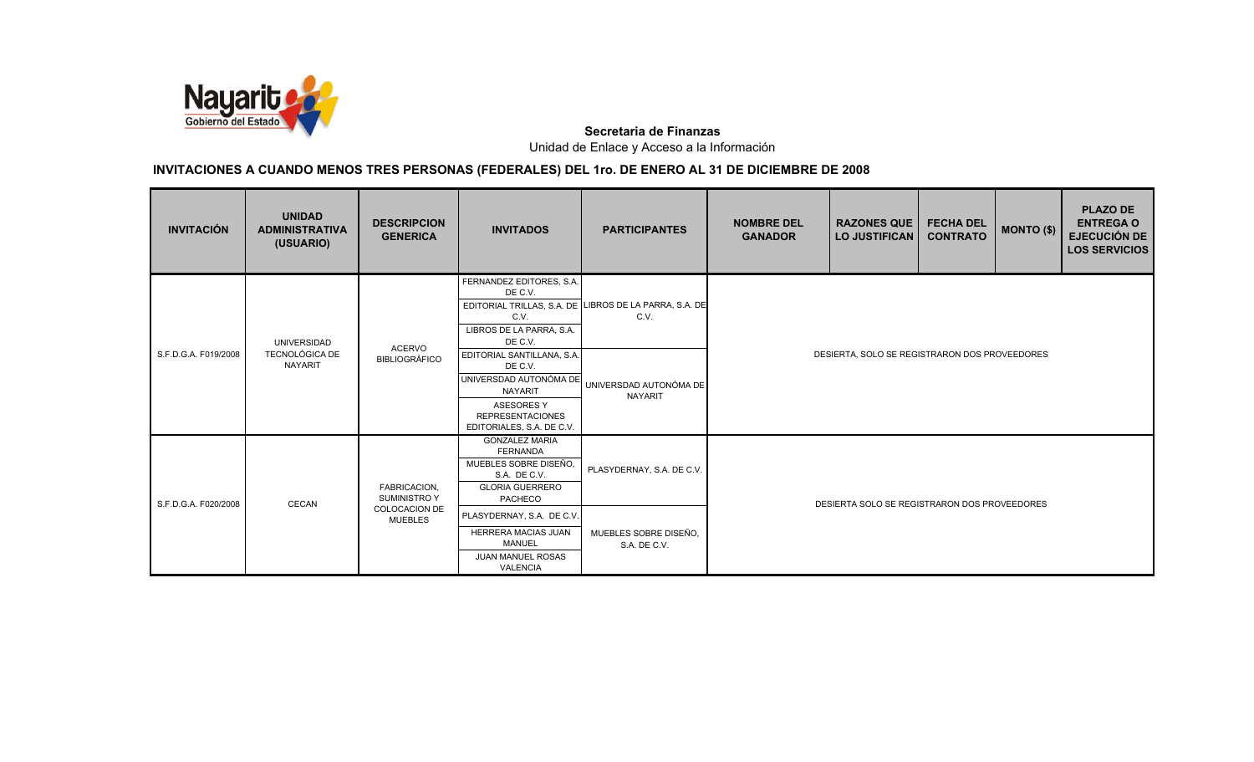

| <b>INVITACIÓN</b>    | <b>UNIDAD</b><br><b>ADMINISTRATIVA</b><br>(USUARIO) | <b>DESCRIPCION</b><br><b>GENERICA</b> | <b>INVITADOS</b>                                                                                                                                               | <b>PARTICIPANTES</b>                                           | <b>NOMBRE DEL</b><br><b>GANADOR</b>           | <b>RAZONES QUE</b><br><b>LO JUSTIFICAN</b> | <b>FECHA DEL</b><br><b>CONTRATO</b> | MONTO (\$) | <b>PLAZO DE</b><br><b>ENTREGA O</b><br><b>EJECUCIÓN DE</b><br><b>LOS SERVICIOS</b> |
|----------------------|-----------------------------------------------------|---------------------------------------|----------------------------------------------------------------------------------------------------------------------------------------------------------------|----------------------------------------------------------------|-----------------------------------------------|--------------------------------------------|-------------------------------------|------------|------------------------------------------------------------------------------------|
|                      | UNIVERSIDAD                                         | <b>ACERVO</b>                         | FERNANDEZ EDITORES, S.A.<br>DE C.V.<br>C.V.<br>LIBROS DE LA PARRA, S.A.<br>DE C.V.                                                                             | EDITORIAL TRILLAS, S.A. DE LIBROS DE LA PARRA, S.A. DE<br>C.V. |                                               |                                            |                                     |            |                                                                                    |
| S.F.D.G.A. F019/2008 | <b>TECNOLÓGICA DE</b><br>NAYARIT                    | <b>BIBLIOGRÁFICO</b>                  | EDITORIAL SANTILLANA, S.A.<br>DE C.V.<br>UNIVERSDAD AUTONÓMA DE<br><b>NAYARIT</b><br><b>ASESORES Y</b><br><b>REPRESENTACIONES</b><br>EDITORIALES, S.A. DE C.V. | UNIVERSDAD AUTONÓMA DE<br><b>NAYARIT</b>                       | DESIERTA, SOLO SE REGISTRARON DOS PROVEEDORES |                                            |                                     |            |                                                                                    |
| S.F.D.G.A. F020/2008 | <b>CECAN</b>                                        | FABRICACION,<br><b>SUMINISTRO Y</b>   | <b>GONZALEZ MARIA</b><br><b>FERNANDA</b><br>MUEBLES SOBRE DISEÑO,<br>S.A. DE C.V.<br><b>GLORIA GUERRERO</b><br>PACHECO                                         | PLASYDERNAY, S.A. DE C.V.                                      | DESIERTA SOLO SE REGISTRARON DOS PROVEEDORES  |                                            |                                     |            |                                                                                    |
|                      |                                                     | COLOCACION DE<br><b>MUEBLES</b>       | PLASYDERNAY, S.A. DE C.V.<br>HERRERA MACIAS JUAN<br><b>MANUEL</b><br>JUAN MANUEL ROSAS<br><b>VALENCIA</b>                                                      | MUEBLES SOBRE DISEÑO,<br>S.A. DE C.V.                          |                                               |                                            |                                     |            |                                                                                    |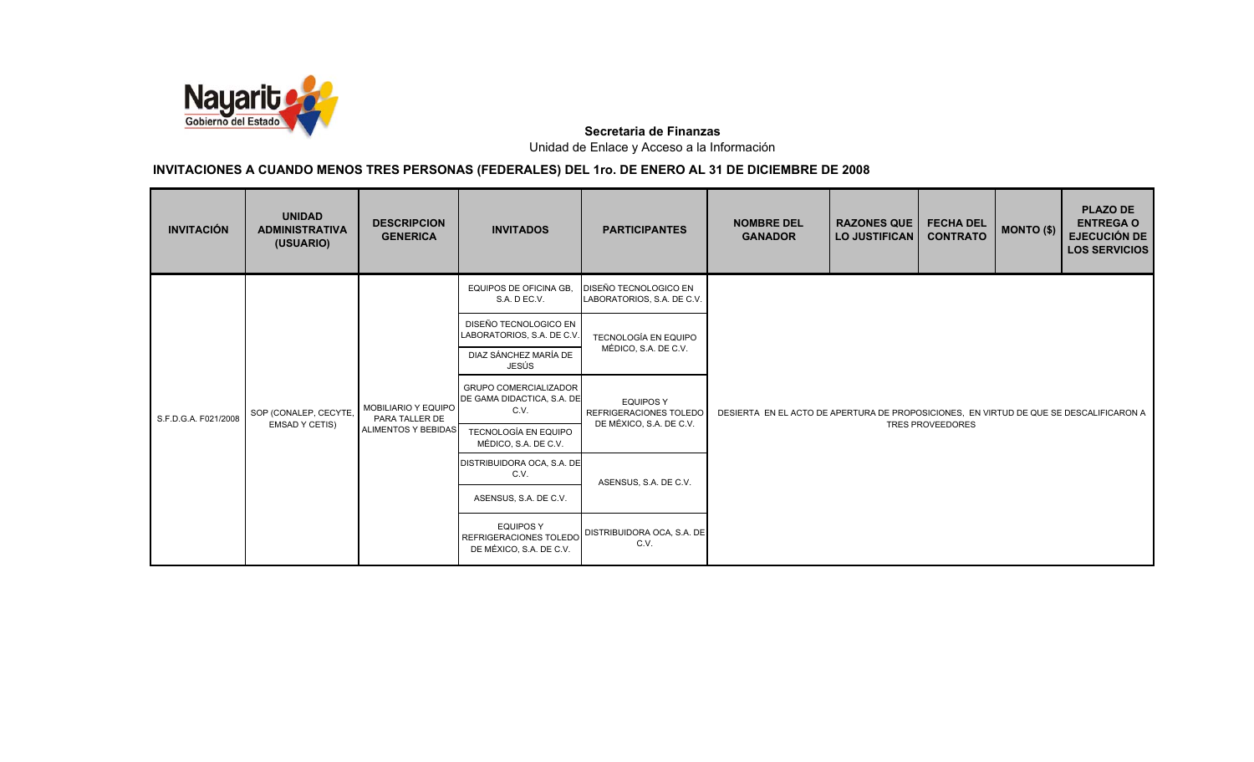

| <b>INVITACIÓN</b>    | <b>UNIDAD</b><br><b>ADMINISTRATIVA</b><br>(USUARIO) | <b>DESCRIPCION</b><br><b>GENERICA</b> | <b>INVITADOS</b>                                                      | <b>PARTICIPANTES</b>                                | <b>NOMBRE DEL</b><br><b>GANADOR</b>                                                    | <b>RAZONES QUE</b><br><b>LO JUSTIFICAN</b> | <b>FECHA DEL</b><br><b>CONTRATO</b> | MONTO (\$) | <b>PLAZO DE</b><br><b>ENTREGA O</b><br><b>EJECUCIÓN DE</b><br><b>LOS SERVICIOS</b> |  |  |
|----------------------|-----------------------------------------------------|---------------------------------------|-----------------------------------------------------------------------|-----------------------------------------------------|----------------------------------------------------------------------------------------|--------------------------------------------|-------------------------------------|------------|------------------------------------------------------------------------------------|--|--|
|                      |                                                     |                                       | EQUIPOS DE OFICINA GB.<br>S.A. D EC.V.                                | DISEÑO TECNOLOGICO EN<br>LABORATORIOS, S.A. DE C.V. |                                                                                        |                                            |                                     |            |                                                                                    |  |  |
|                      |                                                     |                                       | DISEÑO TECNOLOGICO EN<br>LABORATORIOS, S.A. DE C.V.                   | <b>TECNOLOGÍA EN EQUIPO</b>                         |                                                                                        |                                            |                                     |            |                                                                                    |  |  |
|                      |                                                     |                                       | DIAZ SÁNCHEZ MARÍA DE<br>JESÚS                                        | MÉDICO, S.A. DE C.V.                                |                                                                                        |                                            |                                     |            |                                                                                    |  |  |
| S.F.D.G.A. F021/2008 | SOP (CONALEP, CECYTE,                               | MOBILIARIO Y EQUIPO<br>PARA TALLER DE | <b>GRUPO COMERCIALIZADOR</b><br>DE GAMA DIDACTICA, S.A. DE<br>C.V.    | <b>EQUIPOS Y</b><br>REFRIGERACIONES TOLEDO          | DESIERTA EN EL ACTO DE APERTURA DE PROPOSICIONES. EN VIRTUD DE QUE SE DESCALIFICARON A |                                            |                                     |            |                                                                                    |  |  |
|                      | <b>EMSAD Y CETIS)</b>                               | ALIMENTOS Y BEBIDAS                   | <b>TECNOLOGÍA EN EQUIPO</b><br>MÉDICO, S.A. DE C.V.                   | DE MÉXICO, S.A. DE C.V.                             |                                                                                        |                                            | <b>TRES PROVEEDORES</b>             |            |                                                                                    |  |  |
|                      |                                                     |                                       | DISTRIBUIDORA OCA, S.A. DE<br>C.V.                                    | ASENSUS, S.A. DE C.V.                               |                                                                                        |                                            |                                     |            |                                                                                    |  |  |
|                      |                                                     |                                       | ASENSUS, S.A. DE C.V.                                                 |                                                     |                                                                                        |                                            |                                     |            |                                                                                    |  |  |
|                      |                                                     |                                       | <b>EQUIPOS Y</b><br>REFRIGERACIONES TOLEDO<br>DE MÉXICO, S.A. DE C.V. | DISTRIBUIDORA OCA, S.A. DE<br>C.V.                  |                                                                                        |                                            |                                     |            |                                                                                    |  |  |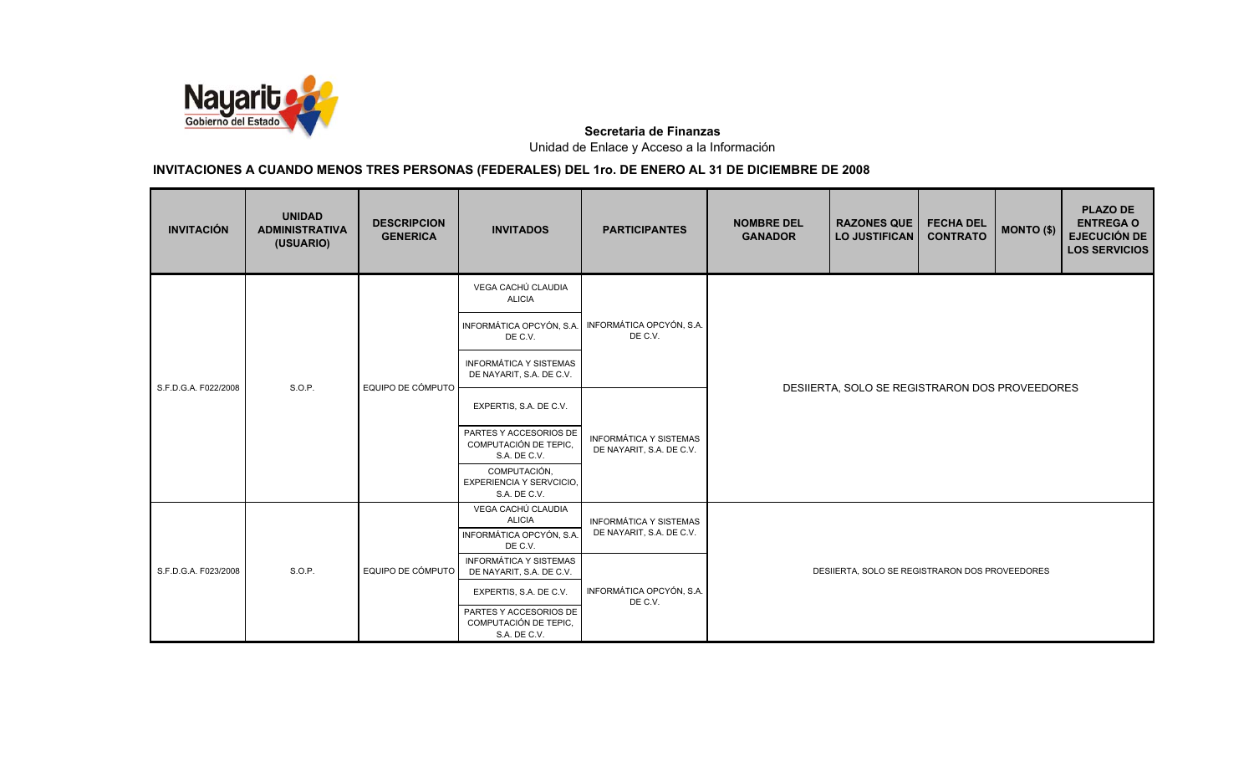

| <b>INVITACIÓN</b>    | <b>UNIDAD</b><br><b>ADMINISTRATIVA</b><br>(USUARIO) | <b>DESCRIPCION</b><br><b>GENERICA</b> | <b>INVITADOS</b>                                                | <b>PARTICIPANTES</b>                                         | <b>NOMBRE DEL</b><br><b>GANADOR</b>            | <b>RAZONES QUE</b><br><b>LO JUSTIFICAN</b>     | <b>FECHA DEL</b><br><b>CONTRATO</b> | <b>MONTO (\$)</b> | <b>PLAZO DE</b><br><b>ENTREGA O</b><br><b>EJECUCIÓN DE</b><br><b>LOS SERVICIOS</b> |  |
|----------------------|-----------------------------------------------------|---------------------------------------|-----------------------------------------------------------------|--------------------------------------------------------------|------------------------------------------------|------------------------------------------------|-------------------------------------|-------------------|------------------------------------------------------------------------------------|--|
|                      |                                                     |                                       | VEGA CACHÚ CLAUDIA<br><b>ALICIA</b>                             |                                                              |                                                |                                                |                                     |                   |                                                                                    |  |
|                      |                                                     |                                       | DE C.V.                                                         | INFORMÁTICA OPCYÓN, S.A. INFORMÁTICA OPCYÓN, S.A.<br>DE C.V. |                                                |                                                |                                     |                   |                                                                                    |  |
|                      | S.O.P.                                              | EQUIPO DE CÓMPUTO                     | <b>INFORMÁTICA Y SISTEMAS</b><br>DE NAYARIT, S.A. DE C.V.       |                                                              | DESIIERTA, SOLO SE REGISTRARON DOS PROVEEDORES |                                                |                                     |                   |                                                                                    |  |
| S.F.D.G.A. F022/2008 |                                                     |                                       | EXPERTIS, S.A. DE C.V.                                          | <b>INFORMÁTICA Y SISTEMAS</b><br>DE NAYARIT, S.A. DE C.V.    |                                                |                                                |                                     |                   |                                                                                    |  |
|                      |                                                     |                                       | PARTES Y ACCESORIOS DE<br>COMPUTACIÓN DE TEPIC.<br>S.A. DE C.V. |                                                              |                                                |                                                |                                     |                   |                                                                                    |  |
|                      |                                                     |                                       | COMPUTACIÓN,<br><b>EXPERIENCIA Y SERVCICIO,</b><br>S.A. DE C.V. |                                                              |                                                |                                                |                                     |                   |                                                                                    |  |
|                      |                                                     |                                       | VEGA CACHÚ CLAUDIA<br><b>ALICIA</b>                             | <b>INFORMÁTICA Y SISTEMAS</b>                                |                                                |                                                |                                     |                   |                                                                                    |  |
|                      |                                                     |                                       | INFORMÁTICA OPCYÓN, S.A.<br>DE C.V.                             | DE NAYARIT, S.A. DE C.V.                                     |                                                |                                                |                                     |                   |                                                                                    |  |
| S.F.D.G.A. F023/2008 | S.O.P.                                              | EQUIPO DE CÓMPUTO                     | <b>INFORMÁTICA Y SISTEMAS</b><br>DE NAYARIT, S.A. DE C.V.       |                                                              |                                                | DESIIERTA, SOLO SE REGISTRARON DOS PROVEEDORES |                                     |                   |                                                                                    |  |
|                      |                                                     |                                       | EXPERTIS, S.A. DE C.V.                                          | INFORMÁTICA OPCYÓN, S.A.<br>DE C.V.                          |                                                |                                                |                                     |                   |                                                                                    |  |
|                      |                                                     |                                       | PARTES Y ACCESORIOS DE<br>COMPUTACIÓN DE TEPIC,<br>S.A. DE C.V. |                                                              |                                                |                                                |                                     |                   |                                                                                    |  |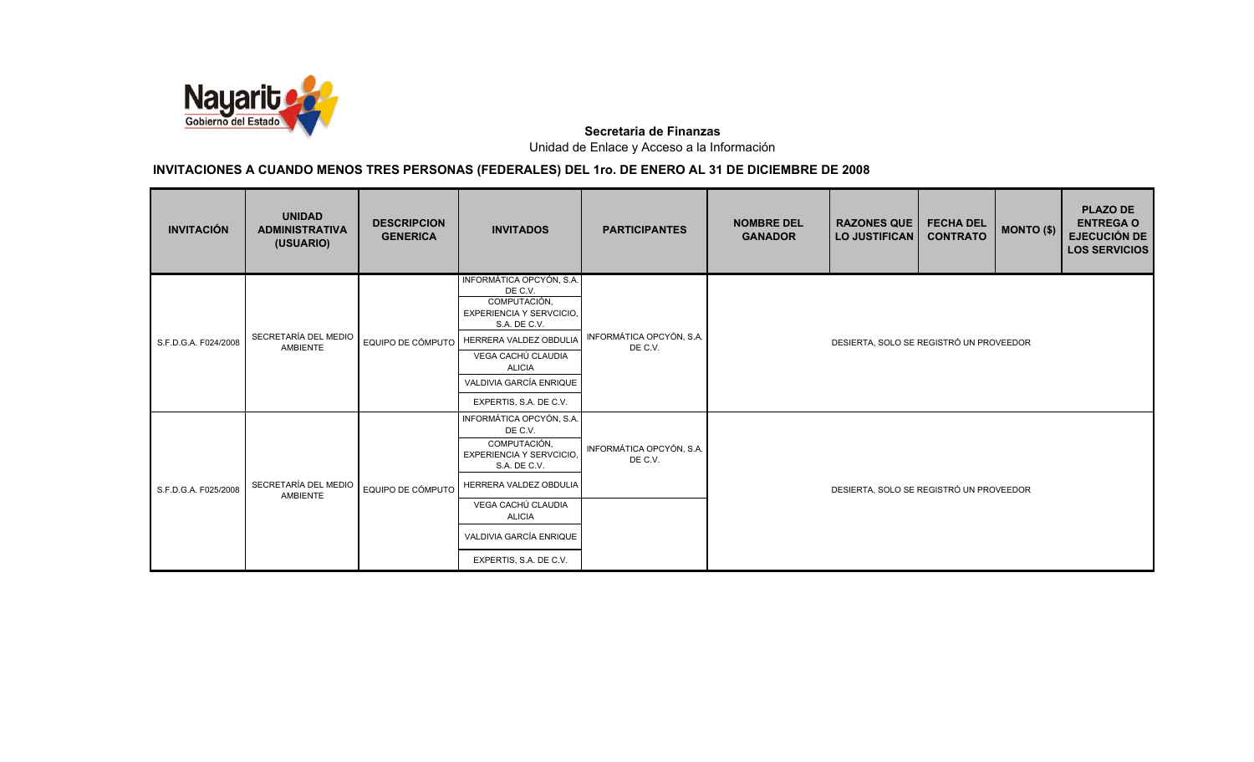

| <b>INVITACIÓN</b>    | <b>UNIDAD</b><br><b>ADMINISTRATIVA</b><br>(USUARIO) | <b>DESCRIPCION</b><br><b>GENERICA</b> | <b>INVITADOS</b>                                                                                | <b>PARTICIPANTES</b>                | <b>NOMBRE DEL</b><br><b>GANADOR</b>     | <b>RAZONES QUE</b><br><b>LO JUSTIFICAN</b> | <b>FECHA DEL</b><br><b>CONTRATO</b> | MONTO (\$) | <b>PLAZO DE</b><br><b>ENTREGA O</b><br><b>EJECUCIÓN DE</b><br><b>LOS SERVICIOS</b> |  |
|----------------------|-----------------------------------------------------|---------------------------------------|-------------------------------------------------------------------------------------------------|-------------------------------------|-----------------------------------------|--------------------------------------------|-------------------------------------|------------|------------------------------------------------------------------------------------|--|
|                      |                                                     |                                       | INFORMÁTICA OPCYÓN, S.A.<br>DE C.V.<br>COMPUTACIÓN,<br>EXPERIENCIA Y SERVCICIO,<br>S.A. DE C.V. |                                     |                                         |                                            |                                     |            |                                                                                    |  |
| S.F.D.G.A. F024/2008 | SECRETARÍA DEL MEDIO<br>AMBIENTE                    | EQUIPO DE CÓMPUTO                     | HERRERA VALDEZ OBDULIA                                                                          | INFORMÁTICA OPCYÓN, S.A.<br>DE C.V. | DESIERTA, SOLO SE REGISTRÓ UN PROVEEDOR |                                            |                                     |            |                                                                                    |  |
|                      |                                                     |                                       | VEGA CACHÚ CLAUDIA<br><b>ALICIA</b>                                                             |                                     |                                         |                                            |                                     |            |                                                                                    |  |
|                      |                                                     |                                       | VALDIVIA GARCÍA ENRIQUE                                                                         |                                     |                                         |                                            |                                     |            |                                                                                    |  |
|                      |                                                     |                                       | EXPERTIS, S.A. DE C.V.                                                                          |                                     |                                         |                                            |                                     |            |                                                                                    |  |
|                      |                                                     |                                       | INFORMÁTICA OPCYÓN, S.A.<br>DE C.V.<br>COMPUTACIÓN,<br>EXPERIENCIA Y SERVCICIO,<br>S.A. DE C.V. | INFORMÁTICA OPCYÓN, S.A.<br>DE C.V. |                                         |                                            |                                     |            |                                                                                    |  |
| S.F.D.G.A. F025/2008 | SECRETARÍA DEL MEDIO<br>AMBIENTE                    | EQUIPO DE CÓMPUTO                     | HERRERA VALDEZ OBDULIA                                                                          |                                     |                                         | DESIERTA, SOLO SE REGISTRÓ UN PROVEEDOR    |                                     |            |                                                                                    |  |
|                      |                                                     |                                       | VEGA CACHÚ CLAUDIA<br><b>ALICIA</b>                                                             |                                     |                                         |                                            |                                     |            |                                                                                    |  |
|                      |                                                     |                                       | VALDIVIA GARCÍA ENRIQUE                                                                         |                                     |                                         |                                            |                                     |            |                                                                                    |  |
|                      |                                                     |                                       | EXPERTIS, S.A. DE C.V.                                                                          |                                     |                                         |                                            |                                     |            |                                                                                    |  |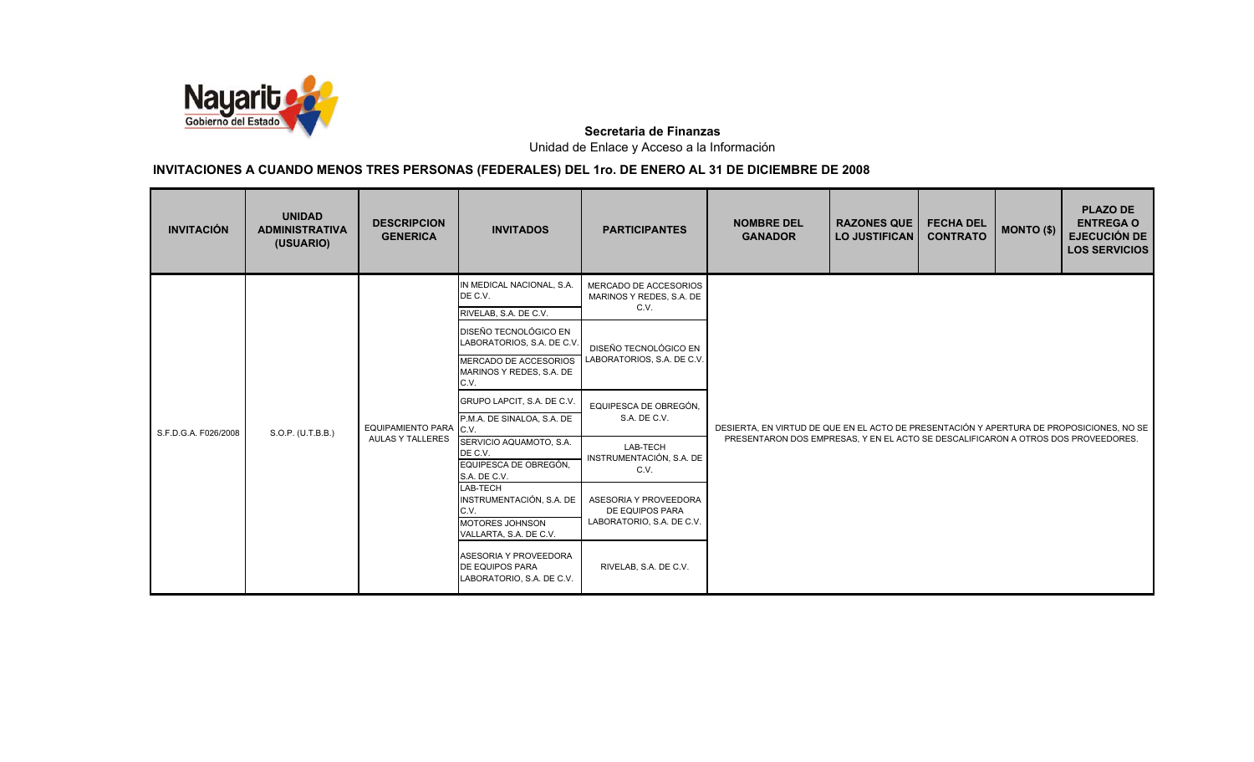

| <b>INVITACIÓN</b>    | <b>UNIDAD</b><br><b>ADMINISTRATIVA</b><br>(USUARIO) | <b>DESCRIPCION</b><br><b>GENERICA</b>             | <b>INVITADOS</b>                                                                                 | <b>PARTICIPANTES</b>                                                  | <b>NOMBRE DEL</b><br><b>GANADOR</b>                                               | <b>RAZONES QUE</b><br><b>LO JUSTIFICAN</b>                                               | <b>FECHA DEL</b><br><b>CONTRATO</b> | <b>MONTO (\$)</b> | <b>PLAZO DE</b><br><b>ENTREGA O</b><br><b>EJECUCIÓN DE</b><br><b>LOS SERVICIOS</b> |  |
|----------------------|-----------------------------------------------------|---------------------------------------------------|--------------------------------------------------------------------------------------------------|-----------------------------------------------------------------------|-----------------------------------------------------------------------------------|------------------------------------------------------------------------------------------|-------------------------------------|-------------------|------------------------------------------------------------------------------------|--|
|                      |                                                     |                                                   | IN MEDICAL NACIONAL, S.A.<br>DE C.V.<br>RIVELAB, S.A. DE C.V.                                    | MERCADO DE ACCESORIOS<br>MARINOS Y REDES, S.A. DE<br>C.V.             |                                                                                   |                                                                                          |                                     |                   |                                                                                    |  |
|                      |                                                     |                                                   | DISEÑO TECNOLÓGICO EN<br>LABORATORIOS, S.A. DE C.V.                                              | DISEÑO TECNOLÓGICO EN                                                 |                                                                                   |                                                                                          |                                     |                   |                                                                                    |  |
|                      |                                                     | EQUIPAMIENTO PARA C.V.<br><b>AULAS Y TALLERES</b> | MERCADO DE ACCESORIOS<br>MARINOS Y REDES, S.A. DE<br>C.V.                                        | LABORATORIOS, S.A. DE C.V.                                            |                                                                                   |                                                                                          |                                     |                   |                                                                                    |  |
|                      |                                                     |                                                   | GRUPO LAPCIT, S.A. DE C.V.<br>P.M.A. DE SINALOA, S.A. DE                                         | EQUIPESCA DE OBREGÓN,<br>S.A. DE C.V.                                 |                                                                                   | DESIERTA, EN VIRTUD DE QUE EN EL ACTO DE PRESENTACIÓN Y APERTURA DE PROPOSICIONES, NO SE |                                     |                   |                                                                                    |  |
| S.F.D.G.A. F026/2008 | S.O.P. (U.T.B.B.)                                   |                                                   | SERVICIO AQUAMOTO, S.A.<br>DE C.V.<br>EQUIPESCA DE OBREGÓN.<br>S.A. DE C.V.                      | LAB-TECH<br>INSTRUMENTACIÓN, S.A. DE<br>C.V.                          | PRESENTARON DOS EMPRESAS, Y EN EL ACTO SE DESCALIFICARON A OTROS DOS PROVEEDORES. |                                                                                          |                                     |                   |                                                                                    |  |
|                      |                                                     |                                                   | LAB-TECH<br>INSTRUMENTACIÓN, S.A. DE<br>C.V.<br><b>MOTORES JOHNSON</b><br>VALLARTA, S.A. DE C.V. | ASESORIA Y PROVEEDORA<br>DE EQUIPOS PARA<br>LABORATORIO, S.A. DE C.V. |                                                                                   |                                                                                          |                                     |                   |                                                                                    |  |
|                      |                                                     |                                                   | ASESORIA Y PROVEEDORA<br>DE EQUIPOS PARA<br>LABORATORIO, S.A. DE C.V.                            | RIVELAB, S.A. DE C.V.                                                 |                                                                                   |                                                                                          |                                     |                   |                                                                                    |  |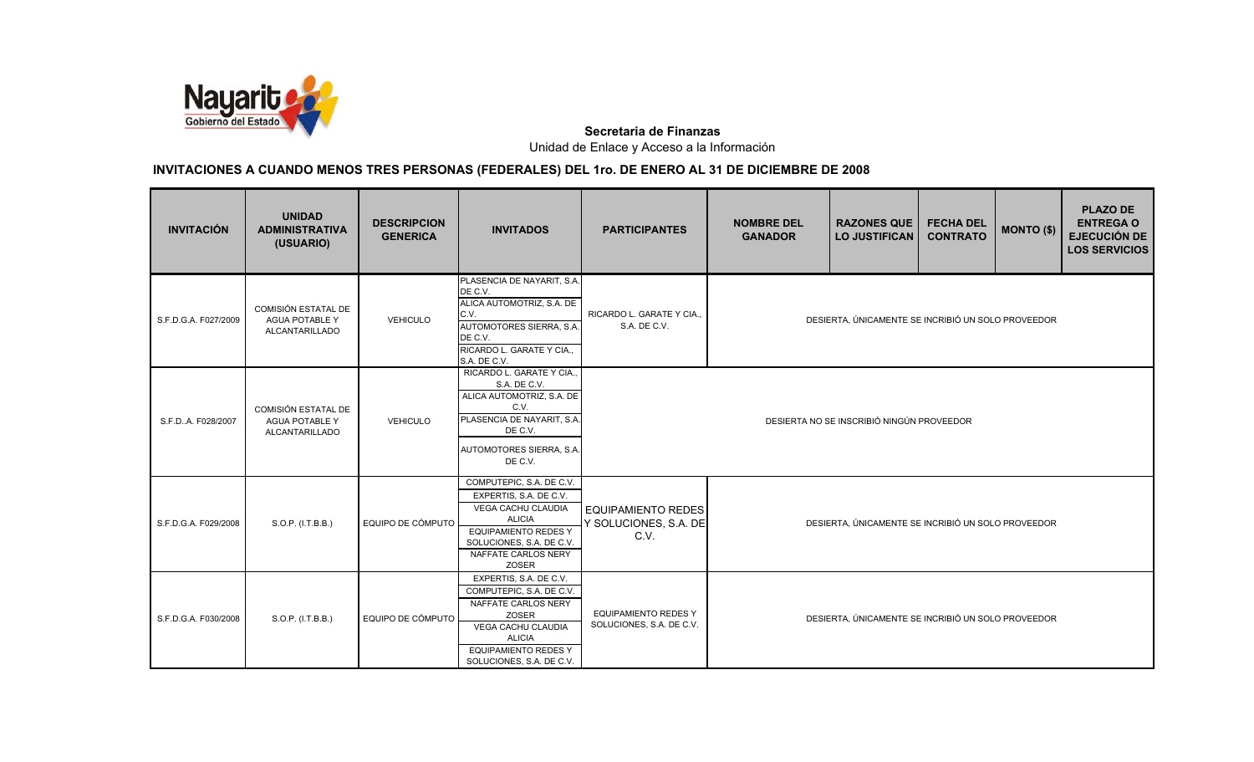

| <b>INVITACIÓN</b>    | <b>UNIDAD</b><br><b>ADMINISTRATIVA</b><br>(USUARIO)                          | <b>DESCRIPCION</b><br><b>GENERICA</b> | <b>INVITADOS</b>                                                                                                                                                                            | <b>PARTICIPANTES</b>                                       | <b>NOMBRE DEL</b><br><b>GANADOR</b>                | <b>RAZONES QUE</b><br><b>LO JUSTIFICAN</b>         | <b>FECHA DEL</b><br><b>CONTRATO</b> | <b>MONTO (\$)</b> | <b>PLAZO DE</b><br><b>ENTREGA O</b><br><b>EJECUCIÓN DE</b><br><b>LOS SERVICIOS</b> |  |
|----------------------|------------------------------------------------------------------------------|---------------------------------------|---------------------------------------------------------------------------------------------------------------------------------------------------------------------------------------------|------------------------------------------------------------|----------------------------------------------------|----------------------------------------------------|-------------------------------------|-------------------|------------------------------------------------------------------------------------|--|
| S.F.D.G.A. F027/2009 | <b>COMISIÓN ESTATAL DE</b><br><b>AGUA POTABLE Y</b><br><b>ALCANTARILLADO</b> | <b>VEHICULO</b>                       | PLASENCIA DE NAYARIT, S.A.<br>DE C.V.<br>ALICA AUTOMOTRIZ, S.A. DE<br>C.V.<br>AUTOMOTORES SIERRA, S.A.<br>DE C.V.<br>RICARDO L. GARATE Y CIA.,<br>S.A. DE C.V.                              | RICARDO L. GARATE Y CIA.,<br>S.A. DE C.V.                  |                                                    | DESIERTA, ÚNICAMENTE SE INCRIBIÓ UN SOLO PROVEEDOR |                                     |                   |                                                                                    |  |
| S.F.D.,A. F028/2007  | COMISIÓN ESTATAL DE<br><b>AGUA POTABLE Y</b><br>ALCANTARILLADO               | <b>VEHICULO</b>                       | RICARDO L. GARATE Y CIA.,<br>S.A. DE C.V.<br>ALICA AUTOMOTRIZ, S.A. DE<br>C.V.<br>PLASENCIA DE NAYARIT, S.A.<br>DE C.V.<br>AUTOMOTORES SIERRA, S.A.<br>DE C.V.                              |                                                            | DESIERTA NO SE INSCRIBIÓ NINGÚN PROVEEDOR          |                                                    |                                     |                   |                                                                                    |  |
| S.F.D.G.A. F029/2008 | S.O.P. (I.T.B.B.)                                                            | EQUIPO DE CÓMPUTO                     | COMPUTEPIC, S.A. DE C.V.<br>EXPERTIS, S.A. DE C.V.<br>VEGA CACHU CLAUDIA<br><b>ALICIA</b><br><b>EQUIPAMIENTO REDES Y</b><br>SOLUCIONES, S.A. DE C.V.<br>NAFFATE CARLOS NERY<br><b>ZOSER</b> | <b>EQUIPAMIENTO REDES</b><br>Y SOLUCIONES, S.A. DE<br>C.V. | DESIERTA, ÚNICAMENTE SE INCRIBIÓ UN SOLO PROVEEDOR |                                                    |                                     |                   |                                                                                    |  |
| S.F.D.G.A. F030/2008 | S.O.P. (I.T.B.B.)                                                            | EQUIPO DE CÓMPUTO                     | EXPERTIS, S.A. DE C.V.<br>COMPUTEPIC, S.A. DE C.V.<br>NAFFATE CARLOS NERY<br>ZOSER<br><b>VEGA CACHU CLAUDIA</b><br><b>ALICIA</b><br><b>EQUIPAMIENTO REDES Y</b><br>SOLUCIONES, S.A. DE C.V. | <b>EQUIPAMIENTO REDES Y</b><br>SOLUCIONES, S.A. DE C.V.    | DESIERTA, ÚNICAMENTE SE INCRIBIÓ UN SOLO PROVEEDOR |                                                    |                                     |                   |                                                                                    |  |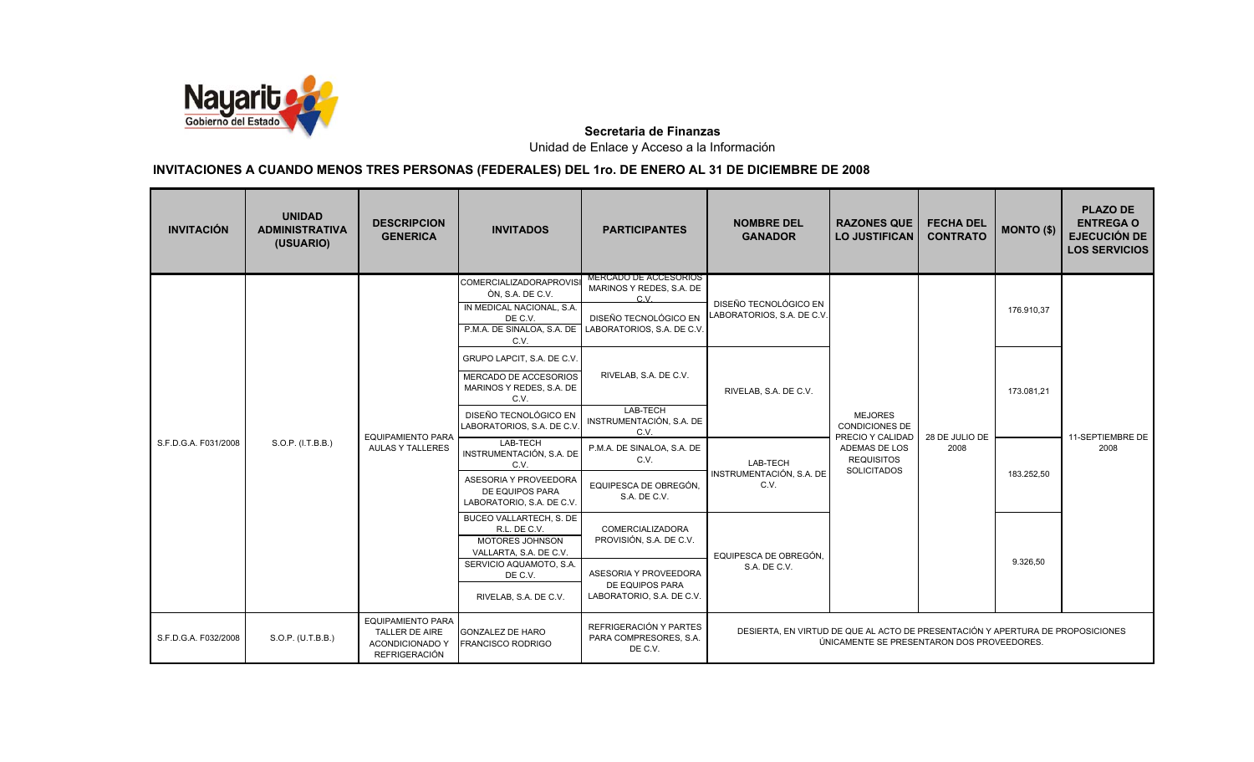

| <b>INVITACIÓN</b>    | <b>UNIDAD</b><br><b>ADMINISTRATIVA</b><br>(USUARIO) | <b>DESCRIPCION</b><br><b>GENERICA</b>                                                 | <b>INVITADOS</b>                                                                            | <b>PARTICIPANTES</b>                                            | <b>NOMBRE DEL</b><br><b>GANADOR</b>                                            | <b>RAZONES QUE</b><br><b>LO JUSTIFICAN</b>                  | <b>FECHA DEL</b><br><b>CONTRATO</b> | <b>MONTO (\$)</b> | <b>PLAZO DE</b><br><b>ENTREGA O</b><br><b>EJECUCIÓN DE</b><br><b>LOS SERVICIOS</b> |
|----------------------|-----------------------------------------------------|---------------------------------------------------------------------------------------|---------------------------------------------------------------------------------------------|-----------------------------------------------------------------|--------------------------------------------------------------------------------|-------------------------------------------------------------|-------------------------------------|-------------------|------------------------------------------------------------------------------------|
|                      |                                                     |                                                                                       | <b>COMERCIALIZADORAPROVIS</b><br>ÒN, S.A. DE C.V.                                           | <b>MERCADO DE ACCESORIOS</b><br>MARINOS Y REDES, S.A. DE<br>C.V | DISEÑO TECNOLÓGICO EN                                                          |                                                             |                                     |                   |                                                                                    |
|                      |                                                     |                                                                                       | IN MEDICAL NACIONAL, S.A.<br>DE C.V.<br>P.M.A. DE SINALOA, S.A. DE<br>C.V.                  | DISEÑO TECNOLÓGICO EN<br>LABORATORIOS, S.A. DE C.V.             | LABORATORIOS, S.A. DE C.V.                                                     |                                                             |                                     | 176.910,37        |                                                                                    |
|                      |                                                     |                                                                                       | GRUPO LAPCIT, S.A. DE C.V.<br>MERCADO DE ACCESORIOS<br>MARINOS Y REDES, S.A. DE<br>C.V.     | RIVELAB, S.A. DE C.V.                                           | RIVELAB, S.A. DE C.V.                                                          |                                                             |                                     | 173.081,21        |                                                                                    |
|                      | S.O.P. (I.T.B.B.)                                   | <b>EQUIPAMIENTO PARA</b><br><b>AULAS Y TALLERES</b>                                   | DISEÑO TECNOLÓGICO EN<br>LABORATORIOS, S.A. DE C.V                                          | LAB-TECH<br>INSTRUMENTACIÓN, S.A. DE<br>C.V.                    |                                                                                | <b>MEJORES</b><br><b>CONDICIONES DE</b><br>PRECIO Y CALIDAD | 28 DE JULIO DE<br>2008              |                   | 11-SEPTIEMBRE DE                                                                   |
| S.F.D.G.A. F031/2008 |                                                     |                                                                                       | LAB-TECH<br>INSTRUMENTACIÓN, S.A. DE<br>C.V.                                                | P.M.A. DE SINALOA, S.A. DE<br>C.V.                              | LAB-TECH                                                                       | ADEMAS DE LOS<br><b>REQUISITOS</b><br><b>SOLICITADOS</b>    |                                     |                   | 2008                                                                               |
|                      |                                                     |                                                                                       | ASESORIA Y PROVEEDORA<br>DE EQUIPOS PARA<br>LABORATORIO, S.A. DE C.V.                       | EQUIPESCA DE OBREGÓN,<br>S.A. DE C.V.                           | INSTRUMENTACIÓN, S.A. DE<br>C.V.                                               |                                                             |                                     | 183.252,50        |                                                                                    |
|                      |                                                     |                                                                                       | BUCEO VALLARTECH, S. DE<br>R.L. DE C.V.<br><b>MOTORES JOHNSON</b><br>VALLARTA, S.A. DE C.V. | COMERCIALIZADORA<br>PROVISIÓN, S.A. DE C.V.                     | EQUIPESCA DE OBREGÓN.                                                          |                                                             |                                     |                   |                                                                                    |
|                      |                                                     |                                                                                       | SERVICIO AQUAMOTO, S.A.<br>DE C.V.                                                          | ASESORIA Y PROVEEDORA<br>DE EQUIPOS PARA                        | S.A. DE C.V.                                                                   |                                                             |                                     | 9.326.50          |                                                                                    |
|                      |                                                     |                                                                                       | RIVELAB, S.A. DE C.V.                                                                       | LABORATORIO, S.A. DE C.V.                                       |                                                                                |                                                             |                                     |                   |                                                                                    |
| S.F.D.G.A. F032/2008 | S.O.P. (U.T.B.B.)                                   | <b>EQUIPAMIENTO PARA</b><br>TALLER DE AIRE<br><b>ACONDICIONADO Y</b><br>REFRIGERACIÓN | <b>GONZALEZ DE HARO</b><br><b>FRANCISCO RODRIGO</b>                                         | REFRIGERACIÓN Y PARTES<br>PARA COMPRESORES, S.A.<br>DE C.V.     | DESIERTA, EN VIRTUD DE QUE AL ACTO DE PRESENTACIÓN Y APERTURA DE PROPOSICIONES | ÚNICAMENTE SE PRESENTARON DOS PROVEEDORES.                  |                                     |                   |                                                                                    |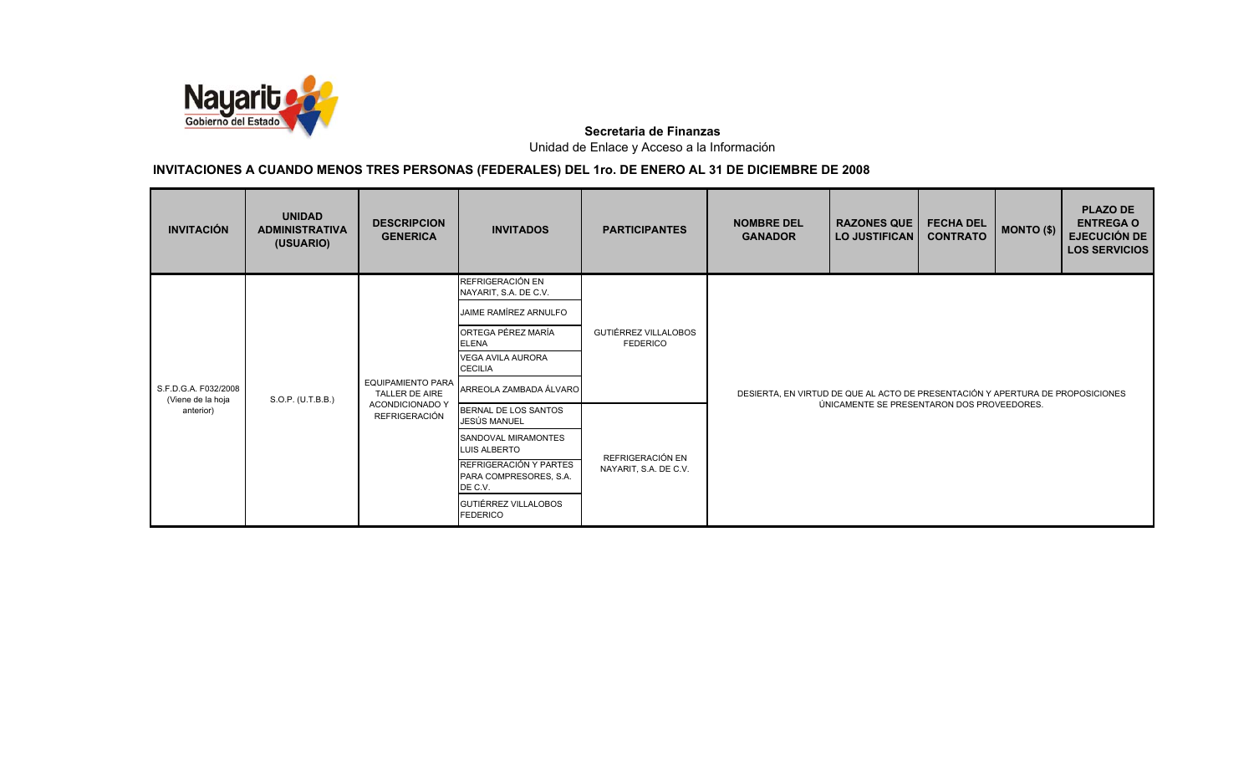

| <b>INVITACIÓN</b>                         | <b>UNIDAD</b><br><b>ADMINISTRATIVA</b><br>(USUARIO) | <b>DESCRIPCION</b><br><b>GENERICA</b>             | <b>INVITADOS</b>                                            | <b>PARTICIPANTES</b>                           | <b>NOMBRE DEL</b><br><b>GANADOR</b>                                            | <b>RAZONES QUE</b><br><b>LO JUSTIFICAN</b> | <b>FECHA DEL</b><br><b>CONTRATO</b> | <b>MONTO (\$)</b> | <b>PLAZO DE</b><br><b>ENTREGA O</b><br><b>EJECUCIÓN DE</b><br><b>LOS SERVICIOS</b> |  |
|-------------------------------------------|-----------------------------------------------------|---------------------------------------------------|-------------------------------------------------------------|------------------------------------------------|--------------------------------------------------------------------------------|--------------------------------------------|-------------------------------------|-------------------|------------------------------------------------------------------------------------|--|
|                                           |                                                     |                                                   | REFRIGERACIÓN EN<br>NAYARIT, S.A. DE C.V.                   |                                                |                                                                                |                                            |                                     |                   |                                                                                    |  |
|                                           |                                                     |                                                   | JAIME RAMÍREZ ARNULFO<br>ORTEGA PÉREZ MARÍA<br><b>ELENA</b> | <b>GUTIÉRREZ VILLALOBOS</b><br><b>FEDERICO</b> |                                                                                |                                            |                                     |                   |                                                                                    |  |
|                                           |                                                     | <b>EQUIPAMIENTO PARA</b><br><b>TALLER DE AIRE</b> | <b>VEGA AVILA AURORA</b><br><b>CECILIA</b>                  |                                                |                                                                                |                                            |                                     |                   |                                                                                    |  |
| S.F.D.G.A. F032/2008<br>(Viene de la hoja | S.O.P. (U.T.B.B.)                                   |                                                   | ARREOLA ZAMBADA ÁLVARO                                      |                                                | DESIERTA, EN VIRTUD DE QUE AL ACTO DE PRESENTACIÓN Y APERTURA DE PROPOSICIONES |                                            |                                     |                   |                                                                                    |  |
| anterior)                                 |                                                     | <b>ACONDICIONADO Y</b><br><b>REFRIGERACIÓN</b>    | BERNAL DE LOS SANTOS<br>JESÚS MANUEL                        |                                                | ÚNICAMENTE SE PRESENTARON DOS PROVEEDORES.                                     |                                            |                                     |                   |                                                                                    |  |
|                                           |                                                     |                                                   | <b>SANDOVAL MIRAMONTES</b><br><b>LUIS ALBERTO</b>           |                                                |                                                                                |                                            |                                     |                   |                                                                                    |  |
|                                           |                                                     |                                                   | REFRIGERACIÓN Y PARTES<br>PARA COMPRESORES, S.A.<br>DE C.V. | REFRIGERACIÓN EN<br>NAYARIT, S.A. DE C.V.      |                                                                                |                                            |                                     |                   |                                                                                    |  |
|                                           |                                                     |                                                   | GUTIÉRREZ VILLALOBOS<br><b>FEDERICO</b>                     |                                                |                                                                                |                                            |                                     |                   |                                                                                    |  |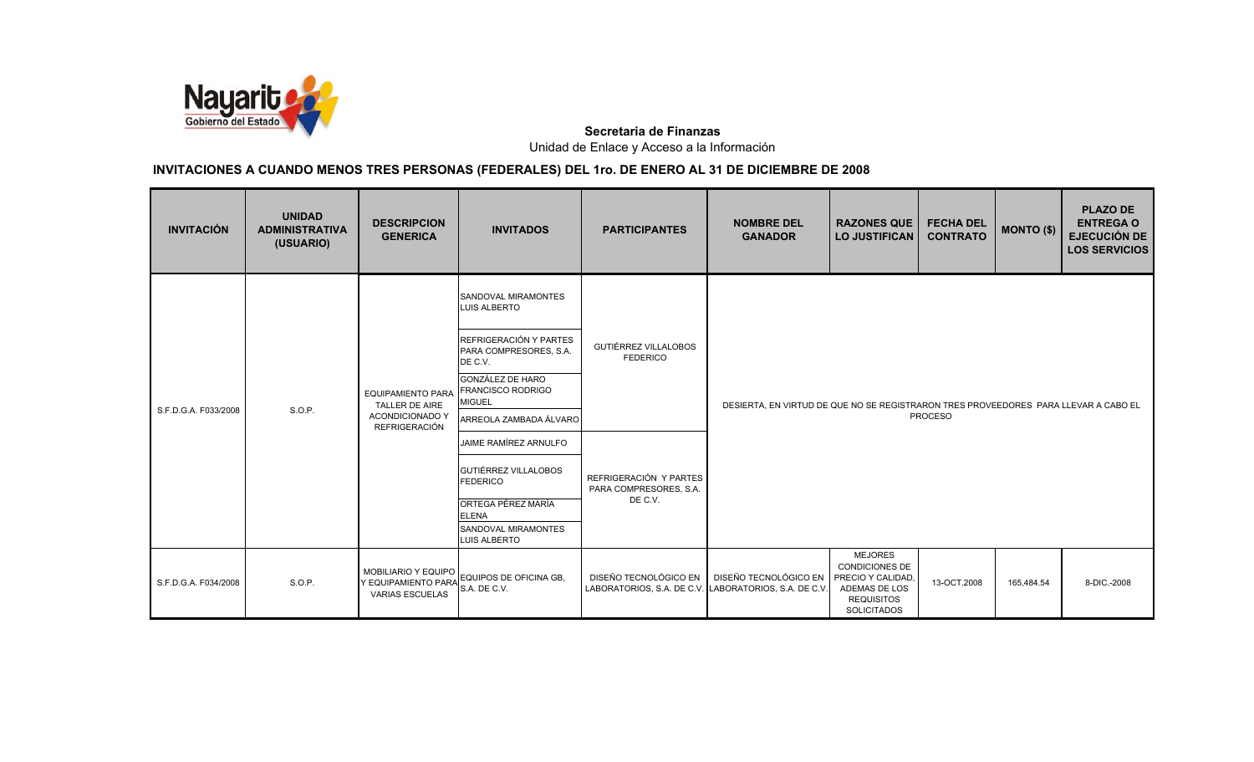

| <b>INVITACIÓN</b>    | <b>UNIDAD</b><br><b>ADMINISTRATIVA</b><br>(USUARIO) | <b>DESCRIPCION</b><br><b>GENERICA</b>                                       | <b>INVITADOS</b>                                                                                                                                                                                                                                                                                                                                                               | <b>PARTICIPANTES</b>                                                                                          | <b>NOMBRE DEL</b><br><b>GANADOR</b>                                                 | <b>RAZONES QUE</b><br><b>LO JUSTIFICAN</b>                                                                              | <b>FECHA DEL</b><br><b>CONTRATO</b> | <b>MONTO (\$)</b> | <b>PLAZO DE</b><br><b>ENTREGA O</b><br><b>EJECUCIÓN DE</b><br><b>LOS SERVICIOS</b> |
|----------------------|-----------------------------------------------------|-----------------------------------------------------------------------------|--------------------------------------------------------------------------------------------------------------------------------------------------------------------------------------------------------------------------------------------------------------------------------------------------------------------------------------------------------------------------------|---------------------------------------------------------------------------------------------------------------|-------------------------------------------------------------------------------------|-------------------------------------------------------------------------------------------------------------------------|-------------------------------------|-------------------|------------------------------------------------------------------------------------|
| S.F.D.G.A. F033/2008 | S.O.P.                                              | <b>TALLER DE AIRE</b><br><b>ACONDICIONADO Y</b><br><b>REFRIGERACIÓN</b>     | SANDOVAL MIRAMONTES<br>LUIS ALBERTO<br>REFRIGERACIÓN Y PARTES<br>PARA COMPRESORES, S.A.<br>DE C.V.<br><b>GONZÁLEZ DE HARO</b><br>EQUIPAMIENTO PARA FRANCISCO RODRIGO<br><b>MIGUEL</b><br>ARREOLA ZAMBADA ÁLVARO<br>JAIME RAMÍREZ ARNULFO<br><b>GUTIÉRREZ VILLALOBOS</b><br><b>FEDERICO</b><br>ORTEGA PÉREZ MARÍA<br><b>ELENA</b><br>SANDOVAL MIRAMONTES<br><b>LUIS ALBERTO</b> | <b>GUTIÉRREZ VILLALOBOS</b><br><b>FEDERICO</b><br>REFRIGERACIÓN Y PARTES<br>PARA COMPRESORES, S.A.<br>DE C.V. | DESIERTA, EN VIRTUD DE QUE NO SE REGISTRARON TRES PROVEEDORES PARA LLEVAR A CABO EL |                                                                                                                         | <b>PROCESO</b>                      |                   |                                                                                    |
| S.F.D.G.A. F034/2008 | S.O.P.                                              | <b>MOBILIARIO Y EQUIPO</b><br>Y EQUIPAMIENTO PARA<br><b>VARIAS ESCUELAS</b> | EQUIPOS DE OFICINA GB.<br>S.A. DE C.V.                                                                                                                                                                                                                                                                                                                                         | DISEÑO TECNOLÓGICO EN<br>LABORATORIOS, S.A. DE C.V. LABORATORIOS, S.A. DE C.V.                                | DISEÑO TECNOLÓGICO EN                                                               | <b>MEJORES</b><br><b>CONDICIONES DE</b><br>PRECIO Y CALIDAD<br>ADEMAS DE LOS<br><b>REQUISITOS</b><br><b>SOLICITADOS</b> | 13-OCT.2008                         | 165,484.54        | 8-DIC .- 2008                                                                      |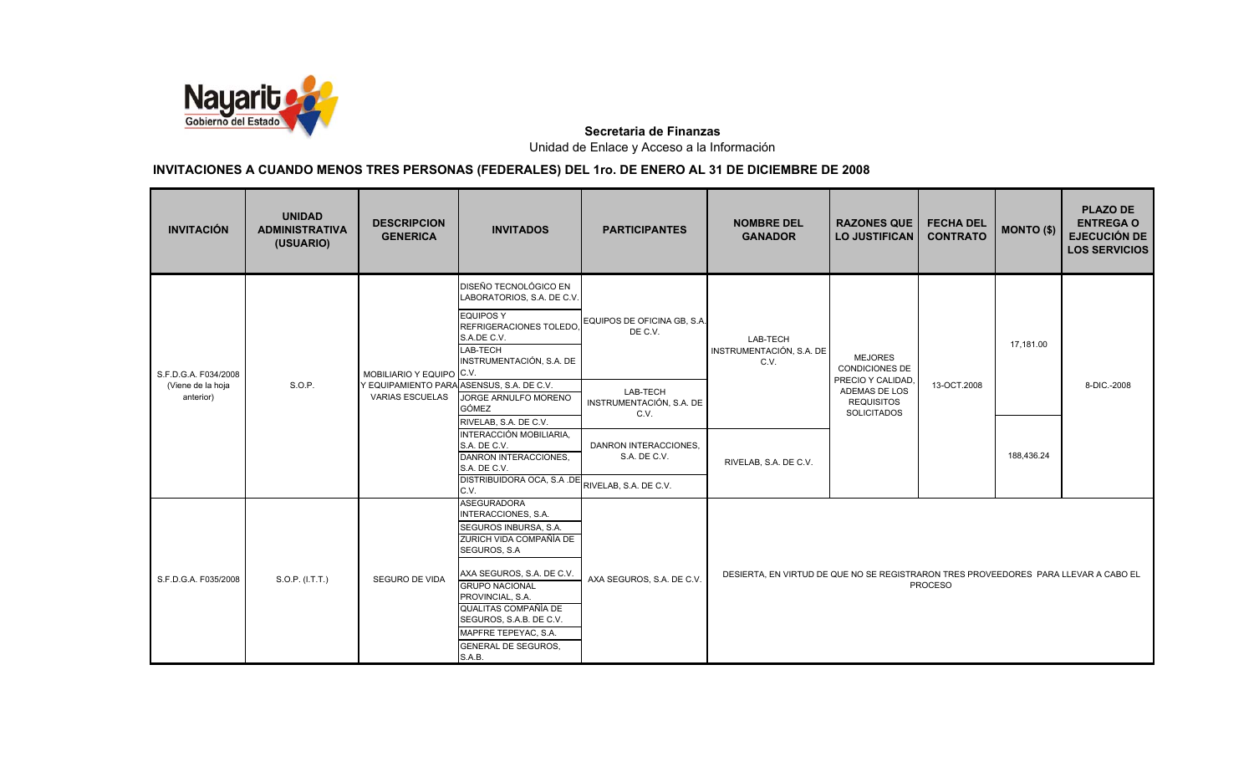

| <b>INVITACIÓN</b>              | <b>UNIDAD</b><br><b>ADMINISTRATIVA</b><br>(USUARIO) | <b>DESCRIPCION</b><br><b>GENERICA</b> | <b>INVITADOS</b>                                                                                                                                                                                                                                                                                            | <b>PARTICIPANTES</b>                         | <b>NOMBRE DEL</b><br><b>GANADOR</b>                                                 | <b>RAZONES QUE</b><br><b>LO JUSTIFICAN</b>                  | <b>FECHA DEL</b><br><b>CONTRATO</b> | MONTO (\$) | <b>PLAZO DE</b><br><b>ENTREGA O</b><br><b>EJECUCIÓN DE</b><br><b>LOS SERVICIOS</b> |
|--------------------------------|-----------------------------------------------------|---------------------------------------|-------------------------------------------------------------------------------------------------------------------------------------------------------------------------------------------------------------------------------------------------------------------------------------------------------------|----------------------------------------------|-------------------------------------------------------------------------------------|-------------------------------------------------------------|-------------------------------------|------------|------------------------------------------------------------------------------------|
| S.F.D.G.A. F034/2008           |                                                     | MOBILIARIO Y EQUIPO C.V.              | DISEÑO TECNOLÓGICO EN<br>LABORATORIOS, S.A. DE C.V.<br><b>EQUIPOS Y</b><br>REFRIGERACIONES TOLEDO.<br>S.A.DE C.V.<br>LAB-TECH<br>INSTRUMENTACIÓN, S.A. DE                                                                                                                                                   | EQUIPOS DE OFICINA GB, S.A.<br>DE C.V.       | LAB-TECH<br>INSTRUMENTACIÓN, S.A. DE<br>C.V.                                        | <b>MEJORES</b><br><b>CONDICIONES DE</b><br>PRECIO Y CALIDAD |                                     | 17,181.00  |                                                                                    |
| (Viene de la hoja<br>anterior) | S.O.P.                                              | <b>VARIAS ESCUELAS</b>                | Y EQUIPAMIENTO PARA ASENSUS, S.A. DE C.V.<br>JORGE ARNULFO MORENO<br><b>GÓMEZ</b><br>RIVELAB, S.A. DE C.V.                                                                                                                                                                                                  | LAB-TECH<br>INSTRUMENTACIÓN, S.A. DE<br>C.V. |                                                                                     | ADEMAS DE LOS<br><b>REQUISITOS</b><br><b>SOLICITADOS</b>    | 13-OCT.2008                         |            | 8-DIC.-2008                                                                        |
|                                |                                                     |                                       | INTERACCIÓN MOBILIARIA,<br>S.A. DE C.V.<br>DANRON INTERACCIONES.<br>S.A. DE C.V.                                                                                                                                                                                                                            | DANRON INTERACCIONES,<br>S.A. DE C.V.        | RIVELAB, S.A. DE C.V.                                                               |                                                             |                                     | 188,436.24 |                                                                                    |
|                                |                                                     |                                       | DISTRIBUIDORA OCA, S.A.DE<br>C.V.                                                                                                                                                                                                                                                                           | RIVELAB, S.A. DE C.V.                        |                                                                                     |                                                             |                                     |            |                                                                                    |
| S.F.D.G.A. F035/2008           | S.O.P. (I.T.T.)                                     | SEGURO DE VIDA                        | <b>ASEGURADORA</b><br>INTERACCIONES, S.A.<br>SEGUROS INBURSA, S.A.<br>ZURICH VIDA COMPAÑÍA DE<br>SEGUROS, S.A.<br>AXA SEGUROS, S.A. DE C.V.<br><b>GRUPO NACIONAL</b><br>PROVINCIAL, S.A.<br>QUALITAS COMPAÑÍA DE<br>SEGUROS, S.A.B. DE C.V.<br>MAPFRE TEPEYAC, S.A.<br><b>GENERAL DE SEGUROS,</b><br>S.A.B. | AXA SEGUROS, S.A. DE C.V.                    | DESIERTA, EN VIRTUD DE QUE NO SE REGISTRARON TRES PROVEEDORES PARA LLEVAR A CABO EL |                                                             | <b>PROCESO</b>                      |            |                                                                                    |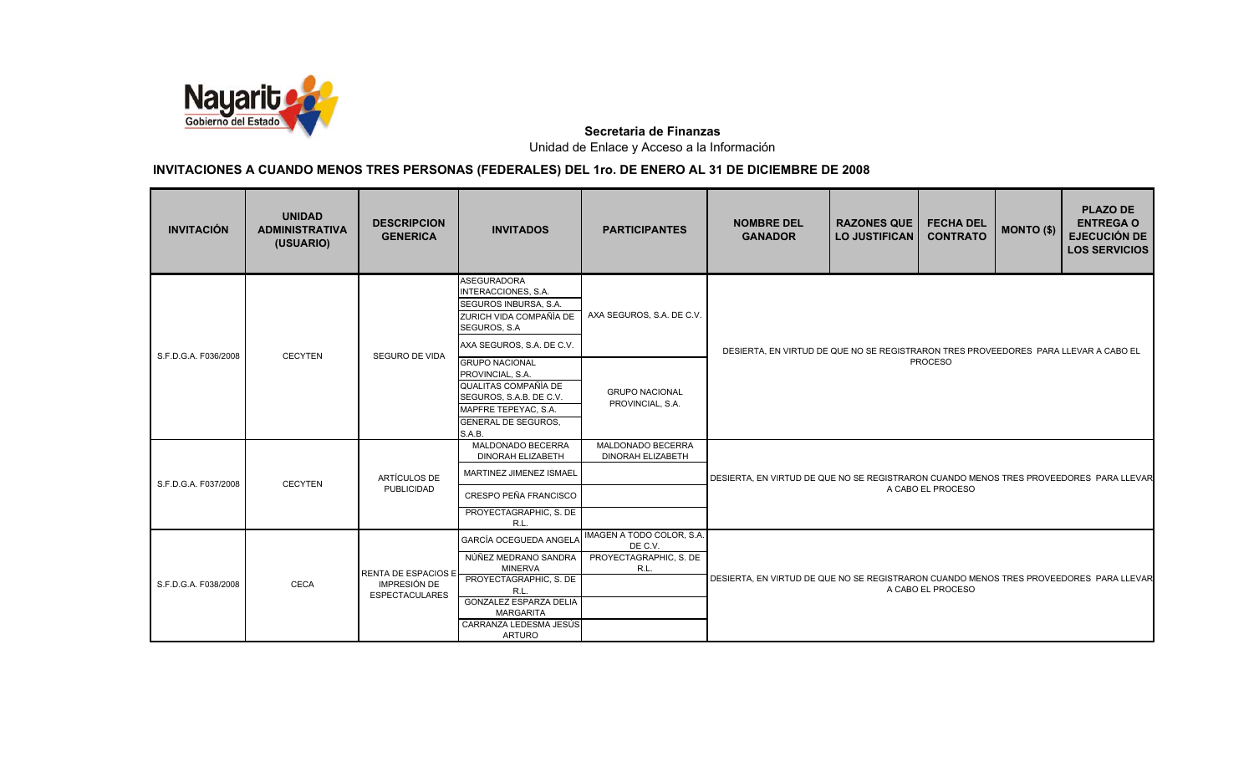

| <b>INVITACIÓN</b>                       | <b>UNIDAD</b><br><b>ADMINISTRATIVA</b><br>(USUARIO) | <b>DESCRIPCION</b><br><b>GENERICA</b>                               | <b>INVITADOS</b>                                                                                                                                             | <b>PARTICIPANTES</b>                                                   | <b>NOMBRE DEL</b><br><b>GANADOR</b>                                                    | <b>RAZONES QUE</b><br><b>LO JUSTIFICAN</b>                                                                  | <b>FECHA DEL</b><br><b>CONTRATO</b> | <b>MONTO (\$)</b> | <b>PLAZO DE</b><br><b>ENTREGA O</b><br><b>EJECUCIÓN DE</b><br><b>LOS SERVICIOS</b> |  |
|-----------------------------------------|-----------------------------------------------------|---------------------------------------------------------------------|--------------------------------------------------------------------------------------------------------------------------------------------------------------|------------------------------------------------------------------------|----------------------------------------------------------------------------------------|-------------------------------------------------------------------------------------------------------------|-------------------------------------|-------------------|------------------------------------------------------------------------------------|--|
|                                         |                                                     | <b>SEGURO DE VIDA</b>                                               | <b>ASEGURADORA</b><br>INTERACCIONES, S.A.<br>SEGUROS INBURSA, S.A.<br>ZURICH VIDA COMPAÑÍA DE<br>SEGUROS, S.A.<br>AXA SEGUROS, S.A. DE C.V.                  | AXA SEGUROS, S.A. DE C.V.                                              |                                                                                        |                                                                                                             |                                     |                   |                                                                                    |  |
| S.F.D.G.A. F036/2008                    | <b>CECYTEN</b>                                      |                                                                     | <b>GRUPO NACIONAL</b><br>PROVINCIAL, S.A.<br>QUALITAS COMPAÑÍA DE<br>SEGUROS, S.A.B. DE C.V.<br>MAPFRE TEPEYAC, S.A.<br><b>GENERAL DE SEGUROS,</b><br>S.A.B. | <b>GRUPO NACIONAL</b><br>PROVINCIAL, S.A.                              |                                                                                        | DESIERTA, EN VIRTUD DE QUE NO SE REGISTRARON TRES PROVEEDORES PARA LLEVAR A CABO EL<br><b>PROCESO</b>       |                                     |                   |                                                                                    |  |
|                                         |                                                     |                                                                     | MALDONADO BECERRA<br><b>DINORAH ELIZABETH</b>                                                                                                                | MALDONADO BECERRA<br><b>DINORAH ELIZABETH</b>                          |                                                                                        |                                                                                                             |                                     |                   |                                                                                    |  |
| S.F.D.G.A. F037/2008                    | <b>CECYTEN</b>                                      | ARTÍCULOS DE<br>PUBLICIDAD                                          | MARTINEZ JIMENEZ ISMAEL<br>CRESPO PEÑA FRANCISCO                                                                                                             |                                                                        | DESIERTA, EN VIRTUD DE QUE NO SE REGISTRARON CUANDO MENOS TRES PROVEEDORES PARA LLEVAR |                                                                                                             | A CABO EL PROCESO                   |                   |                                                                                    |  |
|                                         |                                                     |                                                                     | PROYECTAGRAPHIC, S. DE<br>R.L.                                                                                                                               |                                                                        |                                                                                        |                                                                                                             |                                     |                   |                                                                                    |  |
| S.F.D.G.A. F038/2008                    | <b>CECA</b>                                         | RENTA DE ESPACIOS E<br><b>IMPRESIÓN DE</b><br><b>ESPECTACULARES</b> | GARCÍA OCEGUEDA ANGELA<br>NÚÑEZ MEDRANO SANDRA<br><b>MINERVA</b><br>PROYECTAGRAPHIC, S. DE<br>R.L.<br><b>GONZALEZ ESPARZA DELIA</b><br><b>MARGARITA</b>      | IMAGEN A TODO COLOR, S.A.<br>DE C.V.<br>PROYECTAGRAPHIC, S. DE<br>R.L. |                                                                                        | DESIERTA, EN VIRTUD DE QUE NO SE REGISTRARON CUANDO MENOS TRES PROVEEDORES PARA LLEVAR<br>A CABO EL PROCESO |                                     |                   |                                                                                    |  |
| CARRANZA LEDESMA JESÚS<br><b>ARTURO</b> |                                                     |                                                                     |                                                                                                                                                              |                                                                        |                                                                                        |                                                                                                             |                                     |                   |                                                                                    |  |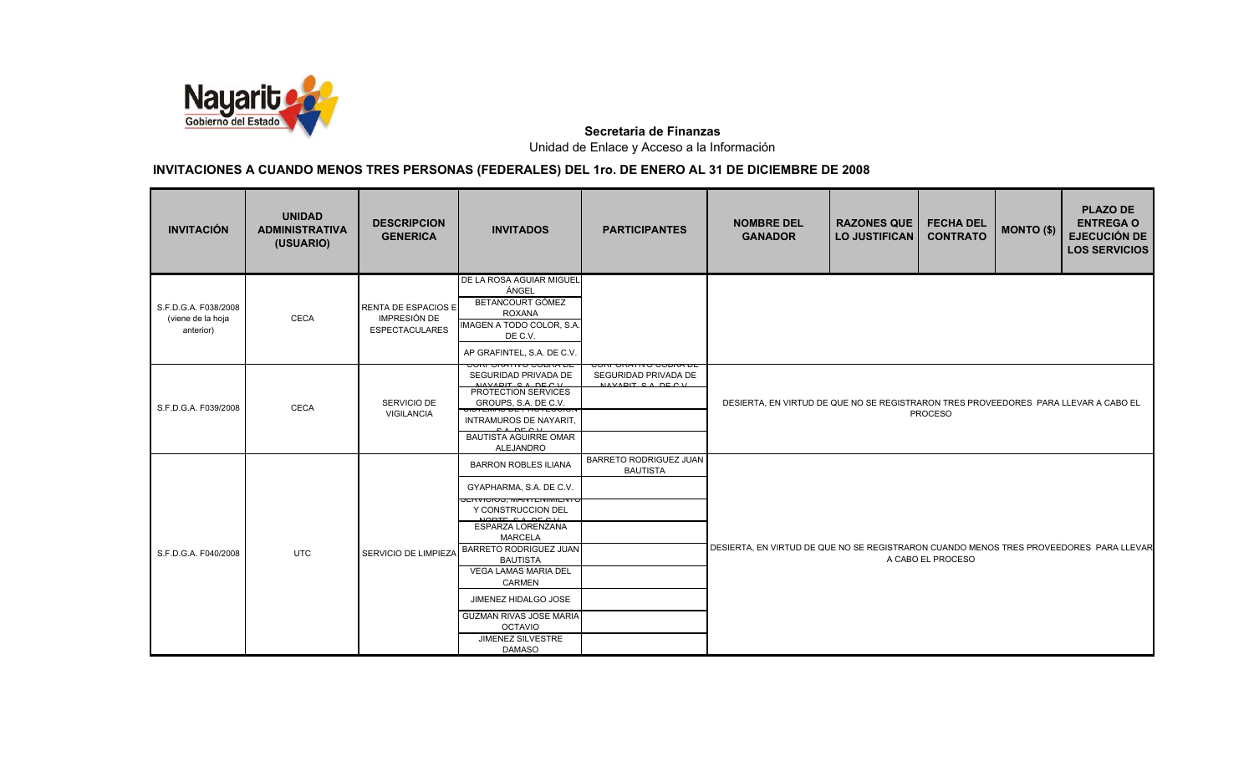

| <b>INVITACIÓN</b>                                      | <b>UNIDAD</b><br><b>ADMINISTRATIVA</b><br>(USUARIO) | <b>DESCRIPCION</b><br><b>GENERICA</b>                                      | <b>INVITADOS</b>                                                                                                                                                                                                                                                                                                                   | <b>PARTICIPANTES</b>                             | <b>NOMBRE DEL</b><br><b>GANADOR</b>                                                                   | <b>RAZONES QUE</b><br><b>LO JUSTIFICAN</b> | <b>FECHA DEL</b><br><b>CONTRATO</b> | MONTO (\$) | <b>PLAZO DE</b><br><b>ENTREGA O</b><br><b>EJECUCIÓN DE</b><br><b>LOS SERVICIOS</b> |
|--------------------------------------------------------|-----------------------------------------------------|----------------------------------------------------------------------------|------------------------------------------------------------------------------------------------------------------------------------------------------------------------------------------------------------------------------------------------------------------------------------------------------------------------------------|--------------------------------------------------|-------------------------------------------------------------------------------------------------------|--------------------------------------------|-------------------------------------|------------|------------------------------------------------------------------------------------|
| S.F.D.G.A. F038/2008<br>(viene de la hoja<br>anterior) | <b>CECA</b>                                         | <b>RENTA DE ESPACIOS E</b><br><b>IMPRESIÓN DE</b><br><b>ESPECTACULARES</b> | DE LA ROSA AGUIAR MIGUEL<br>ÁNGEL<br>BETANCOURT GÓMEZ<br><b>ROXANA</b><br>IMAGEN A TODO COLOR, S.A.<br>DE C.V.<br>AP GRAFINTEL, S.A. DE C.V.                                                                                                                                                                                       |                                                  |                                                                                                       |                                            |                                     |            |                                                                                    |
| S.F.D.G.A. F039/2008                                   | <b>CECA</b>                                         | SERVICIO DE<br>VIGILANCIA                                                  | SEGURIDAD PRIVADA DE<br>NAVABIT CA BECH<br>PROTECTION SERVICES<br>GROUPS, S.A. DE C.V.<br>טו בועומס קבור ולא דיסו<br>INTRAMUROS DE NAYARIT,<br><b>BAUTISTA AGUIRRE OMAR</b><br>ALEJANDRO                                                                                                                                           | SEGURIDAD PRIVADA DE<br>NAVADIT CA DECV          | DESIERTA, EN VIRTUD DE QUE NO SE REGISTRARON TRES PROVEEDORES PARA LLEVAR A CABO EL<br><b>PROCESO</b> |                                            |                                     |            |                                                                                    |
| S.F.D.G.A. F040/2008                                   | <b>UTC</b>                                          | SERVICIO DE LIMPIEZA                                                       | <b>BARRON ROBLES ILIANA</b><br>GYAPHARMA, S.A. DE C.V.<br>Y CONSTRUCCION DEL<br>ESPARZA LORENZANA<br><b>MARCELA</b><br>BARRETO RODRIGUEZ JUAN<br><b>BAUTISTA</b><br><b>VEGA LAMAS MARIA DEL</b><br><b>CARMEN</b><br>JIMENEZ HIDALGO JOSE<br><b>GUZMAN RIVAS JOSE MARIA</b><br><b>OCTAVIO</b><br>JIMENEZ SILVESTRE<br><b>DAMASO</b> | <b>BARRETO RODRIGUEZ JUAN</b><br><b>BAUTISTA</b> | DESIERTA, EN VIRTUD DE QUE NO SE REGISTRARON CUANDO MENOS TRES PROVEEDORES PARA LLEVAR                |                                            | A CABO EL PROCESO                   |            |                                                                                    |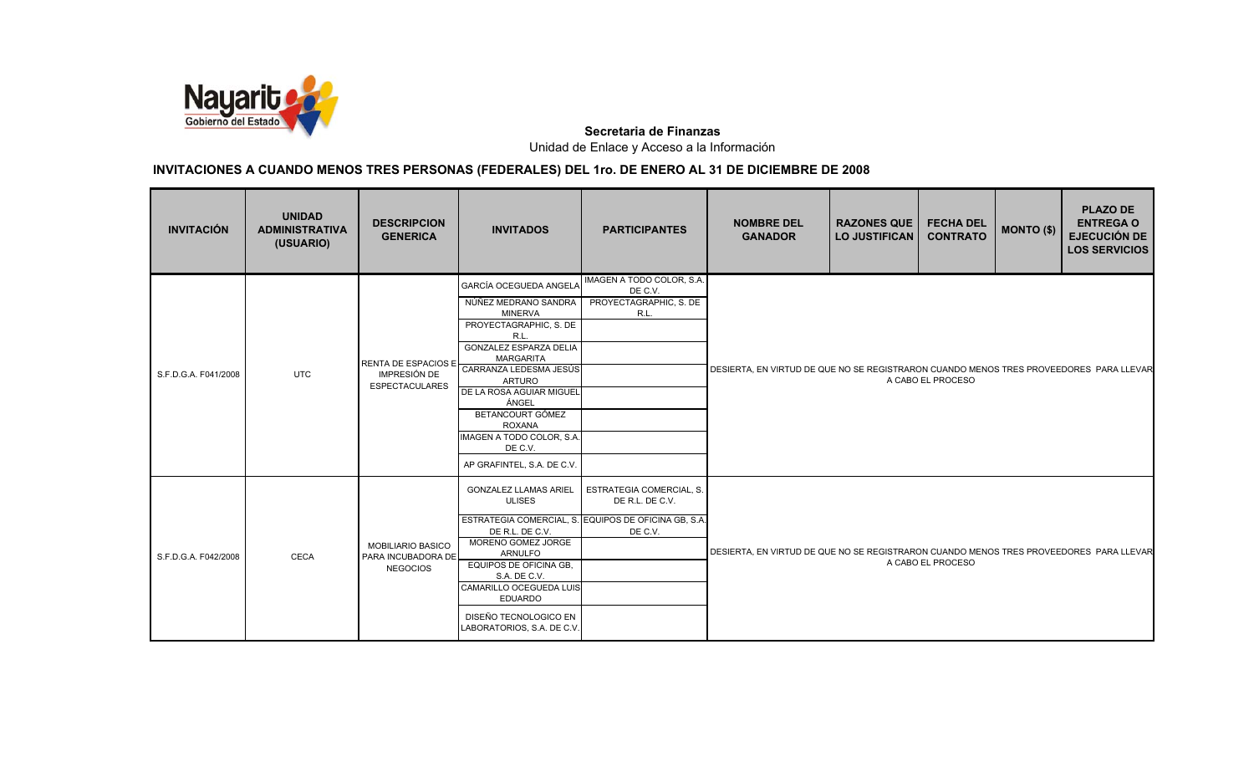

| <b>INVITACIÓN</b>    | <b>UNIDAD</b><br><b>ADMINISTRATIVA</b><br>(USUARIO) | <b>DESCRIPCION</b><br><b>GENERICA</b>                             | <b>INVITADOS</b>                                                                                                                                                                                                                                                                                                                                                       | <b>PARTICIPANTES</b>                                                                                                  | <b>NOMBRE DEL</b><br><b>GANADOR</b>                                                    | <b>RAZONES QUE</b><br><b>LO JUSTIFICAN</b> | <b>FECHA DEL</b><br><b>CONTRATO</b> | <b>MONTO (\$)</b> | <b>PLAZO DE</b><br><b>ENTREGA O</b><br><b>EJECUCIÓN DE</b><br><b>LOS SERVICIOS</b> |
|----------------------|-----------------------------------------------------|-------------------------------------------------------------------|------------------------------------------------------------------------------------------------------------------------------------------------------------------------------------------------------------------------------------------------------------------------------------------------------------------------------------------------------------------------|-----------------------------------------------------------------------------------------------------------------------|----------------------------------------------------------------------------------------|--------------------------------------------|-------------------------------------|-------------------|------------------------------------------------------------------------------------|
| S.F.D.G.A. F041/2008 | <b>UTC</b>                                          | <b>ESPECTACULARES</b>                                             | <b>GARCÍA OCEGUEDA ANGELA</b><br>NÚÑEZ MEDRANO SANDRA<br><b>MINERVA</b><br>PROYECTAGRAPHIC, S. DE<br>R.L.<br><b>GONZALEZ ESPARZA DELIA</b><br><b>MARGARITA</b><br>RENTA DE ESPACIOS E CARRANZA LEDESMA JESÚS<br>ARTURO<br>DE LA ROSA AGUIAR MIGUEL<br>ÁNGEL<br>BETANCOURT GÓMEZ<br><b>ROXANA</b><br>IMAGEN A TODO COLOR, S.A.<br>DE C.V.<br>AP GRAFINTEL, S.A. DE C.V. | IMAGEN A TODO COLOR, S.A.<br>DE C.V.<br>PROYECTAGRAPHIC, S. DE<br>R.L.                                                | DESIERTA, EN VIRTUD DE QUE NO SE REGISTRARON CUANDO MENOS TRES PROVEEDORES PARA LLEVAR |                                            | A CABO EL PROCESO                   |                   |                                                                                    |
| S.F.D.G.A. F042/2008 | <b>CECA</b>                                         | <b>MOBILIARIO BASICO</b><br>PARA INCUBADORA DE<br><b>NEGOCIOS</b> | <b>GONZALEZ LLAMAS ARIEL</b><br><b>ULISES</b><br>DE R.L. DE C.V.<br>MORENO GOMEZ JORGE<br><b>ARNULFO</b><br>EQUIPOS DE OFICINA GB,<br>S.A. DE C.V.<br>CAMARILLO OCEGUEDA LUIS<br><b>EDUARDO</b><br>DISEÑO TECNOLOGICO EN<br>LABORATORIOS, S.A. DE C.V.                                                                                                                 | <b>ESTRATEGIA COMERCIAL, S.</b><br>DE R.L. DE C.V.<br>ESTRATEGIA COMERCIAL, S. EQUIPOS DE OFICINA GB, S.A.<br>DE C.V. | DESIERTA, EN VIRTUD DE QUE NO SE REGISTRARON CUANDO MENOS TRES PROVEEDORES PARA LLEVAR |                                            | A CABO EL PROCESO                   |                   |                                                                                    |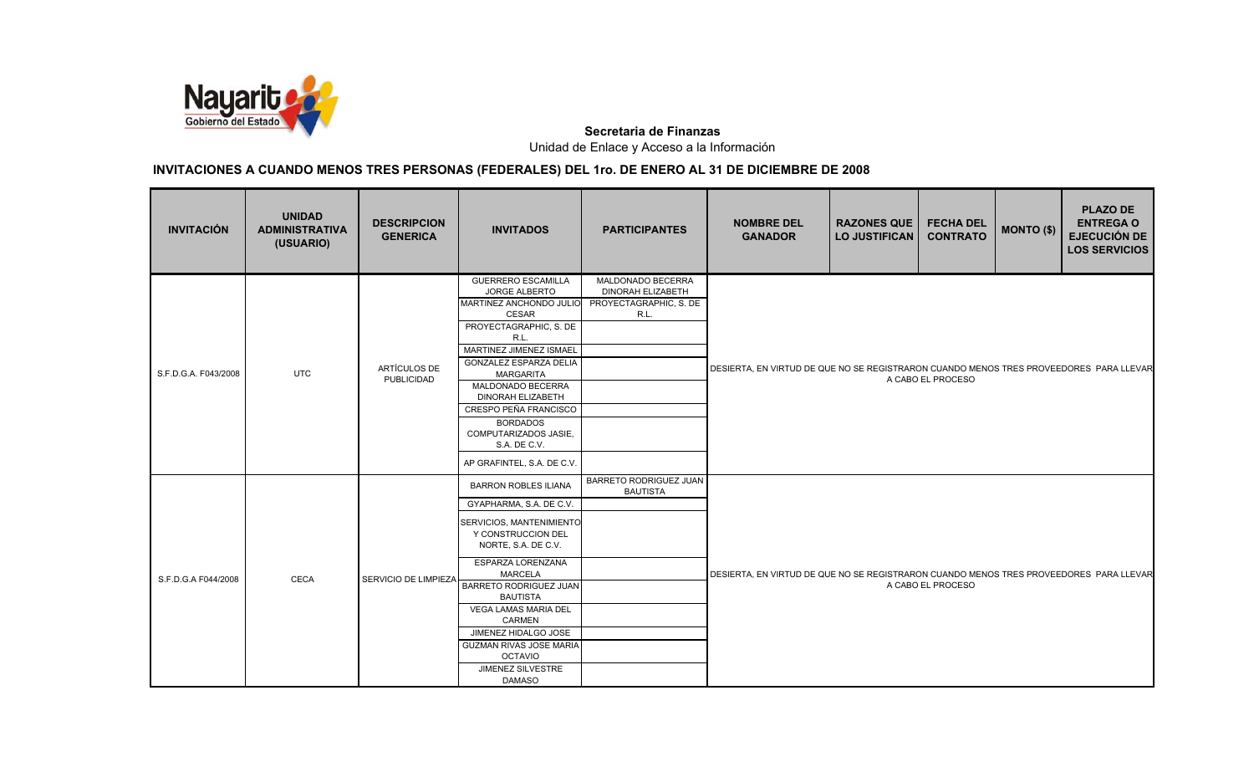

| <b>INVITACIÓN</b>    | <b>UNIDAD</b><br><b>ADMINISTRATIVA</b><br>(USUARIO) | <b>DESCRIPCION</b><br><b>GENERICA</b> | <b>INVITADOS</b>                                                                                                                                                                                                                                                                                                                                                                             | <b>PARTICIPANTES</b>                                                            | <b>NOMBRE DEL</b><br><b>GANADOR</b>                                                    | <b>RAZONES QUE</b><br><b>LO JUSTIFICAN</b> | <b>FECHA DEL</b><br><b>CONTRATO</b> | <b>MONTO (\$)</b> | <b>PLAZO DE</b><br><b>ENTREGA O</b><br><b>EJECUCIÓN DE</b><br><b>LOS SERVICIOS</b> |
|----------------------|-----------------------------------------------------|---------------------------------------|----------------------------------------------------------------------------------------------------------------------------------------------------------------------------------------------------------------------------------------------------------------------------------------------------------------------------------------------------------------------------------------------|---------------------------------------------------------------------------------|----------------------------------------------------------------------------------------|--------------------------------------------|-------------------------------------|-------------------|------------------------------------------------------------------------------------|
| S.F.D.G.A. F043/2008 | <b>UTC</b>                                          | ARTÍCULOS DE<br>PUBLICIDAD            | <b>GUERRERO ESCAMILLA</b><br><b>JORGE ALBERTO</b><br>MARTINEZ ANCHONDO JULIO<br>CESAR<br>PROYECTAGRAPHIC, S. DE<br>R.L.<br>MARTINEZ JIMENEZ ISMAEL<br><b>GONZALEZ ESPARZA DELIA</b><br>MARGARITA<br>MALDONADO BECERRA<br>DINORAH ELIZABETH<br>CRESPO PEÑA FRANCISCO<br><b>BORDADOS</b><br>COMPUTARIZADOS JASIE,<br>S.A. DE C.V.<br>AP GRAFINTEL, S.A. DE C.V.                                | MALDONADO BECERRA<br><b>DINORAH ELIZABETH</b><br>PROYECTAGRAPHIC, S. DE<br>R.L. | DESIERTA, EN VIRTUD DE QUE NO SE REGISTRARON CUANDO MENOS TRES PROVEEDORES PARA LLEVAR |                                            | A CABO EL PROCESO                   |                   |                                                                                    |
| S.F.D.G.A F044/2008  | <b>CECA</b>                                         | SERVICIO DE LIMPIEZA                  | <b>BARRON ROBLES ILIANA</b><br>GYAPHARMA, S.A. DE C.V.<br>SERVICIOS, MANTENIMIENTO<br>Y CONSTRUCCION DEL<br>NORTE, S.A. DE C.V.<br>ESPARZA LORENZANA<br><b>MARCELA</b><br><b>BARRETO RODRIGUEZ JUAN</b><br><b>BAUTISTA</b><br><b>VEGA LAMAS MARIA DEL</b><br><b>CARMEN</b><br>JIMENEZ HIDALGO JOSE<br><b>GUZMAN RIVAS JOSE MARIA</b><br><b>OCTAVIO</b><br>JIMENEZ SILVESTRE<br><b>DAMASO</b> | <b>BARRETO RODRIGUEZ JUAN</b><br><b>BAUTISTA</b>                                | DESIERTA, EN VIRTUD DE QUE NO SE REGISTRARON CUANDO MENOS TRES PROVEEDORES PARA LLEVAR |                                            | A CABO EL PROCESO                   |                   |                                                                                    |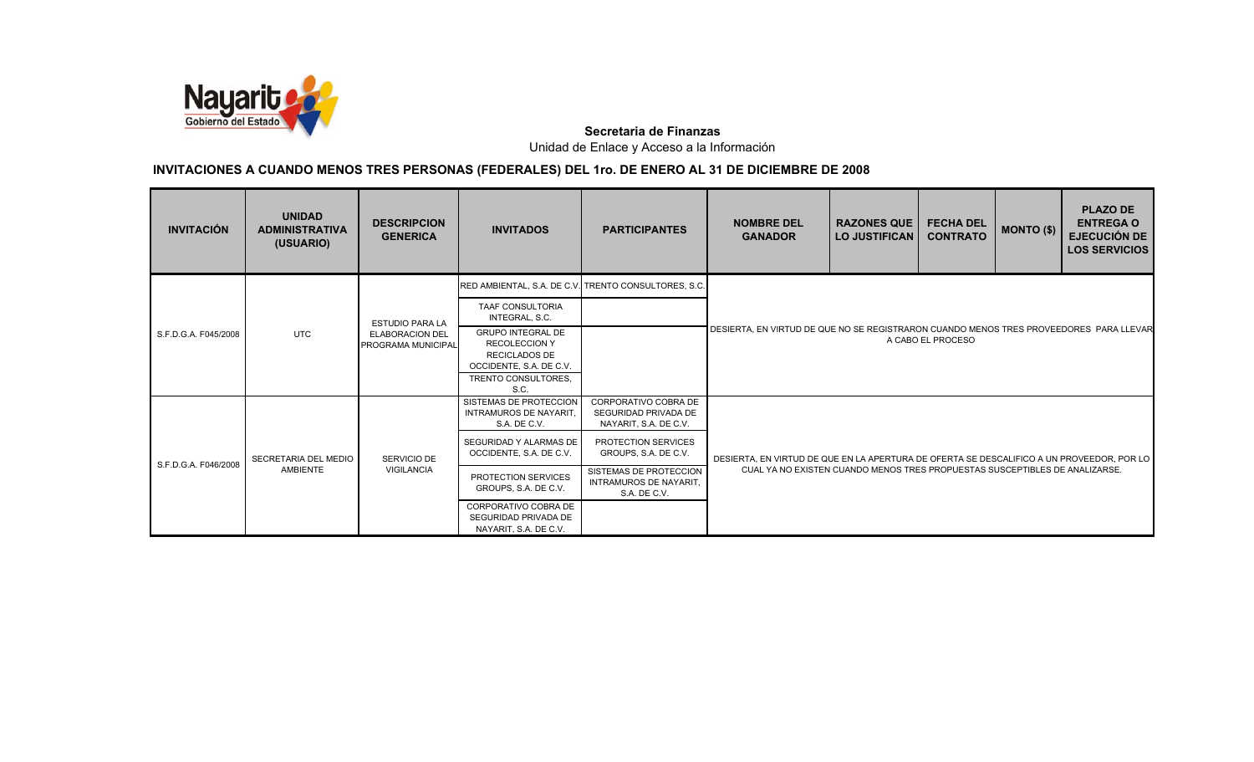

| <b>INVITACIÓN</b>    | <b>UNIDAD</b><br><b>ADMINISTRATIVA</b><br>(USUARIO) | <b>DESCRIPCION</b><br><b>GENERICA</b>        | <b>INVITADOS</b>                                                                                                           | <b>PARTICIPANTES</b>                                                    | <b>NOMBRE DEL</b><br><b>GANADOR</b>                                                                         | <b>RAZONES QUE</b><br>I LO JUSTIFICAN | <b>FECHA DEL</b><br><b>CONTRATO</b> | <b>MONTO (\$)</b> | <b>PLAZO DE</b><br><b>ENTREGA O</b><br><b>EJECUCIÓN DE</b><br><b>LOS SERVICIOS</b> |  |
|----------------------|-----------------------------------------------------|----------------------------------------------|----------------------------------------------------------------------------------------------------------------------------|-------------------------------------------------------------------------|-------------------------------------------------------------------------------------------------------------|---------------------------------------|-------------------------------------|-------------------|------------------------------------------------------------------------------------|--|
|                      |                                                     |                                              |                                                                                                                            | RED AMBIENTAL, S.A. DE C.V. TRENTO CONSULTORES, S.C.                    |                                                                                                             |                                       |                                     |                   |                                                                                    |  |
|                      |                                                     | <b>ESTUDIO PARA LA</b>                       | TAAF CONSULTORIA<br>INTEGRAL, S.C.                                                                                         |                                                                         |                                                                                                             |                                       |                                     |                   |                                                                                    |  |
| S.F.D.G.A. F045/2008 | <b>UTC</b>                                          | <b>ELABORACION DEL</b><br>PROGRAMA MUNICIPAL | <b>GRUPO INTEGRAL DE</b><br><b>RECOLECCION Y</b><br><b>RECICLADOS DE</b><br>OCCIDENTE, S.A. DE C.V.<br>TRENTO CONSULTORES, |                                                                         | DESIERTA. EN VIRTUD DE QUE NO SE REGISTRARON CUANDO MENOS TRES PROVEEDORES PARA LLEVAR<br>A CABO EL PROCESO |                                       |                                     |                   |                                                                                    |  |
|                      |                                                     |                                              | S.C.                                                                                                                       |                                                                         |                                                                                                             |                                       |                                     |                   |                                                                                    |  |
|                      |                                                     |                                              | SISTEMAS DE PROTECCION<br><b>INTRAMUROS DE NAYARIT.</b><br>S.A. DE C.V.                                                    | CORPORATIVO COBRA DE<br>SEGURIDAD PRIVADA DE<br>NAYARIT, S.A. DE C.V.   |                                                                                                             |                                       |                                     |                   |                                                                                    |  |
| S.F.D.G.A. F046/2008 | SECRETARIA DEL MEDIO                                | SERVICIO DE                                  | SEGURIDAD Y ALARMAS DE<br>OCCIDENTE, S.A. DE C.V.                                                                          | PROTECTION SERVICES<br>GROUPS, S.A. DE C.V.                             | DESIERTA. EN VIRTUD DE QUE EN LA APERTURA DE OFERTA SE DESCALIFICO A UN PROVEEDOR. POR LO                   |                                       |                                     |                   |                                                                                    |  |
|                      | <b>AMBIENTE</b>                                     | <b>VIGILANCIA</b>                            | PROTECTION SERVICES<br>GROUPS, S.A. DE C.V.                                                                                | SISTEMAS DE PROTECCION<br><b>INTRAMUROS DE NAYARIT.</b><br>S.A. DE C.V. | CUAL YA NO EXISTEN CUANDO MENOS TRES PROPUESTAS SUSCEPTIBLES DE ANALIZARSE.                                 |                                       |                                     |                   |                                                                                    |  |
|                      |                                                     |                                              | CORPORATIVO COBRA DE<br>SEGURIDAD PRIVADA DE<br>NAYARIT, S.A. DE C.V.                                                      |                                                                         |                                                                                                             |                                       |                                     |                   |                                                                                    |  |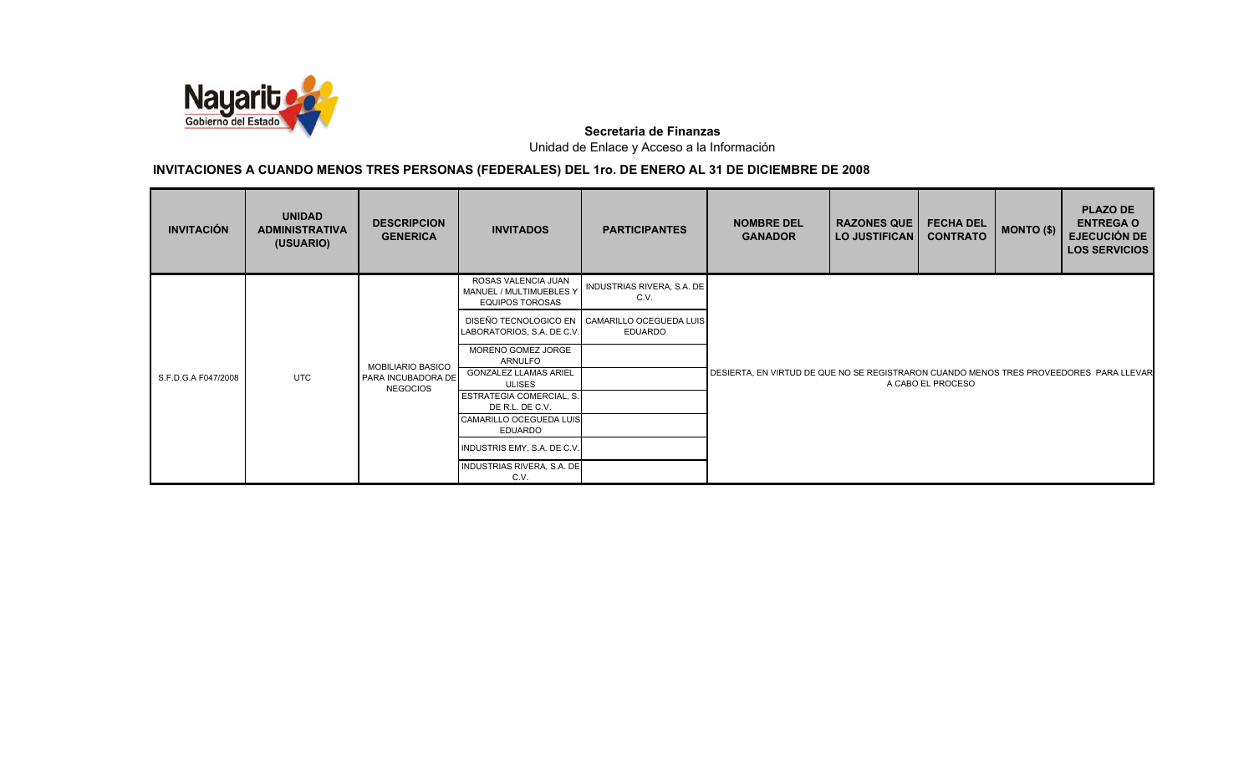

| <b>INVITACIÓN</b>   | <b>UNIDAD</b><br><b>ADMINISTRATIVA</b><br>(USUARIO) | <b>DESCRIPCION</b><br><b>GENERICA</b> | <b>INVITADOS</b>                                                         | <b>PARTICIPANTES</b>                                            | <b>NOMBRE DEL</b><br><b>GANADOR</b>                                                    | <b>RAZONES QUE</b><br><b>LO JUSTIFICAN</b> | <b>FECHA DEL</b><br><b>CONTRATO</b> | $MONTO$ (\$) | <b>PLAZO DE</b><br><b>ENTREGA O</b><br><b>EJECUCIÓN DE</b><br><b>LOS SERVICIOS</b> |
|---------------------|-----------------------------------------------------|---------------------------------------|--------------------------------------------------------------------------|-----------------------------------------------------------------|----------------------------------------------------------------------------------------|--------------------------------------------|-------------------------------------|--------------|------------------------------------------------------------------------------------|
|                     |                                                     |                                       | ROSAS VALENCIA JUAN<br>MANUEL / MULTIMUEBLES Y<br><b>EQUIPOS TOROSAS</b> | INDUSTRIAS RIVERA, S.A. DE<br>C.V.                              |                                                                                        |                                            |                                     |              |                                                                                    |
|                     |                                                     |                                       | LABORATORIOS, S.A. DE C.V.                                               | DISEÑO TECNOLOGICO EN CAMARILLO OCEGUEDA LUIS<br><b>EDUARDO</b> |                                                                                        |                                            |                                     |              |                                                                                    |
|                     |                                                     | <b>MOBILIARIO BASICO</b>              | MORENO GOMEZ JORGE<br><b>ARNULFO</b>                                     |                                                                 |                                                                                        |                                            |                                     |              |                                                                                    |
| S.F.D.G.A F047/2008 | <b>UTC</b>                                          | PARA INCUBADORA DE<br><b>NEGOCIOS</b> | <b>GONZALEZ LLAMAS ARIEL</b><br><b>ULISES</b>                            |                                                                 | DESIERTA, EN VIRTUD DE QUE NO SE REGISTRARON CUANDO MENOS TRES PROVEEDORES PARA LLEVAR |                                            | A CABO EL PROCESO                   |              |                                                                                    |
|                     |                                                     |                                       | ESTRATEGIA COMERCIAL, S.<br>DE R.L. DE C.V.                              |                                                                 |                                                                                        |                                            |                                     |              |                                                                                    |
|                     |                                                     |                                       | <b>CAMARILLO OCEGUEDA LUIS</b><br>EDUARDO                                |                                                                 |                                                                                        |                                            |                                     |              |                                                                                    |
|                     |                                                     |                                       | INDUSTRIS EMY, S.A. DE C.V.                                              |                                                                 |                                                                                        |                                            |                                     |              |                                                                                    |
|                     |                                                     |                                       | INDUSTRIAS RIVERA, S.A. DE<br>C.V.                                       |                                                                 |                                                                                        |                                            |                                     |              |                                                                                    |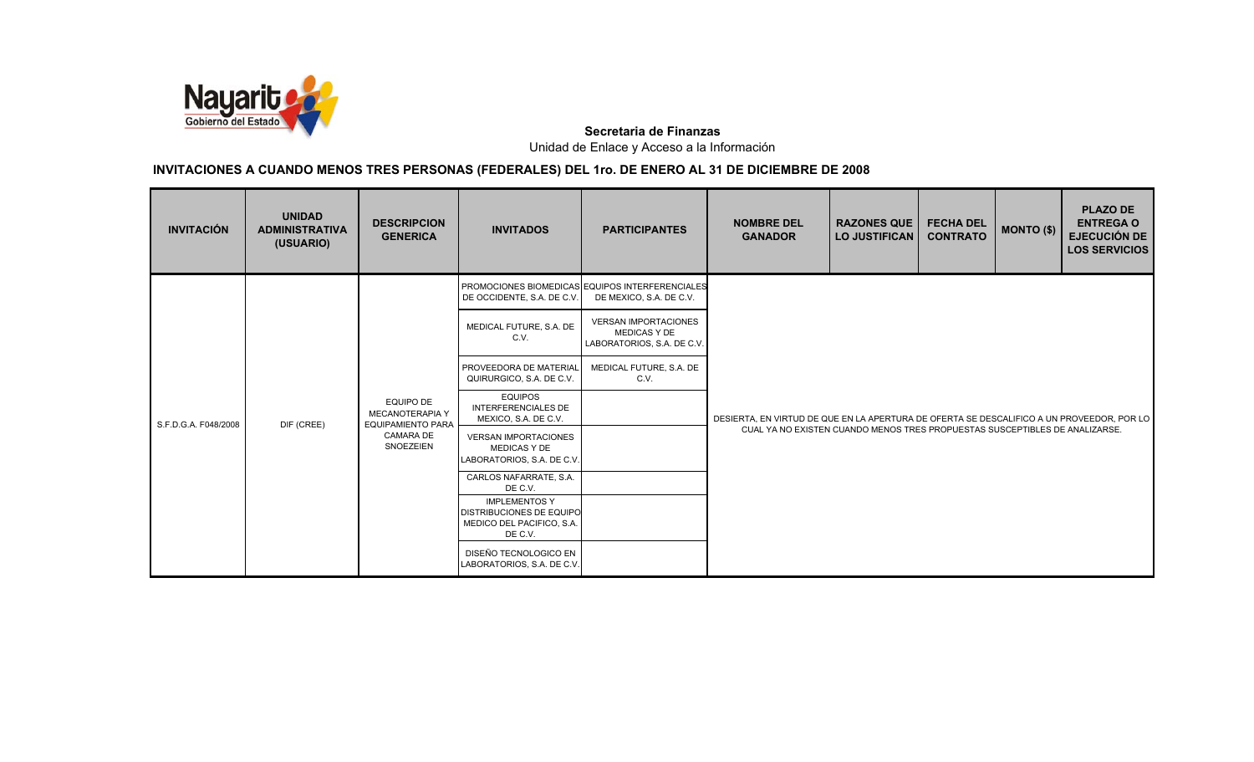

| <b>INVITACIÓN</b>    | <b>UNIDAD</b><br><b>ADMINISTRATIVA</b><br>(USUARIO) | <b>DESCRIPCION</b><br><b>GENERICA</b>                           | <b>INVITADOS</b>                                                                                | <b>PARTICIPANTES</b>                                                             | <b>NOMBRE DEL</b><br><b>GANADOR</b>                                                       | <b>RAZONES QUE</b><br><b>LO JUSTIFICAN</b> | <b>FECHA DEL</b><br><b>CONTRATO</b> | MONTO (\$) | <b>PLAZO DE</b><br><b>ENTREGA O</b><br><b>EJECUCIÓN DE</b><br><b>LOS SERVICIOS</b> |
|----------------------|-----------------------------------------------------|-----------------------------------------------------------------|-------------------------------------------------------------------------------------------------|----------------------------------------------------------------------------------|-------------------------------------------------------------------------------------------|--------------------------------------------|-------------------------------------|------------|------------------------------------------------------------------------------------|
|                      |                                                     |                                                                 | DE OCCIDENTE, S.A. DE C.V.                                                                      | PROMOCIONES BIOMEDICAS EQUIPOS INTERFERENCIALES<br>DE MEXICO, S.A. DE C.V.       |                                                                                           |                                            |                                     |            |                                                                                    |
|                      |                                                     |                                                                 | MEDICAL FUTURE, S.A. DE<br>C.V.                                                                 | <b>VERSAN IMPORTACIONES</b><br><b>MEDICAS Y DE</b><br>LABORATORIOS, S.A. DE C.V. |                                                                                           |                                            |                                     |            |                                                                                    |
|                      | DIF (CREE)                                          | <b>EQUIPO DE</b><br>MECANOTERAPIA Y<br><b>EQUIPAMIENTO PARA</b> | PROVEEDORA DE MATERIAL<br>QUIRURGICO, S.A. DE C.V.                                              | MEDICAL FUTURE, S.A. DE<br>C.V.                                                  |                                                                                           |                                            |                                     |            |                                                                                    |
| S.F.D.G.A. F048/2008 |                                                     |                                                                 | <b>EQUIPOS</b><br><b>INTERFERENCIALES DE</b><br>MEXICO, S.A. DE C.V.                            |                                                                                  | DESIERTA. EN VIRTUD DE QUE EN LA APERTURA DE OFERTA SE DESCALIFICO A UN PROVEEDOR. POR LO |                                            |                                     |            |                                                                                    |
|                      |                                                     | <b>CAMARA DE</b><br>SNOEZEIEN                                   | <b>VERSAN IMPORTACIONES</b><br><b>MEDICAS Y DE</b><br>LABORATORIOS, S.A. DE C.V.                |                                                                                  | CUAL YA NO EXISTEN CUANDO MENOS TRES PROPUESTAS SUSCEPTIBLES DE ANALIZARSE.               |                                            |                                     |            |                                                                                    |
|                      |                                                     |                                                                 | CARLOS NAFARRATE, S.A.<br>DE C.V.                                                               |                                                                                  |                                                                                           |                                            |                                     |            |                                                                                    |
|                      |                                                     |                                                                 | <b>IMPLEMENTOS Y</b><br><b>DISTRIBUCIONES DE EQUIPO</b><br>MEDICO DEL PACIFICO, S.A.<br>DE C.V. |                                                                                  |                                                                                           |                                            |                                     |            |                                                                                    |
|                      |                                                     |                                                                 | DISEÑO TECNOLOGICO EN<br>LABORATORIOS, S.A. DE C.V.                                             |                                                                                  |                                                                                           |                                            |                                     |            |                                                                                    |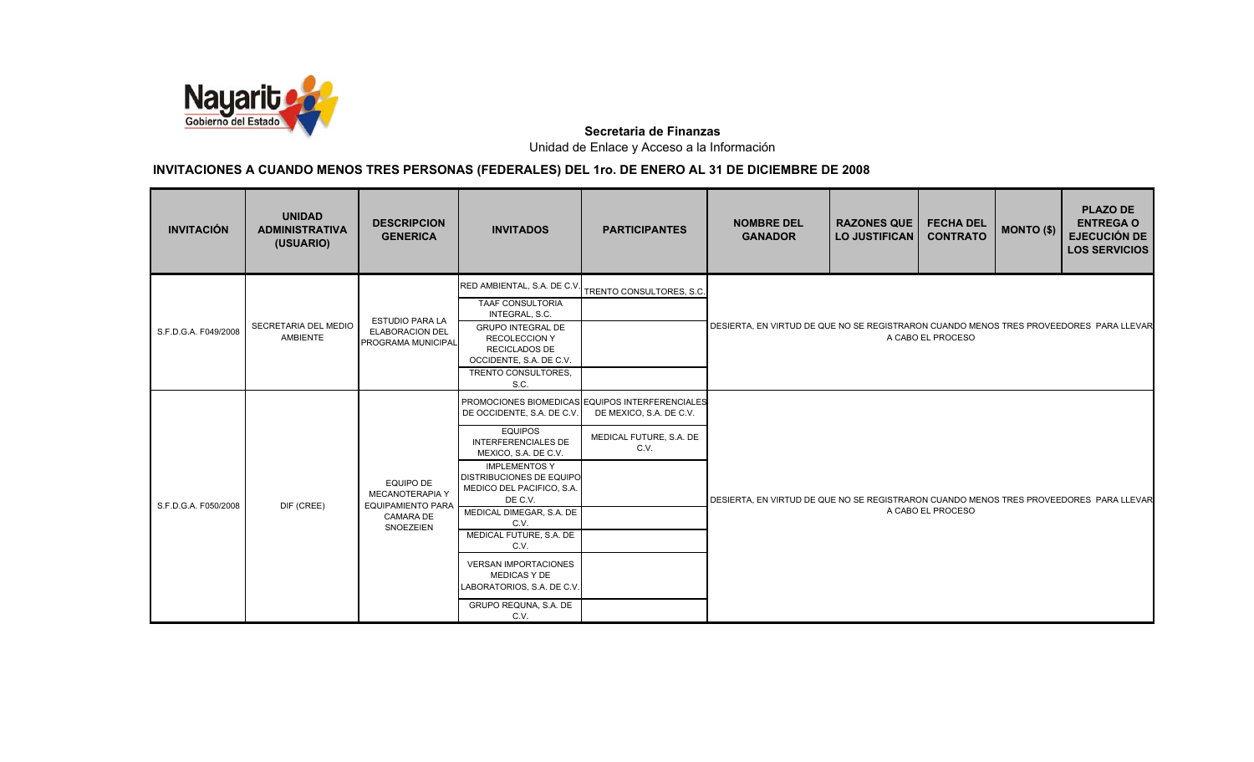

| <b>INVITACIÓN</b>    | <b>UNIDAD</b><br><b>ADMINISTRATIVA</b><br>(USUARIO)                             | <b>DESCRIPCION</b><br><b>GENERICA</b>                                  | <b>INVITADOS</b>                                                                                               | <b>PARTICIPANTES</b>                                                       | <b>NOMBRE DEL</b><br><b>GANADOR</b>                                                                         | <b>RAZONES QUE</b><br><b>LO JUSTIFICAN</b>                                             | <b>FECHA DEL</b><br><b>CONTRATO</b> | MONTO (\$) | <b>PLAZO DE</b><br><b>ENTREGA O</b><br><b>EJECUCIÓN DE</b><br><b>LOS SERVICIOS</b> |  |
|----------------------|---------------------------------------------------------------------------------|------------------------------------------------------------------------|----------------------------------------------------------------------------------------------------------------|----------------------------------------------------------------------------|-------------------------------------------------------------------------------------------------------------|----------------------------------------------------------------------------------------|-------------------------------------|------------|------------------------------------------------------------------------------------|--|
|                      | RED AMBIENTAL, S.A. DE C.V. TRENTO CONSULTORES, S.C.<br><b>TAAF CONSULTORIA</b> |                                                                        |                                                                                                                |                                                                            |                                                                                                             |                                                                                        |                                     |            |                                                                                    |  |
| S.F.D.G.A. F049/2008 | SECRETARIA DEL MEDIO<br>AMBIENTE                                                | <b>ESTUDIO PARA LA</b><br><b>ELABORACION DEL</b><br>PROGRAMA MUNICIPAL | INTEGRAL, S.C.<br><b>GRUPO INTEGRAL DE</b><br><b>RECOLECCION Y</b><br>RECICLADOS DE<br>OCCIDENTE, S.A. DE C.V. |                                                                            | DESIERTA, EN VIRTUD DE QUE NO SE REGISTRARON CUANDO MENOS TRES PROVEEDORES PARA LLEVAR<br>A CABO EL PROCESO |                                                                                        |                                     |            |                                                                                    |  |
|                      |                                                                                 |                                                                        | TRENTO CONSULTORES,<br>S.C.                                                                                    |                                                                            |                                                                                                             |                                                                                        |                                     |            |                                                                                    |  |
|                      |                                                                                 | EQUIPO DE<br><b>MECANOTERAPIA Y</b><br><b>EQUIPAMIENTO PARA</b>        | DE OCCIDENTE, S.A. DE C.V.                                                                                     | PROMOCIONES BIOMEDICAS EQUIPOS INTERFERENCIALES<br>DE MEXICO, S.A. DE C.V. |                                                                                                             |                                                                                        |                                     |            |                                                                                    |  |
|                      |                                                                                 |                                                                        | <b>EQUIPOS</b><br><b>INTERFERENCIALES DE</b><br>MEXICO, S.A. DE C.V.                                           | MEDICAL FUTURE, S.A. DE<br>C.V.                                            |                                                                                                             |                                                                                        |                                     |            |                                                                                    |  |
| S.F.D.G.A. F050/2008 | DIF (CREE)                                                                      |                                                                        | <b>IMPLEMENTOS Y</b><br><b>DISTRIBUCIONES DE EQUIPO</b><br>MEDICO DEL PACIFICO, S.A.<br>DE C.V.                |                                                                            |                                                                                                             | DESIERTA, EN VIRTUD DE QUE NO SE REGISTRARON CUANDO MENOS TRES PROVEEDORES PARA LLEVAR |                                     |            |                                                                                    |  |
|                      |                                                                                 | <b>CAMARA DE</b>                                                       | MEDICAL DIMEGAR, S.A. DE<br>C.V.                                                                               |                                                                            |                                                                                                             |                                                                                        | A CABO EL PROCESO                   |            |                                                                                    |  |
|                      |                                                                                 | SNOEZEIEN                                                              | MEDICAL FUTURE, S.A. DE<br>C.V.                                                                                |                                                                            |                                                                                                             |                                                                                        |                                     |            |                                                                                    |  |
|                      |                                                                                 |                                                                        | <b>VERSAN IMPORTACIONES</b><br><b>MEDICAS Y DE</b><br>LABORATORIOS, S.A. DE C.V.                               |                                                                            |                                                                                                             |                                                                                        |                                     |            |                                                                                    |  |
|                      |                                                                                 |                                                                        | GRUPO REQUNA, S.A. DE<br>C.V.                                                                                  |                                                                            |                                                                                                             |                                                                                        |                                     |            |                                                                                    |  |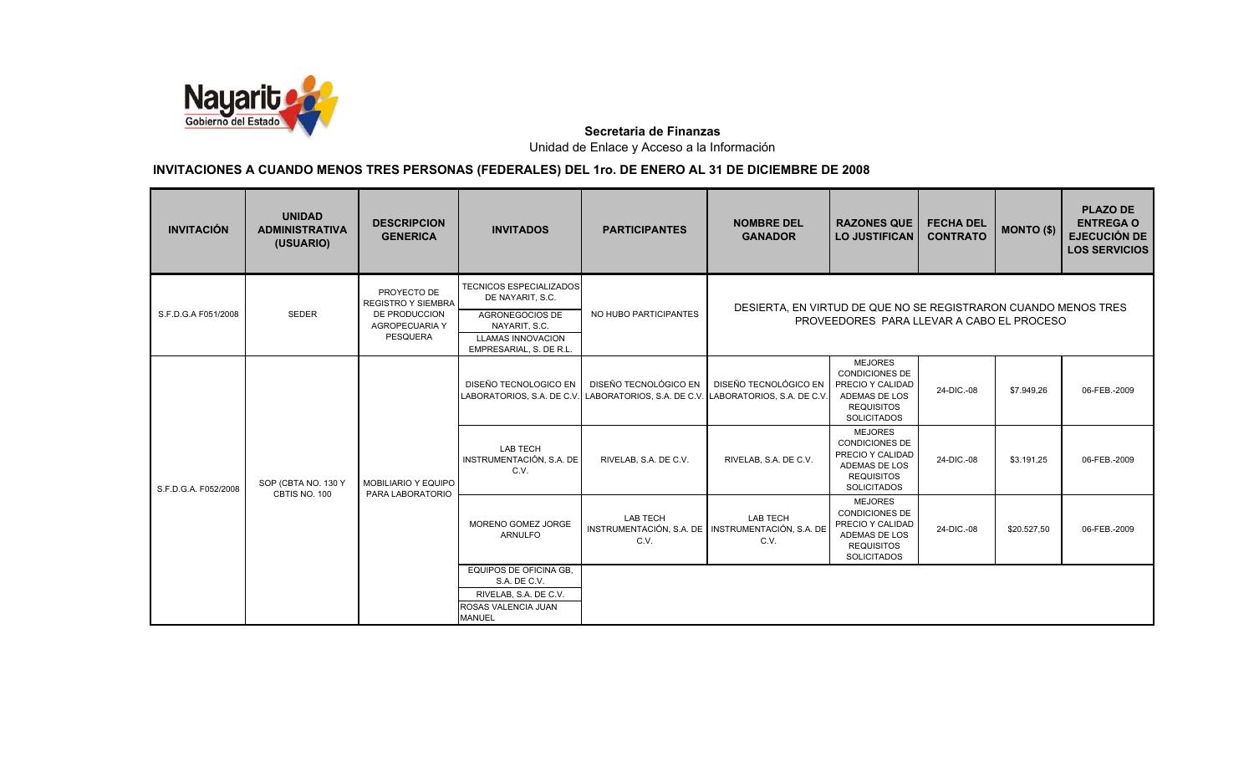

| <b>INVITACIÓN</b>    | <b>UNIDAD</b><br><b>ADMINISTRATIVA</b><br>(USUARIO) | <b>DESCRIPCION</b><br><b>GENERICA</b>                                                          | <b>INVITADOS</b>                                                                                                                              | <b>PARTICIPANTES</b>                                                                                                            | <b>NOMBRE DEL</b><br><b>GANADOR</b>                                                                         | <b>RAZONES QUE</b><br><b>LO JUSTIFICAN</b>                                                                              | <b>FECHA DEL</b><br><b>CONTRATO</b> | MONTO (\$)  | <b>PLAZO DE</b><br><b>ENTREGA O</b><br><b>EJECUCIÓN DE</b><br><b>LOS SERVICIOS</b> |
|----------------------|-----------------------------------------------------|------------------------------------------------------------------------------------------------|-----------------------------------------------------------------------------------------------------------------------------------------------|---------------------------------------------------------------------------------------------------------------------------------|-------------------------------------------------------------------------------------------------------------|-------------------------------------------------------------------------------------------------------------------------|-------------------------------------|-------------|------------------------------------------------------------------------------------|
| S.F.D.G.A F051/2008  | <b>SEDER</b>                                        | PROYECTO DE<br><b>REGISTRO Y SIEMBRA</b><br>DE PRODUCCION<br>AGROPECUARIA Y<br><b>PESQUERA</b> | <b>TECNICOS ESPECIALIZADOS</b><br>DE NAYARIT, S.C.<br>AGRONEGOCIOS DE<br>NAYARIT, S.C.<br><b>LLAMAS INNOVACION</b><br>EMPRESARIAL, S. DE R.L. | NO HUBO PARTICIPANTES                                                                                                           | DESIERTA, EN VIRTUD DE QUE NO SE REGISTRARON CUANDO MENOS TRES<br>PROVEEDORES PARA LLEVAR A CABO EL PROCESO |                                                                                                                         |                                     |             |                                                                                    |
| S.F.D.G.A. F052/2008 | SOP (CBTA NO. 130 Y<br>CBTIS NO. 100                | <b>MOBILIARIO Y EQUIPO</b><br>PARA LABORATORIO                                                 | DISEÑO TECNOLOGICO EN                                                                                                                         | DISEÑO TECNOLÓGICO EN DISEÑO TECNOLÓGICO EN<br>LABORATORIOS, S.A. DE C.V. LABORATORIOS, S.A. DE C.V. LABORATORIOS, S.A. DE C.V. |                                                                                                             | <b>MEJORES</b><br><b>CONDICIONES DE</b><br>PRECIO Y CALIDAD<br>ADEMAS DE LOS<br><b>REQUISITOS</b><br><b>SOLICITADOS</b> | 24-DIC.-08                          | \$7.949,26  | 06-FEB.-2009                                                                       |
|                      |                                                     |                                                                                                | <b>LAB TECH</b><br>INSTRUMENTACIÓN, S.A. DE<br>C.V.                                                                                           | RIVELAB, S.A. DE C.V.                                                                                                           | RIVELAB, S.A. DE C.V.                                                                                       | <b>MEJORES</b><br><b>CONDICIONES DE</b><br>PRECIO Y CALIDAD<br>ADEMAS DE LOS<br><b>REQUISITOS</b><br><b>SOLICITADOS</b> | 24-DIC.-08                          | \$3.191,25  | 06-FEB.-2009                                                                       |
|                      |                                                     |                                                                                                | MORENO GOMEZ JORGE<br><b>ARNULFO</b>                                                                                                          | <b>LAB TECH</b><br>INSTRUMENTACIÓN, S.A. DE INSTRUMENTACIÓN, S.A. DE<br>C.V.                                                    | <b>LAB TECH</b><br>C.V.                                                                                     | <b>MEJORES</b><br><b>CONDICIONES DE</b><br>PRECIO Y CALIDAD<br>ADEMAS DE LOS<br><b>REQUISITOS</b><br><b>SOLICITADOS</b> | 24-DIC.-08                          | \$20.527,50 | 06-FEB.-2009                                                                       |
|                      |                                                     |                                                                                                | EQUIPOS DE OFICINA GB.<br>S.A. DE C.V.<br>RIVELAB, S.A. DE C.V.<br>ROSAS VALENCIA JUAN<br><b>MANUEL</b>                                       |                                                                                                                                 |                                                                                                             |                                                                                                                         |                                     |             |                                                                                    |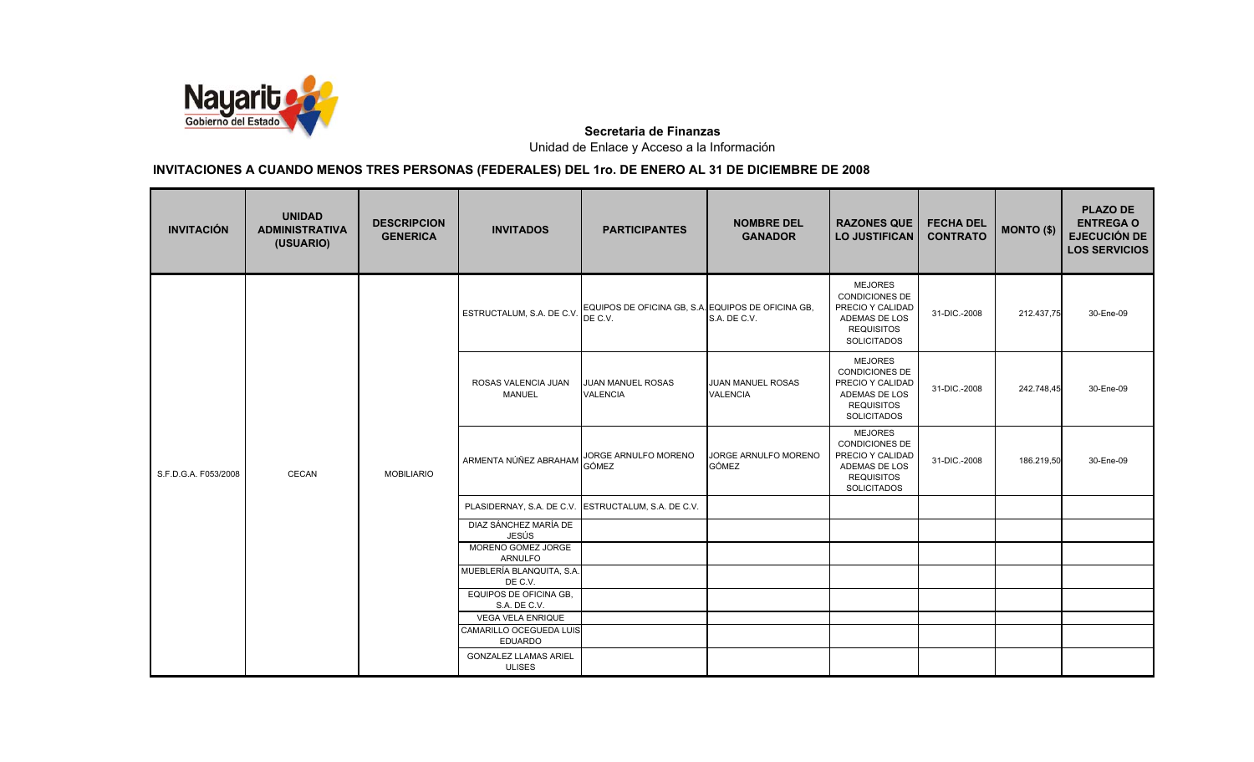

| <b>INVITACIÓN</b>    | <b>UNIDAD</b><br><b>ADMINISTRATIVA</b><br>(USUARIO) | <b>DESCRIPCION</b><br><b>GENERICA</b> | <b>INVITADOS</b>                              | <b>PARTICIPANTES</b>                                                                    | <b>NOMBRE DEL</b><br><b>GANADOR</b>         | <b>RAZONES QUE</b><br><b>LO JUSTIFICAN</b>                                                                              | <b>FECHA DEL</b><br><b>CONTRATO</b> | <b>MONTO (\$)</b> | <b>PLAZO DE</b><br><b>ENTREGA O</b><br><b>EJECUCIÓN DE</b><br><b>LOS SERVICIOS</b> |
|----------------------|-----------------------------------------------------|---------------------------------------|-----------------------------------------------|-----------------------------------------------------------------------------------------|---------------------------------------------|-------------------------------------------------------------------------------------------------------------------------|-------------------------------------|-------------------|------------------------------------------------------------------------------------|
| S.F.D.G.A. F053/2008 | CECAN                                               | <b>MOBILIARIO</b>                     |                                               | ESTRUCTALUM, S.A. DE C.V. COUIPOS DE OFICINA GB, S.A. EQUIPOS DE OFICINA GB,<br>DE C.V. | S.A. DE C.V.                                | <b>MEJORES</b><br><b>CONDICIONES DE</b><br>PRECIO Y CALIDAD<br>ADEMAS DE LOS<br><b>REQUISITOS</b><br><b>SOLICITADOS</b> | 31-DIC .- 2008                      | 212.437,75        | 30-Ene-09                                                                          |
|                      |                                                     |                                       | ROSAS VALENCIA JUAN<br><b>MANUEL</b>          | JUAN MANUEL ROSAS<br><b>VALENCIA</b>                                                    | <b>JUAN MANUEL ROSAS</b><br><b>VALENCIA</b> | <b>MEJORES</b><br><b>CONDICIONES DE</b><br>PRECIO Y CALIDAD<br>ADEMAS DE LOS<br><b>REQUISITOS</b><br><b>SOLICITADOS</b> | 31-DIC.-2008                        | 242.748,45        | 30-Ene-09                                                                          |
|                      |                                                     |                                       | ARMENTA NÚÑEZ ABRAHAM                         | JORGE ARNULFO MORENO<br><b>GÓMEZ</b>                                                    | JORGE ARNULFO MORENO<br><b>GÓMEZ</b>        | <b>MEJORES</b><br><b>CONDICIONES DE</b><br>PRECIO Y CALIDAD<br>ADEMAS DE LOS<br><b>REQUISITOS</b><br><b>SOLICITADOS</b> | 31-DIC.-2008                        | 186.219,50        | 30-Ene-09                                                                          |
|                      |                                                     |                                       |                                               | PLASIDERNAY, S.A. DE C.V. ESTRUCTALUM, S.A. DE C.V.                                     |                                             |                                                                                                                         |                                     |                   |                                                                                    |
|                      |                                                     |                                       | DIAZ SÁNCHEZ MARÍA DE<br>JESÚS                |                                                                                         |                                             |                                                                                                                         |                                     |                   |                                                                                    |
|                      |                                                     |                                       | MORENO GOMEZ JORGE<br><b>ARNULFO</b>          |                                                                                         |                                             |                                                                                                                         |                                     |                   |                                                                                    |
|                      |                                                     |                                       | MUEBLERÍA BLANQUITA, S.A<br>DE C.V.           |                                                                                         |                                             |                                                                                                                         |                                     |                   |                                                                                    |
|                      |                                                     |                                       | EQUIPOS DE OFICINA GB.<br>S.A. DE C.V.        |                                                                                         |                                             |                                                                                                                         |                                     |                   |                                                                                    |
|                      |                                                     |                                       | <b>VEGA VELA ENRIQUE</b>                      |                                                                                         |                                             |                                                                                                                         |                                     |                   |                                                                                    |
|                      |                                                     |                                       | CAMARILLO OCEGUEDA LUIS<br><b>EDUARDO</b>     |                                                                                         |                                             |                                                                                                                         |                                     |                   |                                                                                    |
|                      |                                                     |                                       | <b>GONZALEZ LLAMAS ARIEL</b><br><b>ULISES</b> |                                                                                         |                                             |                                                                                                                         |                                     |                   |                                                                                    |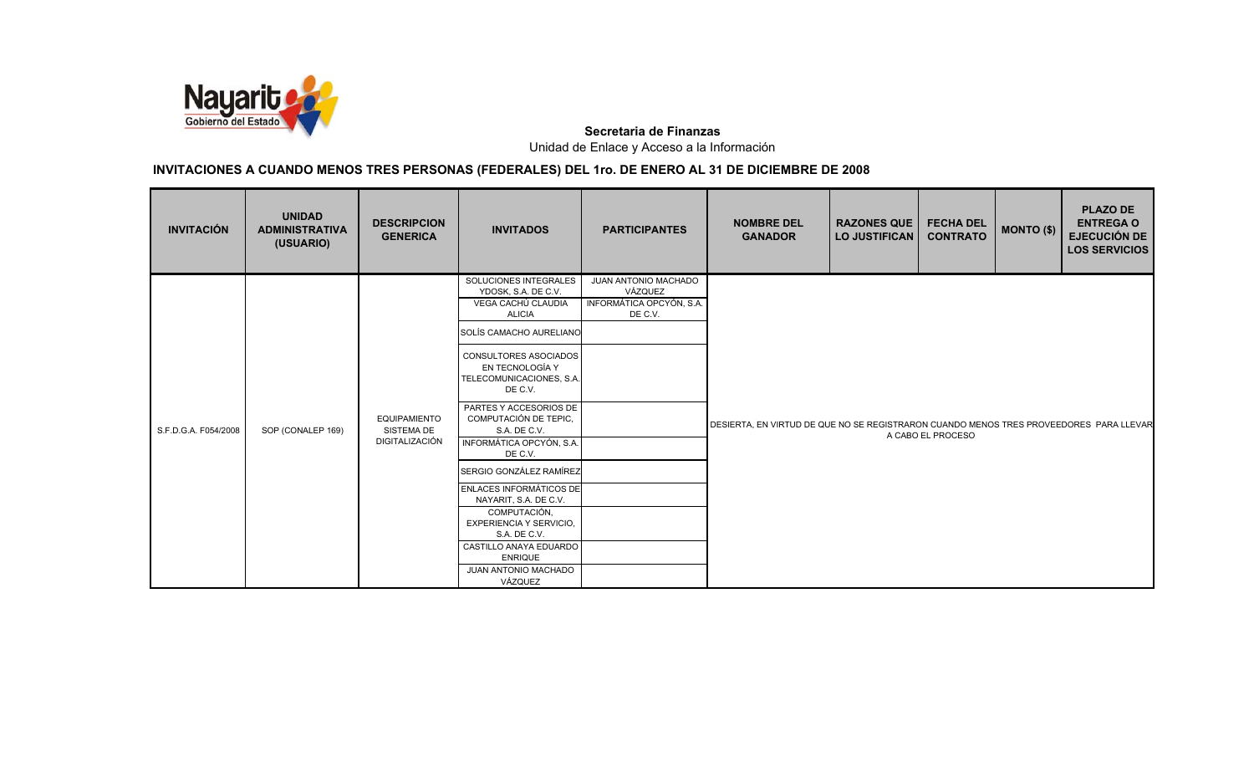

| <b>INVITACIÓN</b>    | <b>UNIDAD</b><br><b>ADMINISTRATIVA</b><br>(USUARIO) | <b>DESCRIPCION</b><br><b>GENERICA</b>               | <b>INVITADOS</b>                                                                                                                                                                                                                                                                                                                                                                                                                                    | <b>PARTICIPANTES</b>                                                   | <b>NOMBRE DEL</b><br><b>GANADOR</b>                                                    | <b>RAZONES QUE</b><br><b>LO JUSTIFICAN</b> | <b>FECHA DEL</b><br><b>CONTRATO</b> | $MONTO$ (\$) | <b>PLAZO DE</b><br><b>ENTREGA O</b><br><b>EJECUCIÓN DE</b><br><b>LOS SERVICIOS</b> |
|----------------------|-----------------------------------------------------|-----------------------------------------------------|-----------------------------------------------------------------------------------------------------------------------------------------------------------------------------------------------------------------------------------------------------------------------------------------------------------------------------------------------------------------------------------------------------------------------------------------------------|------------------------------------------------------------------------|----------------------------------------------------------------------------------------|--------------------------------------------|-------------------------------------|--------------|------------------------------------------------------------------------------------|
| S.F.D.G.A. F054/2008 | SOP (CONALEP 169)                                   | <b>EQUIPAMIENTO</b><br>SISTEMA DE<br>DIGITALIZACIÓN | SOLUCIONES INTEGRALES<br>YDOSK, S.A. DE C.V.<br>VEGA CACHÚ CLAUDIA<br><b>ALICIA</b><br>SOLÍS CAMACHO AURELIANO<br><b>CONSULTORES ASOCIADOS</b><br>EN TECNOLOGÍA Y<br>TELECOMUNICACIONES, S.A.<br>DE C.V.<br>PARTES Y ACCESORIOS DE<br>COMPUTACIÓN DE TEPIC,<br>S.A. DE C.V.<br>INFORMÁTICA OPCYÓN, S.A.<br>DE C.V.<br>SERGIO GONZÁLEZ RAMÍREZ<br><b>ENLACES INFORMÁTICOS DE</b><br>NAYARIT, S.A. DE C.V.<br>COMPUTACIÓN,<br>EXPERIENCIA Y SERVICIO, | JUAN ANTONIO MACHADO<br>VÁZQUEZ<br>INFORMÁTICA OPCYÓN, S.A.<br>DE C.V. | DESIERTA, EN VIRTUD DE QUE NO SE REGISTRARON CUANDO MENOS TRES PROVEEDORES PARA LLEVAR |                                            | A CABO EL PROCESO                   |              |                                                                                    |
|                      |                                                     |                                                     | S.A. DE C.V.<br>CASTILLO ANAYA EDUARDO<br><b>ENRIQUE</b><br>JUAN ANTONIO MACHADO<br>VÁZQUEZ                                                                                                                                                                                                                                                                                                                                                         |                                                                        |                                                                                        |                                            |                                     |              |                                                                                    |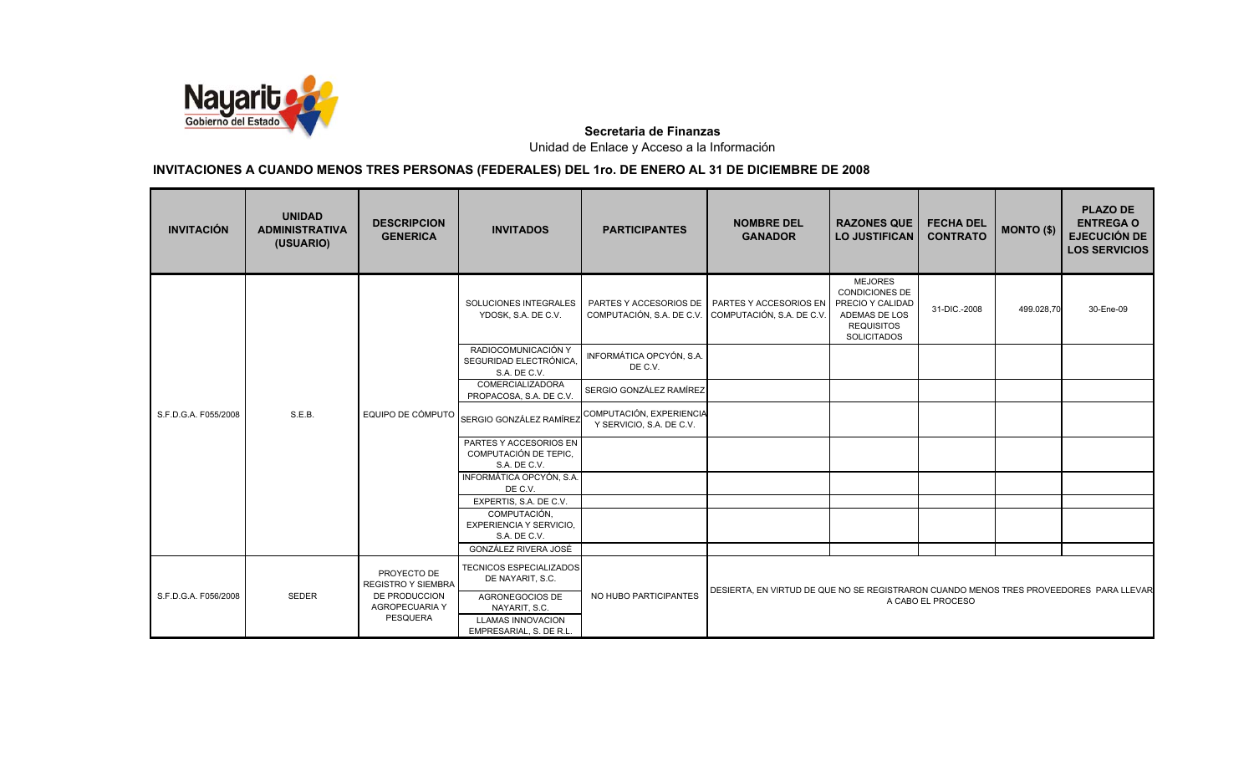

| <b>INVITACIÓN</b>    | <b>UNIDAD</b><br><b>ADMINISTRATIVA</b><br>(USUARIO) | <b>DESCRIPCION</b><br><b>GENERICA</b>                                                                 | <b>INVITADOS</b>                                                | <b>PARTICIPANTES</b>                                 | <b>NOMBRE DEL</b><br><b>GANADOR</b>                                                                         | <b>RAZONES QUE</b><br><b>LO JUSTIFICAN</b>                                                                              | <b>FECHA DEL</b><br><b>CONTRATO</b> | MONTO (\$) | <b>PLAZO DE</b><br><b>ENTREGA O</b><br><b>EJECUCIÓN DE</b><br><b>LOS SERVICIOS</b> |
|----------------------|-----------------------------------------------------|-------------------------------------------------------------------------------------------------------|-----------------------------------------------------------------|------------------------------------------------------|-------------------------------------------------------------------------------------------------------------|-------------------------------------------------------------------------------------------------------------------------|-------------------------------------|------------|------------------------------------------------------------------------------------|
|                      | S.E.B.                                              | EQUIPO DE CÓMPUTO                                                                                     | SOLUCIONES INTEGRALES<br>YDOSK, S.A. DE C.V.                    | COMPUTACIÓN, S.A. DE C.V.                            | PARTES Y ACCESORIOS DE PARTES Y ACCESORIOS EN<br>COMPUTACIÓN, S.A. DE C.V.                                  | <b>MEJORES</b><br><b>CONDICIONES DE</b><br>PRECIO Y CALIDAD<br>ADEMAS DE LOS<br><b>REQUISITOS</b><br><b>SOLICITADOS</b> | 31-DIC .- 2008                      | 499.028,70 | 30-Ene-09                                                                          |
|                      |                                                     |                                                                                                       | RADIOCOMUNICACIÓN Y<br>SEGURIDAD ELECTRÓNICA,<br>S.A. DE C.V.   | INFORMÁTICA OPCYÓN, S.A.<br>DE C.V.                  |                                                                                                             |                                                                                                                         |                                     |            |                                                                                    |
|                      |                                                     |                                                                                                       | COMERCIALIZADORA<br>PROPACOSA, S.A. DE C.V.                     | SERGIO GONZÁLEZ RAMÍREZ                              |                                                                                                             |                                                                                                                         |                                     |            |                                                                                    |
| S.F.D.G.A. F055/2008 |                                                     |                                                                                                       | SERGIO GONZÁLEZ RAMÍREZ                                         | COMPUTACIÓN, EXPERIENCIA<br>Y SERVICIO, S.A. DE C.V. |                                                                                                             |                                                                                                                         |                                     |            |                                                                                    |
|                      |                                                     |                                                                                                       | PARTES Y ACCESORIOS EN<br>COMPUTACIÓN DE TEPIC,<br>S.A. DE C.V. |                                                      |                                                                                                             |                                                                                                                         |                                     |            |                                                                                    |
|                      |                                                     |                                                                                                       | INFORMÁTICA OPCYÓN, S.A.<br>DE C.V.                             |                                                      |                                                                                                             |                                                                                                                         |                                     |            |                                                                                    |
|                      |                                                     |                                                                                                       | EXPERTIS, S.A. DE C.V.                                          |                                                      |                                                                                                             |                                                                                                                         |                                     |            |                                                                                    |
|                      |                                                     |                                                                                                       | COMPUTACIÓN,<br>EXPERIENCIA Y SERVICIO,<br>S.A. DE C.V.         |                                                      |                                                                                                             |                                                                                                                         |                                     |            |                                                                                    |
|                      |                                                     |                                                                                                       | GONZÁLEZ RIVERA JOSÉ                                            |                                                      |                                                                                                             |                                                                                                                         |                                     |            |                                                                                    |
| S.F.D.G.A. F056/2008 | SEDER                                               | PROYECTO DE<br><b>REGISTRO Y SIEMBRA</b><br>DE PRODUCCION<br><b>AGROPECUARIA Y</b><br><b>PESQUERA</b> | <b>TECNICOS ESPECIALIZADOS</b><br>DE NAYARIT, S.C.              | NO HUBO PARTICIPANTES                                |                                                                                                             |                                                                                                                         |                                     |            |                                                                                    |
|                      |                                                     |                                                                                                       | AGRONEGOCIOS DE<br>NAYARIT, S.C.<br><b>LLAMAS INNOVACION</b>    |                                                      | DESIERTA, EN VIRTUD DE QUE NO SE REGISTRARON CUANDO MENOS TRES PROVEEDORES PARA LLEVAR<br>A CABO EL PROCESO |                                                                                                                         |                                     |            |                                                                                    |
|                      |                                                     |                                                                                                       | EMPRESARIAL, S. DE R.L.                                         |                                                      |                                                                                                             |                                                                                                                         |                                     |            |                                                                                    |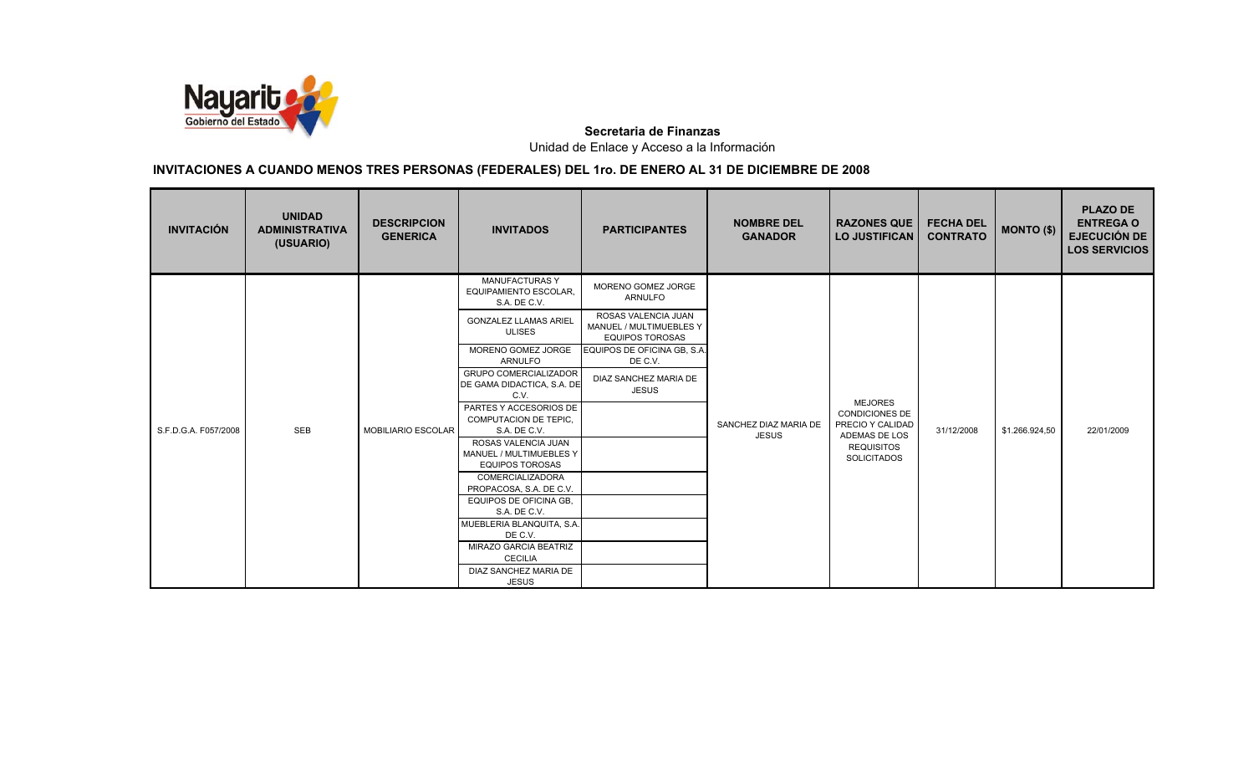

| <b>INVITACIÓN</b>    | <b>UNIDAD</b><br><b>ADMINISTRATIVA</b><br>(USUARIO) | <b>DESCRIPCION</b><br><b>GENERICA</b> | <b>INVITADOS</b>                                                      | <b>PARTICIPANTES</b>                                                     | <b>NOMBRE DEL</b><br><b>GANADOR</b>   | <b>RAZONES QUE</b><br><b>LO JUSTIFICAN</b>                                   | <b>FECHA DEL</b><br><b>CONTRATO</b> | <b>MONTO (\$)</b> | <b>PLAZO DE</b><br><b>ENTREGA O</b><br><b>EJECUCIÓN DE</b><br><b>LOS SERVICIOS</b> |
|----------------------|-----------------------------------------------------|---------------------------------------|-----------------------------------------------------------------------|--------------------------------------------------------------------------|---------------------------------------|------------------------------------------------------------------------------|-------------------------------------|-------------------|------------------------------------------------------------------------------------|
|                      |                                                     |                                       | <b>MANUFACTURAS Y</b><br><b>EQUIPAMIENTO ESCOLAR,</b><br>S.A. DE C.V. | MORENO GOMEZ JORGE<br><b>ARNULFO</b>                                     |                                       |                                                                              |                                     |                   |                                                                                    |
|                      |                                                     | <b>MOBILIARIO ESCOLAR</b>             | <b>GONZALEZ LLAMAS ARIEL</b><br><b>ULISES</b>                         | ROSAS VALENCIA JUAN<br>MANUEL / MULTIMUEBLES Y<br><b>EQUIPOS TOROSAS</b> | SANCHEZ DIAZ MARIA DE<br><b>JESUS</b> | <b>MEJORES</b><br><b>CONDICIONES DE</b><br>PRECIO Y CALIDAD<br>ADEMAS DE LOS | 31/12/2008                          | \$1.266.924,50    | 22/01/2009                                                                         |
|                      |                                                     |                                       | MORENO GOMEZ JORGE<br>ARNULFO                                         | EQUIPOS DE OFICINA GB, S.A.<br>DE C.V.                                   |                                       |                                                                              |                                     |                   |                                                                                    |
|                      |                                                     |                                       | <b>GRUPO COMERCIALIZADOR</b><br>DE GAMA DIDACTICA, S.A. DE<br>C.V.    | DIAZ SANCHEZ MARIA DE<br>JESUS                                           |                                       |                                                                              |                                     |                   |                                                                                    |
|                      |                                                     |                                       | PARTES Y ACCESORIOS DE<br><b>COMPUTACION DE TEPIC,</b>                |                                                                          |                                       |                                                                              |                                     |                   |                                                                                    |
| S.F.D.G.A. F057/2008 | <b>SEB</b>                                          |                                       | S.A. DE C.V.                                                          |                                                                          |                                       |                                                                              |                                     |                   |                                                                                    |
|                      |                                                     |                                       | ROSAS VALENCIA JUAN<br>MANUEL / MULTIMUEBLES Y                        |                                                                          |                                       | <b>REQUISITOS</b>                                                            |                                     |                   |                                                                                    |
|                      |                                                     |                                       | <b>EQUIPOS TOROSAS</b>                                                |                                                                          |                                       | <b>SOLICITADOS</b>                                                           |                                     |                   |                                                                                    |
|                      |                                                     |                                       | COMERCIALIZADORA                                                      |                                                                          |                                       |                                                                              |                                     |                   |                                                                                    |
|                      |                                                     |                                       | PROPACOSA, S.A. DE C.V.<br>EQUIPOS DE OFICINA GB,                     |                                                                          |                                       |                                                                              |                                     |                   |                                                                                    |
|                      |                                                     |                                       | S.A. DE C.V.                                                          |                                                                          |                                       |                                                                              |                                     |                   |                                                                                    |
|                      |                                                     |                                       | MUEBLERIA BLANQUITA, S.A.                                             |                                                                          |                                       |                                                                              |                                     |                   |                                                                                    |
|                      |                                                     |                                       | DE C.V.                                                               |                                                                          |                                       |                                                                              |                                     |                   |                                                                                    |
|                      |                                                     |                                       | <b>MIRAZO GARCIA BEATRIZ</b><br><b>CECILIA</b>                        |                                                                          |                                       |                                                                              |                                     |                   |                                                                                    |
|                      |                                                     |                                       | DIAZ SANCHEZ MARIA DE                                                 |                                                                          |                                       |                                                                              |                                     |                   |                                                                                    |
|                      |                                                     |                                       | <b>JESUS</b>                                                          |                                                                          |                                       |                                                                              |                                     |                   |                                                                                    |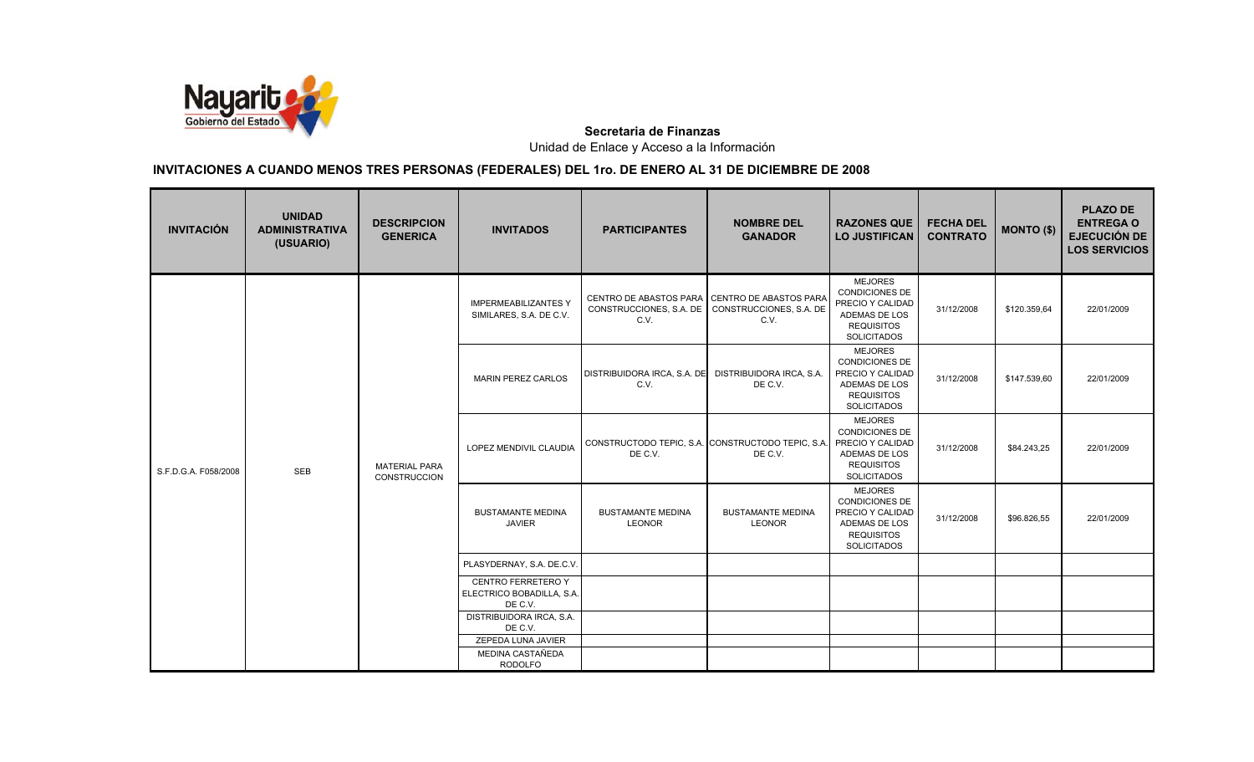

| <b>INVITACIÓN</b>    | <b>UNIDAD</b><br><b>ADMINISTRATIVA</b><br>(USUARIO) | <b>DESCRIPCION</b><br><b>GENERICA</b> | <b>INVITADOS</b>                                                  | <b>PARTICIPANTES</b>                                                             | <b>NOMBRE DEL</b><br><b>GANADOR</b>                                           | <b>RAZONES QUE</b><br><b>LO JUSTIFICAN</b>                                                                              | <b>FECHA DEL</b><br><b>CONTRATO</b> | <b>MONTO (\$)</b> | <b>PLAZO DE</b><br><b>ENTREGA O</b><br><b>EJECUCIÓN DE</b><br><b>LOS SERVICIOS</b> |
|----------------------|-----------------------------------------------------|---------------------------------------|-------------------------------------------------------------------|----------------------------------------------------------------------------------|-------------------------------------------------------------------------------|-------------------------------------------------------------------------------------------------------------------------|-------------------------------------|-------------------|------------------------------------------------------------------------------------|
|                      | <b>SEB</b>                                          |                                       | <b>IMPERMEABILIZANTES Y</b><br>SIMILARES, S.A. DE C.V.            | CENTRO DE ABASTOS PARA CENTRO DE ABASTOS PARA<br>CONSTRUCCIONES, S.A. DE<br>C.V. | CONSTRUCCIONES, S.A. DE<br>C.V.                                               | <b>MEJORES</b><br>CONDICIONES DE<br>PRECIO Y CALIDAD<br>ADEMAS DE LOS<br><b>REQUISITOS</b><br><b>SOLICITADOS</b>        | 31/12/2008                          | \$120.359,64      | 22/01/2009                                                                         |
| S.F.D.G.A. F058/2008 |                                                     | <b>MATERIAL PARA</b><br>CONSTRUCCION  | <b>MARIN PEREZ CARLOS</b>                                         | DISTRIBUIDORA IRCA, S.A. DE<br>C.V.                                              | DISTRIBUIDORA IRCA, S.A.<br>DE C.V.                                           | <b>MEJORES</b><br><b>CONDICIONES DE</b><br>PRECIO Y CALIDAD<br>ADEMAS DE LOS<br><b>REQUISITOS</b><br><b>SOLICITADOS</b> | 31/12/2008                          | \$147.539,60      | 22/01/2009                                                                         |
|                      |                                                     |                                       | LOPEZ MENDIVIL CLAUDIA                                            | DE C.V.                                                                          | CONSTRUCTODO TEPIC, S.A. CONSTRUCTODO TEPIC, S.A. PRECIO Y CALIDAD<br>DE C.V. | <b>MEJORES</b><br><b>CONDICIONES DE</b><br>ADEMAS DE LOS<br><b>REQUISITOS</b><br><b>SOLICITADOS</b>                     | 31/12/2008                          | \$84.243,25       | 22/01/2009                                                                         |
|                      |                                                     |                                       | <b>BUSTAMANTE MEDINA</b><br><b>JAVIER</b>                         | <b>BUSTAMANTE MEDINA</b><br><b>LEONOR</b>                                        | <b>BUSTAMANTE MEDINA</b><br><b>LEONOR</b>                                     | <b>MEJORES</b><br><b>CONDICIONES DE</b><br>PRECIO Y CALIDAD<br>ADEMAS DE LOS<br><b>REQUISITOS</b><br><b>SOLICITADOS</b> | 31/12/2008                          | \$96.826,55       | 22/01/2009                                                                         |
|                      |                                                     |                                       | PLASYDERNAY, S.A. DE.C.V.                                         |                                                                                  |                                                                               |                                                                                                                         |                                     |                   |                                                                                    |
|                      |                                                     |                                       | <b>CENTRO FERRETERO Y</b><br>ELECTRICO BOBADILLA, S.A.<br>DE C.V. |                                                                                  |                                                                               |                                                                                                                         |                                     |                   |                                                                                    |
|                      |                                                     |                                       | DISTRIBUIDORA IRCA, S.A.<br>DE C.V.                               |                                                                                  |                                                                               |                                                                                                                         |                                     |                   |                                                                                    |
|                      |                                                     |                                       | ZEPEDA LUNA JAVIER                                                |                                                                                  |                                                                               |                                                                                                                         |                                     |                   |                                                                                    |
|                      |                                                     |                                       | MEDINA CASTAÑEDA<br><b>RODOLFO</b>                                |                                                                                  |                                                                               |                                                                                                                         |                                     |                   |                                                                                    |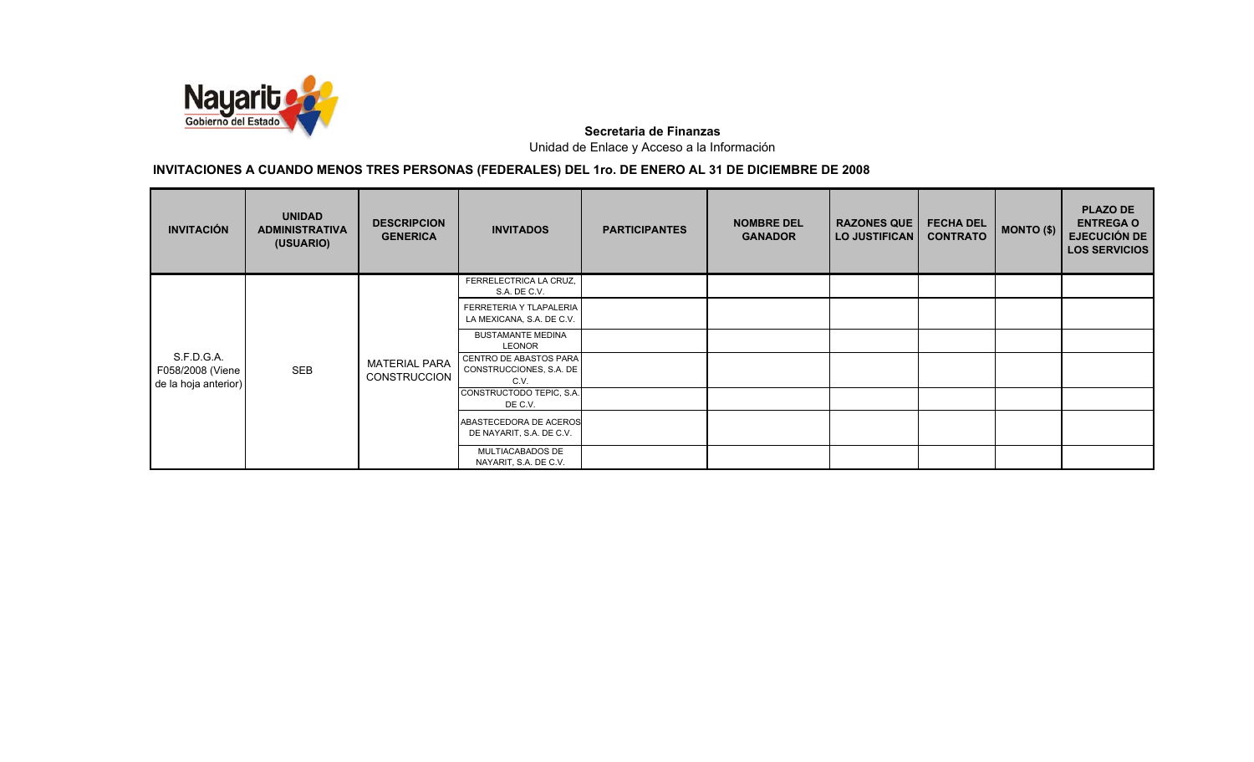

| <b>INVITACIÓN</b>                                      | <b>UNIDAD</b><br><b>ADMINISTRATIVA</b><br>(USUARIO) | <b>DESCRIPCION</b><br><b>GENERICA</b>       | <b>INVITADOS</b>                                          | <b>PARTICIPANTES</b> | <b>NOMBRE DEL</b><br><b>GANADOR</b> | <b>RAZONES QUE</b><br><b>LO JUSTIFICAN</b> | <b>FECHA DEL</b><br><b>CONTRATO</b> | MONTO (\$) | <b>PLAZO DE</b><br><b>ENTREGA O</b><br><b>EJECUCIÓN DE</b><br><b>LOS SERVICIOS</b> |
|--------------------------------------------------------|-----------------------------------------------------|---------------------------------------------|-----------------------------------------------------------|----------------------|-------------------------------------|--------------------------------------------|-------------------------------------|------------|------------------------------------------------------------------------------------|
|                                                        | SEB                                                 |                                             | FERRELECTRICA LA CRUZ,<br>S.A. DE C.V.                    |                      |                                     |                                            |                                     |            |                                                                                    |
|                                                        |                                                     | <b>MATERIAL PARA</b><br><b>CONSTRUCCION</b> | FERRETERIA Y TLAPALERIA<br>LA MEXICANA, S.A. DE C.V.      |                      |                                     |                                            |                                     |            |                                                                                    |
|                                                        |                                                     |                                             | <b>BUSTAMANTE MEDINA</b><br>LEONOR                        |                      |                                     |                                            |                                     |            |                                                                                    |
| S.F.D.G.A.<br>F058/2008 (Viene<br>de la hoja anterior) |                                                     |                                             | CENTRO DE ABASTOS PARA<br>CONSTRUCCIONES, S.A. DE<br>C.V. |                      |                                     |                                            |                                     |            |                                                                                    |
|                                                        |                                                     |                                             | CONSTRUCTODO TEPIC, S.A.<br>DE C.V.                       |                      |                                     |                                            |                                     |            |                                                                                    |
|                                                        |                                                     |                                             | ABASTECEDORA DE ACEROS<br>DE NAYARIT, S.A. DE C.V.        |                      |                                     |                                            |                                     |            |                                                                                    |
|                                                        |                                                     |                                             | MULTIACABADOS DE<br>NAYARIT, S.A. DE C.V.                 |                      |                                     |                                            |                                     |            |                                                                                    |